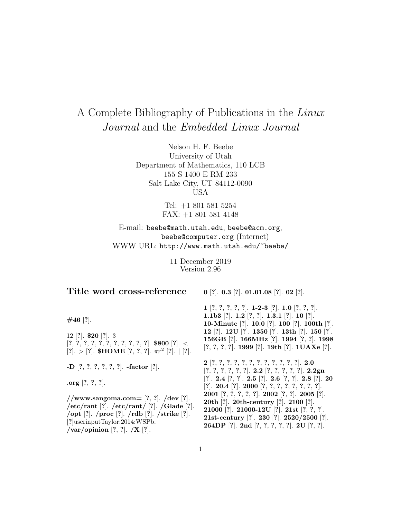# A Complete Bibliography of Publications in the Linux Journal and the *Embedded Linux Journal*

Nelson H. F. Beebe University of Utah Department of Mathematics, 110 LCB 155 S 1400 E RM 233 Salt Lake City, UT 84112-0090 USA

> Tel: +1 801 581 5254 FAX: +1 801 581 4148

E-mail: beebe@math.utah.edu, beebe@acm.org, beebe@computer.org (Internet) WWW URL: http://www.math.utah.edu/~beebe/

> 11 December 2019 Version 2.96

## **Title word cross-reference**

**0** [**?**]. **0.3** [**?**]. **01.01.08** [**?**]. **02** [**?**].

**#46** [**?**].

12 [**?**]. **\$20** [**?**]. 3 [**?**, **?**, **?**, **?**, **?**, **?**, **?**, **?**, **?**, **?**, **?**]. **\$800** [**?**]. < [**?**]. <sup>&</sup>gt; [**?**]. **\$HOME** [**?**, **?**, **?**]. πr<sup>2</sup> [**?**]. <sup>|</sup> [**?**].

**-D** [**?**, **?**, **?**, **?**, **?**, **?**]. **-factor** [**?**].

**.org** [**?**, **?**, **?**].

**//www.sangoma.com=** [**?**, **?**]. **/dev** [**?**]. **/etc/rant** [**?**]. **/etc/rant/** [**?**]. **/Glade** [**?**]. **/opt** [**?**]. **/proc** [**?**]. **/rdb** [**?**]. **/strike** [**?**]. [**?**]userinputTaylor:2014:WSPb. **/var/opinion** [**?**, **?**]. **/X** [**?**].

**1** [**?**, **?**, **?**, **?**, **?**]. **1-2-3** [**?**]. **1.0** [**?**, **?**, **?**]. **1.1b3** [**?**]. **1.2** [**?**, **?**]. **1.3.1** [**?**]. **10** [**?**]. **10-Minute** [**?**]. **10.0** [**?**]. **100** [**?**]. **100th** [**?**]. **12** [**?**]. **12U** [**?**]. **1350** [**?**]. **13th** [**?**]. **150** [**?**]. **156GB** [**?**]. **166MHz** [**?**]. **1994** [**?**, **?**]. **1998** [**?**, **?**, **?**, **?**]. **1999** [**?**]. **19th** [**?**]. **1UAXe** [**?**].

**2** [**?**, **?**, **?**, **?**, **?**, **?**, **?**, **?**, **?**, **?**, **?**, **?**]. **2.0** [**?**, **?**, **?**, **?**, **?**, **?**]. **2.2** [**?**, **?**, **?**, **?**, **?**]. **2.2gn** [**?**]. **2.4** [**?**, **?**]. **2.5** [**?**]. **2.6** [**?**, **?**]. **2.8** [**?**]. **20** [**?**]. **20.4** [**?**]. **2000** [**?**, **?**, **?**, **?**, **?**, **?**, **?**, **?**]. **2001** [**?**, **?**, **?**, **?**, **?**]. **2002** [**?**, **?**]. **2005** [**?**]. **20th** [**?**]. **20th-century** [**?**]. **2100** [**?**]. **21000** [**?**]. **21000-12U** [**?**]. **21st** [**?**, **?**, **?**]. **21st-century** [**?**]. **230** [**?**]. **2520/2500** [**?**]. **264DP** [**?**]. **2nd** [**?**, **?**, **?**, **?**, **?**]. **2U** [**?**, **?**].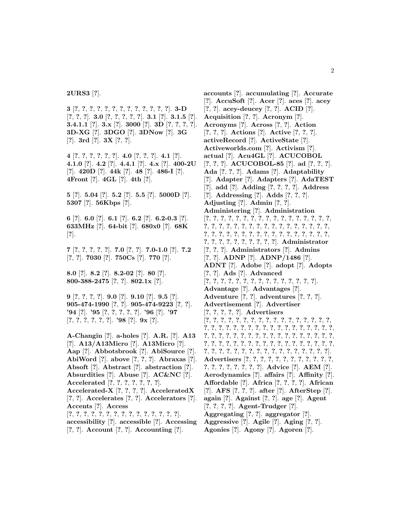**2URS3** [**?**].

**3** [**?**, **?**, **?**, **?**, **?**, **?**, **?**, **?**, **?**, **?**, **?**, **?**, **?**]. **3-D** [**?**, **?**, **?**]. **3.0** [**?**, **?**, **?**, **?**, **?**]. **3.1** [**?**]. **3.1.5** [**?**]. **3.4.1.1** [**?**]. **3.x** [**?**]. **3000** [**?**]. **3D** [**?**, **?**, **?**, **?**]. **3D-XG** [**?**]. **3DGO** [**?**]. **3DNow** [**?**]. **3G** [**?**]. **3rd** [**?**]. **3X** [**?**, **?**].

**4** [**?**, **?**, **?**, **?**, **?**, **?**]. **4.0** [**?**, **?**, **?**]. **4.1** [**?**]. **4.1.0** [**?**]. **4.2** [**?**]. **4.4.1** [**?**]. **4.x** [**?**]. **400-2U** [**?**]. **420D** [**?**]. **44k** [**?**]. **48** [**?**]. **486-I** [**?**]. **4Front** [**?**]. **4GL** [**?**]. **4th** [**?**].

**5** [**?**]. **5.04** [**?**]. **5.2** [**?**]. **5.5** [**?**]. **5000D** [**?**]. **5307** [**?**]. **56Kbps** [**?**].

**6** [**?**]. **6.0** [**?**]. **6.1** [**?**]. **6.2** [**?**]. **6.2-0.3** [**?**]. **633MHz** [**?**]. **64-bit** [**?**]. **680x0** [**?**]. **68K** [**?**].

**7** [**?**, **?**, **?**, **?**, **?**]. **7.0** [**?**, **?**]. **7.0-1.0** [**?**]. **7.2** [**?**, **?**]. **7030** [**?**]. **750Cs** [**?**]. **770** [**?**].

**8.0** [**?**]. **8.2** [**?**]. **8.2-02** [**?**]. **80** [**?**]. **800-388-2475** [**?**, **?**]. **802.1x** [**?**].

**9** [**?**, **?**, **?**, **?**]. **9.0** [**?**]. **9.10** [**?**]. **9.5** [**?**]. **905-474-1990** [**?**, **?**]. **905-474-9223** [**?**, **?**]. **'94** [**?**]. **'95** [**?**, **?**, **?**, **?**, **?**]. **'96** [**?**]. **'97** [**?**, **?**, **?**, **?**, **?**, **?**]. **'98** [**?**]. **9x** [**?**].

**A-Changin** [**?**]. **a-holes** [**?**]. **A.R.** [**?**]. **A13** [**?**]. **A13/A13Micro** [**?**]. **A13Micro** [**?**]. **Aap** [**?**]. **Abbotsbrook** [**?**]. **AbiSource** [**?**]. **AbiWord** [**?**]. **above** [**?**, **?**, **?**]. **Abraxas** [**?**]. **Absoft** [**?**]. **Abstract** [**?**]. **abstraction** [**?**]. **Absurdities** [**?**]. **Abuse** [**?**]. **AC&NC** [**?**]. **Accelerated** [**?**, **?**, **?**, **?**, **?**, **?**, **?**]. **Accelerated-X** [**?**, **?**, **?**, **?**]. **AcceleratedX** [**?**, **?**]. **Accelerates** [**?**, **?**]. **Accelerators** [**?**]. **Accents** [**?**]. **Access** [**?**, **?**, **?**, **?**, **?**, **?**, **?**, **?**, **?**, **?**, **?**, **?**, **?**, **?**, **?**]. **accessibility** [**?**]. **accessible** [**?**]. **Accessing** [**?**, **?**]. **Account** [**?**, **?**]. **Accounting** [**?**].

**accounts** [**?**]. **accumulating** [**?**]. **Accurate** [**?**]. **AccuSoft** [**?**]. **Acer** [**?**]. **aces** [**?**]. **acey** [**?**, **?**]. **acey-deucey** [**?**, **?**]. **ACID** [**?**]. **Acquisition** [**?**, **?**]. **Acronym** [**?**]. **Acronyms** [**?**]. **Across** [**?**, **?**]. **Action** [**?**, **?**, **?**]. **Actions** [**?**]. **Active** [**?**, **?**, **?**]. **activeRecord** [**?**]. **ActiveState** [**?**]. **Activeworlds.com** [**?**]. **Activism** [**?**]. **actual** [**?**]. **Acu4GL** [**?**]. **ACUCOBOL** [**?**, **?**, **?**]. **ACUCOBOL-85** [**?**]. **ad** [**?**, **?**, **?**]. **Ada** [**?**, **?**, **?**]. **Adams** [**?**]. **Adaptability** [**?**]. **Adapter** [**?**]. **Adapters** [**?**]. **AdaTEST** [**?**]. **add** [**?**]. **Adding** [**?**, **?**, **?**, **?**]. **Address** [**?**]. **Addressing** [**?**]. **Adds** [**?**, **?**, **?**]. **Adjusting** [**?**]. **Admin** [**?**, **?**]. **Administering** [**?**]. **Administration** [**?**, **?**, **?**, **?**, **?**, **?**, **?**, **?**, **?**, **?**, **?**, **?**, **?**, **?**, **?**, **?**, **?**, **?**, **?**, **?**, **?**, **?**, **?**, **?**, **?**, **?**, **?**, **?**, **?**, **?**, **?**, **?**, **?**, **?**, **?**, **?**, **?**, **?**, **?**, **?**, **?**, **?**, **?**, **?**, **?**, **?**, **?**, **?**, **?**, **?**, **?**, **?**, **?**, **?**, **?**, **?**, **?**, **?**, **?**, **?**, **?**]. **Administrator** [**?**, **?**, **?**]. **Administrators** [**?**]. **Admins** [**?**, **?**]. **ADNP** [**?**]. **ADNP/1486** [**?**]. **ADNT** [**?**]. **Adobe** [**?**]. **adopt** [**?**]. **Adopts** [**?**, **?**]. **Ads** [**?**]. **Advanced** [**?**, **?**, **?**, **?**, **?**, **?**, **?**, **?**, **?**, **?**, **?**, **?**, **?**, **?**, **?**]. **Advantage** [**?**]. **Advantages** [**?**]. **Adventure** [**?**, **?**]. **adventures** [**?**, **?**, **?**]. **Advertisement** [**?**]. **Advertiser** [**?**, **?**, **?**, **?**, **?**]. **Advertisers** [**?**, **?**, **?**, **?**, **?**, **?**, **?**, **?**, **?**, **?**, **?**, **?**, **?**, **?**, **?**, **?**, **?**, **?**, **?**, **?**, **?**, **?**, **?**, **?**, **?**, **?**, **?**, **?**, **?**, **?**, **?**, **?**, **?**, **?**, **?**, **?**, **?**, **?**, **?**, **?**, **?**, **?**, **?**, **?**, **?**, **?**, **?**, **?**, **?**, **?**, **?**, **?**, **?**, **?**, **?**, **?**, **?**, **?**, **?**, **?**, **?**, **?**, **?**, **?**, **?**, **?**, **?**, **?**, **?**, **?**, **?**, **?**, **?**, **?**, **?**, **?**, **?**, **?**, **?**, **?**, **?**, **?**, **?**, **?**, **?**, **?**, **?**, **?**]. **Advertisers** [**?**, **?**, **?**, **?**, **?**, **?**, **?**, **?**, **?**, **?**, **?**, **?**, **?**, **?**, **?**, **?**, **?**, **?**, **?**, **?**]. **Advice** [**?**]. **AEM** [**?**]. **Aerodynamics** [**?**]. **affairs** [**?**]. **Affinity** [**?**]. **Affordable** [**?**]. **Africa** [**?**, **?**, **?**, **?**]. **African** [**?**]. **AFS** [**?**, **?**, **?**]. **after** [**?**]. **AfterStep** [**?**]. **again** [**?**]. **Against** [**?**, **?**]. **age** [**?**]. **Agent** [**?**, **?**, **?**, **?**]. **Agent-Trudger** [**?**]. **Aggregating** [**?**, **?**]. **aggregator** [**?**]. **Aggressive** [**?**]. **Agile** [**?**]. **Aging** [**?**, **?**]. **Agonies** [**?**]. **Agony** [**?**]. **Agoren** [**?**].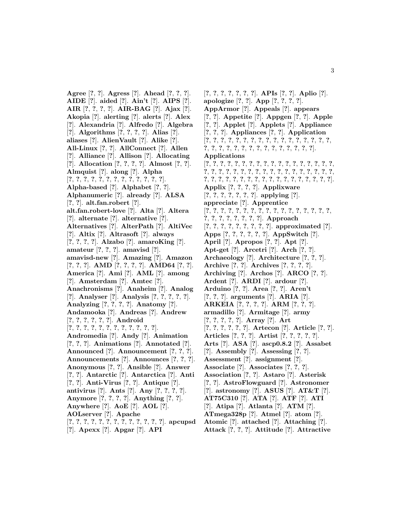**Agree** [**?**, **?**]. **Agress** [**?**]. **Ahead** [**?**, **?**, **?**]. **AIDE** [**?**]. **aided** [**?**]. **Ain't** [**?**]. **AIPS** [**?**]. **AIR** [**?**, **?**, **?**, **?**]. **AIR-BAG** [**?**]. **Ajax** [**?**]. **Akopia** [**?**]. **alerting** [**?**]. **alerts** [**?**]. **Alex** [**?**]. **Alexandria** [**?**]. **Alfredo** [**?**]. **Algebra** [**?**]. **Algorithms** [**?**, **?**, **?**, **?**]. **Alias** [**?**]. **aliases** [**?**]. **AlienVault** [**?**]. **Alike** [**?**]. **All-Linux** [**?**, **?**]. **AllConnect** [**?**]. **Allen** [**?**]. **Alliance** [**?**]. **Allison** [**?**]. **Allocating** [**?**]. **Allocation** [**?**, **?**, **?**, **?**]. **Almost** [**?**, **?**]. **Almquist** [**?**]. **along** [**?**]. **Alpha** [**?**, **?**, **?**, **?**, **?**, **?**, **?**, **?**, **?**, **?**, **?**, **?**, **?**]. **Alpha-based** [**?**]. **Alphabet** [**?**, **?**]. **Alphanumeric** [**?**]. **already** [**?**]. **ALSA** [**?**, **?**]. **alt.fan.robert** [**?**]. **alt.fan.robert-love** [**?**]. **Alta** [**?**]. **Altera** [**?**]. **alternate** [**?**]. **alternative** [**?**]. **Alternatives** [**?**]. **AlterPath** [**?**]. **AltiVec** [**?**]. **Altix** [**?**]. **Altrasoft** [**?**]. **always** [**?**, **?**, **?**, **?**]. **Alzabo** [**?**]. **amaroKing** [**?**]. **amateur** [**?**, **?**, **?**]. **amavisd** [**?**]. **amavisd-new** [**?**]. **Amazing** [**?**]. **Amazon** [**?**, **?**, **?**]. **AMD** [**?**, **?**, **?**, **?**]. **AMD64** [**?**, **?**]. **America** [**?**]. **Ami** [**?**]. **AML** [**?**]. **among** [**?**]. **Amsterdam** [**?**]. **Amtec** [**?**]. **Anachronisms** [**?**]. **Anaheim** [**?**]. **Analog** [**?**]. **Analyser** [**?**]. **Analysis** [**?**, **?**, **?**, **?**, **?**]. **Analyzing** [**?**, **?**, **?**, **?**]. **Anatomy** [**?**]. **Andamooka** [**?**]. **Andreas** [**?**]. **Andrew** [**?**, **?**, **?**, **?**, **?**, **?**]. **Android** [**?**, **?**, **?**, **?**, **?**, **?**, **?**, **?**, **?**, **?**, **?**, **?**]. **Andromedia** [**?**]. **Andy** [**?**]. **Animation** [**?**, **?**, **?**]. **Animations** [**?**]. **Annotated** [**?**]. **Announced** [**?**]. **Announcement** [**?**, **?**, **?**]. **Announcements** [**?**]. **Announces** [**?**, **?**, **?**]. **Anonymous** [**?**, **?**]. **Ansible** [**?**]. **Answer** [**?**, **?**]. **Antarctic** [**?**]. **Antarctica** [**?**]. **Anti** [**?**, **?**]. **Anti-Virus** [**?**, **?**]. **Antique** [**?**]. **antivirus** [**?**]. **Ants** [**?**]. **Any** [**?**, **?**, **?**, **?**]. **Anymore** [**?**, **?**, **?**, **?**]. **Anything** [**?**, **?**]. **Anywhere** [**?**]. **AoE** [**?**]. **AOL** [**?**]. **AOLserver** [**?**]. **Apache** [**?**, **?**, **?**, **?**, **?**, **?**, **?**, **?**, **?**, **?**, **?**, **?**, **?**]. **apcupsd** [**?**]. **Apexx** [**?**]. **Apgar** [**?**]. **API**

[**?**, **?**, **?**, **?**, **?**, **?**, **?**]. **APIs** [**?**, **?**]. **Aplio** [**?**]. **apologize** [**?**, **?**]. **App** [**?**, **?**, **?**, **?**]. **AppArmor** [**?**]. **Appeals** [**?**]. **appears** [**?**, **?**]. **Appetite** [**?**]. **Appgen** [**?**, **?**]. **Apple** [**?**, **?**]. **Applet** [**?**]. **Applets** [**?**]. **Appliance** [**?**, **?**, **?**]. **Appliances** [**?**, **?**]. **Application** [**?**, **?**, **?**, **?**, **?**, **?**, **?**, **?**, **?**, **?**, **?**, **?**, **?**, **?**, **?**, **?**, **?**, **?**, **?**, **?**, **?**, **?**, **?**, **?**, **?**, **?**, **?**, **?**, **?**, **?**, **?**, **?**]. **Applications** [**?**, **?**, **?**, **?**, **?**, **?**, **?**, **?**, **?**, **?**, **?**, **?**, **?**, **?**, **?**, **?**, **?**, **?**, **?**, **?**, **?**, **?**, **?**, **?**, **?**, **?**, **?**, **?**, **?**, **?**, **?**, **?**, **?**, **?**, **?**, **?**, **?**, **?**, **?**, **?**, **?**, **?**, **?**, **?**, **?**, **?**, **?**, **?**, **?**, **?**, **?**, **?**, **?**, **?**]. **Applix** [**?**, **?**, **?**, **?**]. **Applixware** [**?**, **?**, **?**, **?**, **?**, **?**, **?**]. **applying** [**?**]. **appreciate** [**?**]. **Apprentice** [**?**, **?**, **?**, **?**, **?**, **?**, **?**, **?**, **?**, **?**, **?**, **?**, **?**, **?**, **?**, **?**, **?**, **?**, **?**, **?**, **?**, **?**, **?**, **?**, **?**]. **Approach** [**?**, **?**, **?**, **?**, **?**, **?**, **?**, **?**, **?**]. **approximated** [**?**]. **Apps** [**?**, **?**, **?**, **?**, **?**, **?**]. **AppSwitch** [**?**]. **April** [**?**]. **Apropos** [**?**, **?**]. **Apt** [**?**]. **Apt-get** [**?**]. **Arcetri** [**?**]. **Arch** [**?**, **?**]. **Archaeology** [**?**]. **Architecture** [**?**, **?**, **?**]. **Archive** [**?**, **?**]. **Archives** [**?**, **?**, **?**, **?**]. **Archiving** [**?**]. **Archos** [**?**]. **ARCO** [**?**, **?**]. **Ardent** [**?**]. **ARDI** [**?**]. **ardour** [**?**]. **Arduino** [**?**, **?**]. **Area** [**?**, **?**]. **Aren't** [**?**, **?**, **?**]. **arguments** [**?**]. **ARIA** [**?**]. **ARKEIA** [**?**, **?**, **?**, **?**]. **ARM** [**?**, **?**, **?**]. **armadillo** [**?**]. **Armitage** [**?**]. **army** [**?**, **?**, **?**, **?**, **?**]. **Array** [**?**]. **Art** [**?**, **?**, **?**, **?**, **?**, **?**]. **Artecon** [**?**]. **Article** [**?**, **?**]. **Articles** [**?**, **?**, **?**]. **Artist** [**?**, **?**, **?**, **?**, **?**]. **Arts** [**?**]. **ASA** [**?**]. **ascp0.8.2** [**?**]. **Assabet** [**?**]. **Assembly** [**?**]. **Assessing** [**?**, **?**]. **Assessment** [**?**]. **assignment** [**?**]. **Associate** [**?**]. **Associates** [**?**, **?**, **?**]. **Association** [**?**, **?**]. **Astaro** [**?**]. **Asterisk** [**?**, **?**]. **AstroFlowguard** [**?**]. **Astronomer** [**?**]. **astronomy** [**?**]. **ASUS** [**?**]. **AT&T** [**?**]. **AT75C310** [**?**]. **ATA** [**?**]. **ATF** [**?**]. **ATI** [**?**]. **Atipa** [**?**]. **Atlanta** [**?**]. **ATM** [**?**]. **ATmega328p** [**?**]. **Atmel** [**?**]. **atom** [**?**]. **Atomic** [**?**]. **attached** [**?**]. **Attaching** [**?**].

**Attack** [**?**, **?**, **?**]. **Attitude** [**?**]. **Attractive**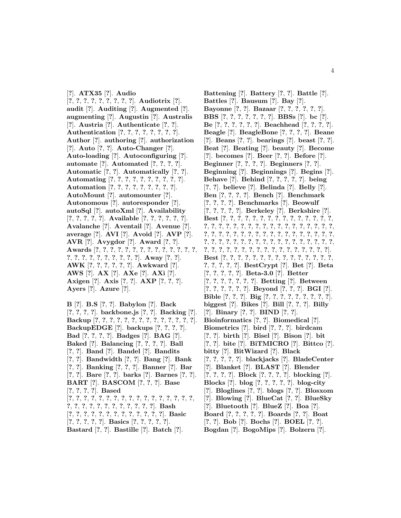[**?**]. **ATX35** [**?**]. **Audio** [**?**, **?**, **?**, **?**, **?**, **?**, **?**, **?**, **?**]. **Audiotrix** [**?**]. **audit** [**?**]. **Auditing** [**?**]. **Augmented** [**?**]. **augmenting** [**?**]. **Augustin** [**?**]. **Australis** [**?**]. **Austria** [**?**]. **Authenticate** [**?**, **?**]. **Authentication** [**?**, **?**, **?**, **?**, **?**, **?**, **?**, **?**]. **Author** [**?**]. **authoring** [**?**]. **authorization** [**?**]. **Auto** [**?**, **?**]. **Auto-Changer** [**?**]. **Auto-loading** [**?**]. **Autoconfiguring** [**?**]. **automate** [**?**]. **Automated** [**?**, **?**, **?**, **?**]. **Automatic** [**?**, **?**]. **Automatically** [**?**, **?**]. **Automating** [**?**, **?**, **?**, **?**, **?**, **?**, **?**, **?**, **?**, **?**]. **Automation** [**?**, **?**, **?**, **?**, **?**, **?**, **?**, **?**, **?**]. **AutoMount** [**?**]. **automounter** [**?**]. **Autonomous** [**?**]. **autoresponder** [**?**]. **autoSql** [**?**]. **autoXml** [**?**]. **Availability** [**?**, **?**, **?**, **?**, **?**]. **Available** [**?**, **?**, **?**, **?**, **?**, **?**]. **Avalanche** [**?**]. **Aventail** [**?**]. **Avenue** [**?**]. **average** [**?**]. **AVI** [**?**]. **Avoid** [**?**]. **AVP** [**?**]. **AVR** [**?**]. **Avygdor** [**?**]. **Award** [**?**, **?**]. **Awards** [**?**, **?**, **?**, **?**, **?**, **?**, **?**, **?**, **?**, **?**, **?**, **?**, **?**, **?**, **?**, **?**, **?**, **?**, **?**, **?**, **?**, **?**, **?**, **?**]. **Away** [**?**, **?**]. **AWK** [**?**, **?**, **?**, **?**, **?**, **?**]. **Awkward** [**?**]. **AWS** [**?**]. **AX** [**?**]. **AXe** [**?**]. **AXi** [**?**]. **Axigen** [**?**]. **Axis** [**?**, **?**]. **AXP** [**?**, **?**, **?**]. **Ayers** [**?**]. **Azure** [**?**].

**B** [**?**]. **B.S** [**?**, **?**]. **Babylon** [**?**]. **Back** [**?**, **?**, **?**, **?**]. **backbone.js** [**?**, **?**]. **Backing** [**?**]. **Backup** [**?**, **?**, **?**, **?**, **?**, **?**, **?**, **?**, **?**, **?**, **?**, **?**, **?**, **?**]. **BackupEDGE** [**?**]. **backups** [**?**, **?**, **?**, **?**]. **Bad** [**?**, **?**, **?**, **?**]. **Badges** [**?**]. **BAG** [**?**]. **Baked** [**?**]. **Balancing** [**?**, **?**, **?**, **?**]. **Ball** [**?**, **?**]. **Band** [**?**]. **Bandel** [**?**]. **Bandits** [**?**, **?**]. **Bandwidth** [**?**, **?**]. **Bang** [**?**]. **Bank** [**?**, **?**]. **Banking** [**?**, **?**, **?**]. **Banner** [**?**]. **Bar** [**?**, **?**]. **Bare** [**?**, **?**]. **barks** [**?**]. **Barnes** [**?**, **?**]. **BART** [**?**]. **BASCOM** [**?**, **?**, **?**]. **Base** [**?**, **?**, **?**, **?**]. **Based** [**?**, **?**, **?**, **?**, **?**, **?**, **?**, **?**, **?**, **?**, **?**, **?**, **?**, **?**, **?**, **?**, **?**, **?**, **?**, **?**, **?**, **?**, **?**, **?**, **?**, **?**, **?**, **?**, **?**]. **Bash** [**?**, **?**, **?**, **?**, **?**, **?**, **?**, **?**, **?**, **?**, **?**, **?**, **?**]. **Basic** [**?**, **?**, **?**, **?**, **?**]. **Basics** [**?**, **?**, **?**, **?**, **?**]. **Bastard** [**?**, **?**]. **Bastille** [**?**]. **Batch** [**?**].

**Battening** [**?**]. **Battery** [**?**, **?**]. **Battle** [**?**]. **Battles** [**?**]. **Bausum** [**?**]. **Bay** [**?**]. **Bayonne** [**?**, **?**]. **Bazaar** [**?**, **?**, **?**, **?**, **?**, **?**]. **BBS** [**?**, **?**, **?**, **?**, **?**, **?**, **?**]. **BBSs** [**?**]. **bc** [**?**]. **Be** [**?**, **?**, **?**, **?**, **?**, **?**]. **Beachhead** [**?**, **?**, **?**, **?**]. **Beagle** [**?**]. **BeagleBone** [**?**, **?**, **?**, **?**]. **Beane** [**?**]. **Beans** [**?**, **?**]. **bearings** [**?**]. **beast** [**?**, **?**]. **Beat** [**?**]. **Beating** [**?**]. **beauty** [**?**]. **Become** [**?**]. **becomes** [**?**]. **Beer** [**?**, **?**]. **Before** [**?**]. **Beginner** [**?**, **?**, **?**, **?**]. **Beginners** [**?**, **?**]. **Beginning** [**?**]. **Beginnings** [**?**]. **Begins** [**?**]. **Behave** [**?**]. **Behind** [**?**, **?**, **?**, **?**, **?**]. **being** [**?**, **?**]. **believe** [**?**]. **Belinda** [**?**]. **Belly** [**?**]. **Ben** [**?**, **?**, **?**, **?**]. **Bench** [**?**]. **Benchmark** [**?**, **?**, **?**, **?**]. **Benchmarks** [**?**]. **Beowulf** [**?**, **?**, **?**, **?**, **?**]. **Berkeley** [**?**]. **Berkshire** [**?**]. **Best** [**?**, **?**, **?**, **?**, **?**, **?**, **?**, **?**, **?**, **?**, **?**, **?**, **?**, **?**, **?**, **?**, **?**, **?**, **?**, **?**, **?**, **?**, **?**, **?**, **?**, **?**, **?**, **?**, **?**, **?**, **?**, **?**, **?**, **?**, **?**, **?**, **?**, **?**, **?**, **?**, **?**, **?**, **?**, **?**, **?**, **?**, **?**, **?**, **?**, **?**, **?**, **?**, **?**, **?**, **?**, **?**, **?**, **?**, **?**, **?**, **?**, **?**, **?**, **?**, **?**, **?**, **?**, **?**, **?**, **?**, **?**, **?**, **?**, **?**, **?**, **?**, **?**, **?**, **?**, **?**, **?**, **?**, **?**, **?**, **?**, **?**]. **Best** [**?**, **?**, **?**, **?**, **?**, **?**, **?**, **?**, **?**, **?**, **?**, **?**, **?**, **?**, **?**, **?**, **?**, **?**, **?**, **?**]. **BestCrypt** [**?**]. **Bet** [**?**]. **Beta** [**?**, **?**, **?**, **?**, **?**]. **Beta-3.0** [**?**]. **Better** [**?**, **?**, **?**, **?**, **?**, **?**, **?**]. **Betting** [**?**]. **Between** [**?**, **?**, **?**, **?**, **?**, **?**]. **Beyond** [**?**, **?**, **?**]. **BGI** [**?**]. **Bible** [**?**, **?**, **?**]. **Big** [**?**, **?**, **?**, **?**, **?**, **?**, **?**, **?**, **?**]. **biggest** [**?**]. **Bikes** [**?**]. **Bill** [**?**, **?**, **?**]. **Billy** [**?**]. **Binary** [**?**, **?**]. **BIND** [**?**, **?**]. **Bioinformatics** [**?**, **?**]. **Biomedical** [**?**]. **Biometrics** [**?**]. **bird** [**?**, **?**, **?**]. **birdcam** [**?**, **?**]. **birth** [**?**]. **Bisel** [**?**]. **Bison** [**?**]. **bit** [**?**, **?**]. **bite** [**?**]. **BiTMICRO** [**?**]. **Bittco** [**?**]. **bitty** [**?**]. **BitWizard** [**?**]. **Black** [**?**, **?**, **?**, **?**, **?**]. **blackjacks** [**?**]. **BladeCenter** [**?**]. **Blanket** [**?**]. **BLAST** [**?**]. **Blender** [**?**, **?**, **?**, **?**]. **Block** [**?**, **?**, **?**, **?**]. **blocking** [**?**]. **Blocks** [**?**]. **blog** [**?**, **?**, **?**, **?**, **?**]. **blog-city** [**?**]. **Bloglines** [**?**, **?**]. **blogs** [**?**, **?**]. **Blosxom** [**?**]. **Blowing** [**?**]. **BlueCat** [**?**, **?**]. **BlueSky** [**?**]. **Bluetooth** [**?**]. **BlueZ** [**?**]. **Boa** [**?**]. **Board** [**?**, **?**, **?**, **?**, **?**]. **Boards** [**?**, **?**]. **Boat** [**?**, **?**]. **Bob** [**?**]. **Bochs** [**?**]. **BOEL** [**?**, **?**]. **Bogdan** [**?**]. **BogoMips** [**?**]. **Bolzern** [**?**].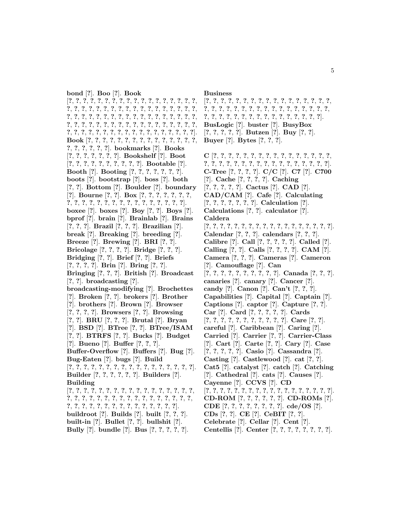**bond** [**?**]. **Boo** [**?**]. **Book** [**?**, **?**, **?**, **?**, **?**, **?**, **?**, **?**, **?**, **?**, **?**, **?**, **?**, **?**, **?**, **?**, **?**, **?**, **?**, **?**, **?**, **?**, **?**, **?**, **?**, **?**, **?**, **?**, **?**, **?**, **?**, **?**, **?**, **?**, **?**, **?**, **?**, **?**, **?**, **?**, **?**, **?**, **?**, **?**, **?**, **?**, **?**, **?**, **?**, **?**, **?**, **?**, **?**, **?**, **?**, **?**, **?**, **?**, **?**, **?**, **?**, **?**, **?**, **?**, **?**, **?**, **?**, **?**, **?**, **?**, **?**, **?**, **?**, **?**, **?**, **?**, **?**, **?**, **?**, **?**, **?**, **?**, **?**, **?**, **?**, **?**, **?**, **?**, **?**, **?**]. **Book** [**?**, **?**, **?**, **?**, **?**, **?**, **?**, **?**, **?**, **?**, **?**, **?**, **?**, **?**, **?**, **?**, **?**, **?**, **?**, **?**, **?**]. **bookmarks** [**?**]. **Books** [**?**, **?**, **?**, **?**, **?**, **?**, **?**]. **Bookshelf** [**?**]. **Boot** [**?**, **?**, **?**, **?**, **?**, **?**, **?**, **?**, **?**, **?**]. **Bootable** [**?**]. **Booth** [**?**]. **Booting** [**?**, **?**, **?**, **?**, **?**, **?**, **?**]. **boots** [**?**]. **bootstrap** [**?**]. **boss** [**?**]. **both** [**?**, **?**]. **Bottom** [**?**]. **Boulder** [**?**]. **boundary** [**?**]. **Bourne** [**?**, **?**]. **Box** [**?**, **?**, **?**, **?**, **?**, **?**, **?**, **?**, **?**, **?**, **?**, **?**, **?**, **?**, **?**, **?**, **?**, **?**, **?**, **?**, **?**, **?**, **?**]. **boxee** [**?**]. **boxes** [**?**]. **Boy** [**?**, **?**]. **Boys** [**?**]. **bprof** [**?**]. **brain** [**?**]. **Brainlab** [**?**]. **Brains** [**?**, **?**, **?**]. **Brazil** [**?**, **?**, **?**]. **Brazilian** [**?**]. **break** [**?**]. **Breaking** [**?**]. **breeding** [**?**]. **Breeze** [**?**]. **Brewing** [**?**]. **BRI** [**?**, **?**]. **Bricolage** [**?**, **?**, **?**, **?**]. **Bridge** [**?**, **?**, **?**]. **Bridging** [**?**, **?**]. **Brief** [**?**, **?**]. **Briefs** [**?**, **?**, **?**, **?**]. **Brin** [**?**]. **Bring** [**?**, **?**]. **Bringing** [**?**, **?**, **?**]. **British** [**?**]. **Broadcast** [**?**, **?**]. **broadcasting** [**?**]. **broadcasting-modifying** [**?**]. **Brochettes** [**?**]. **Broken** [**?**, **?**]. **brokers** [**?**]. **Brother** [**?**]. **brothers** [**?**]. **Brown** [**?**]. **Browser** [**?**, **?**, **?**, **?**]. **Browsers** [**?**, **?**]. **Browsing** [**?**, **?**]. **BRU** [**?**, **?**, **?**]. **Brutal** [**?**]. **Bryan** [**?**]. **BSD** [**?**]. **BTree** [**?**, **?**]. **BTree/ISAM** [**?**, **?**]. **BTRFS** [**?**, **?**]. **Bucks** [**?**]. **Budget** [**?**]. **Bueno** [**?**]. **Buffer** [**?**, **?**, **?**]. **Buffer-Overflow** [**?**]. **Buffers** [**?**]. **Bug** [**?**]. **Bug-Eaten** [**?**]. **bugs** [**?**]. **Build** [**?**, **?**, **?**, **?**, **?**, **?**, **?**, **?**, **?**, **?**, **?**, **?**, **?**, **?**, **?**, **?**, **?**]. **Builder** [**?**, **?**, **?**, **?**, **?**, **?**]. **Builders** [**?**]. **Building** [**?**, **?**, **?**, **?**, **?**, **?**, **?**, **?**, **?**, **?**, **?**, **?**, **?**, **?**, **?**, **?**, **?**, **?**, **?**, **?**, **?**, **?**, **?**, **?**, **?**, **?**, **?**, **?**, **?**, **?**, **?**, **?**, **?**, **?**, **?**, **?**, **?**, **?**, **?**, **?**, **?**, **?**, **?**, **?**, **?**, **?**, **?**, **?**, **?**]. **buildroot** [**?**]. **Builds** [**?**]. **built** [**?**, **?**, **?**]. **built-in** [**?**]. **Bullet** [**?**, **?**]. **bullshit** [**?**]. **Bully** [**?**]. **bundle** [**?**]. **Bus** [**?**, **?**, **?**, **?**, **?**].

#### **Business**

[**?**, **?**, **?**, **?**, **?**, **?**, **?**, **?**, **?**, **?**, **?**, **?**, **?**, **?**, **?**, **?**, **?**, **?**, **?**, **?**, **?**, **?**, **?**, **?**, **?**, **?**, **?**, **?**, **?**, **?**, **?**, **?**, **?**, **?**, **?**, **?**, **?**, **?**, **?**, **?**, **?**, **?**, **?**, **?**, **?**, **?**, **?**, **?**, **?**, **?**]. **BusLogic** [**?**]. **buster** [**?**]. **BusyBox** [**?**, **?**, **?**, **?**, **?**]. **Butzen** [**?**]. **Buy** [**?**, **?**]. **Buyer** [**?**]. **Bytes** [**?**, **?**, **?**].

**C** [**?**, **?**, **?**, **?**, **?**, **?**, **?**, **?**, **?**, **?**, **?**, **?**, **?**, **?**, **?**, **?**, **?**, **?**, **?**, **?**, **?**, **?**, **?**, **?**, **?**, **?**, **?**, **?**, **?**, **?**, **?**, **?**, **?**]. **C-Tree** [**?**, **?**, **?**, **?**]. **C/C** [**?**]. **C7** [**?**]. **C700** [**?**]. **Cache** [**?**, **?**, **?**, **?**]. **Caching** [**?**, **?**, **?**, **?**, **?**]. **Cactus** [**?**]. **CAD** [**?**]. **CAD/CAM** [**?**]. **Cafe** [**?**]. **Calculating** [**?**, **?**, **?**, **?**, **?**, **?**, **?**]. **Calculation** [**?**]. **Calculations** [**?**, **?**]. **calculator** [**?**]. **Caldera** [**?**, **?**, **?**, **?**, **?**, **?**, **?**, **?**, **?**, **?**, **?**, **?**, **?**, **?**, **?**, **?**, **?**, **?**]. **Calendar** [**?**, **?**, **?**]. **calendars** [**?**, **?**, **?**]. **Calibre** [**?**]. **Call** [**?**, **?**, **?**, **?**, **?**]. **Called** [**?**]. **Calling** [**?**, **?**]. **Calls** [**?**, **?**, **?**, **?**]. **CAM** [**?**]. **Camera** [**?**, **?**, **?**]. **Cameras** [**?**]. **Cameron** [**?**]. **Camouflage** [**?**]. **Can** [**?**, **?**, **?**, **?**, **?**, **?**, **?**, **?**, **?**, **?**]. **Canada** [**?**, **?**, **?**]. **canaries** [**?**]. **canary** [**?**]. **Cancer** [**?**]. **candy** [**?**]. **Canon** [**?**]. **Can't** [**?**, **?**, **?**]. **Capabilities** [**?**]. **Capital** [**?**]. **Captain** [**?**]. **Captions** [**?**]. **captor** [**?**]. **Capture** [**?**, **?**]. **Car** [**?**]. **Card** [**?**, **?**, **?**, **?**, **?**]. **Cards** [**?**, **?**, **?**, **?**, **?**, **?**, **?**, **?**, **?**, **?**, **?**]. **Care** [**?**, **?**]. **careful** [**?**]. **Caribbean** [**?**]. **Caring** [**?**]. **Carried** [**?**]. **Carrier** [**?**, **?**]. **Carrier-Class** [**?**]. **Cart** [**?**]. **Carte** [**?**, **?**]. **Cary** [**?**]. **Case** [**?**, **?**, **?**, **?**, **?**]. **Casio** [**?**]. **Cassandra** [**?**]. **Casting** [**?**]. **Castlewood** [**?**]. **cat** [**?**, **?**]. **Cat5** [**?**]. **catalyst** [**?**]. **catch** [**?**]. **Catching** [**?**]. **Cathedral** [**?**]. **cats** [**?**]. **Causes** [**?**]. **Cayenne** [**?**]. **CCVS** [**?**]. **CD** [**?**, **?**, **?**, **?**, **?**, **?**, **?**, **?**, **?**, **?**, **?**, **?**, **?**, **?**, **?**, **?**, **?**, **?**]. **CD-ROM** [**?**, **?**, **?**, **?**, **?**, **?**]. **CD-ROMs** [**?**]. **CDE** [**?**, **?**, **?**, **?**, **?**, **?**, **?**, **?**]. **cde/OS** [**?**]. **CDs** [**?**, **?**]. **CE** [**?**]. **CeBIT** [**?**, **?**].

**Celebrate** [**?**]. **Cellar** [**?**]. **Cent** [**?**]. **Centellis** [**?**]. **Center** [**?**, **?**, **?**, **?**, **?**, **?**, **?**, **?**].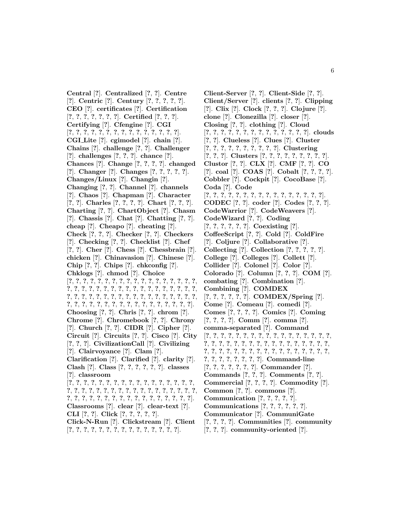**Central** [**?**]. **Centralized** [**?**, **?**]. **Centre** [**?**]. **Centric** [**?**]. **Century** [**?**, **?**, **?**, **?**, **?**]. **CEO** [**?**]. **certificates** [**?**]. **Certification** [**?**, **?**, **?**, **?**, **?**, **?**, **?**]. **Certified** [**?**, **?**, **?**]. **Certifying** [**?**]. **Cfengine** [**?**]. **CGI** [**?**, **?**, **?**, **?**, **?**, **?**, **?**, **?**, **?**, **?**, **?**, **?**, **?**, **?**, **?**]. **CGI Lite** [**?**]. **cgimodel** [**?**]. **chain** [**?**]. **Chains** [**?**]. **challenge** [**?**, **?**]. **Challenger** [**?**]. **challenges** [**?**, **?**, **?**]. **chance** [**?**]. **Chances** [**?**]. **Change** [**?**, **?**, **?**, **?**]. **changed** [**?**]. **Changer** [**?**]. **Changes** [**?**, **?**, **?**, **?**, **?**]. **Changes/Linux** [**?**]. **Changin** [**?**]. **Changing** [**?**, **?**]. **Channel** [**?**]. **channels** [**?**]. **Chaos** [**?**]. **Chapman** [**?**]. **Character** [**?**, **?**]. **Charles** [**?**, **?**, **?**, **?**]. **Chart** [**?**, **?**, **?**]. **Charting** [**?**, **?**]. **ChartObject** [**?**]. **Chasm** [**?**]. **Chassis** [**?**]. **Chat** [**?**]. **Chatting** [**?**, **?**]. **cheap** [**?**]. **Cheapo** [**?**]. **cheating** [**?**]. **Check** [**?**, **?**, **?**]. **Checker** [**?**, **?**]. **Checkers** [**?**]. **Checking** [**?**, **?**]. **Checklist** [**?**]. **Chef** [**?**, **?**]. **Cher** [**?**]. **Chess** [**?**]. **Chessbrain** [**?**]. **chicken** [**?**]. **Chinavasion** [**?**]. **Chinese** [**?**]. **Chip** [**?**, **?**]. **Chips** [**?**]. **chkconfig** [**?**]. **Chklogs** [**?**]. **chmod** [**?**]. **Choice** [**?**, **?**, **?**, **?**, **?**, **?**, **?**, **?**, **?**, **?**, **?**, **?**, **?**, **?**, **?**, **?**, **?**, **?**, **?**, **?**, **?**, **?**, **?**, **?**, **?**, **?**, **?**, **?**, **?**, **?**, **?**, **?**, **?**, **?**, **?**, **?**, **?**, **?**, **?**, **?**, **?**, **?**, **?**, **?**, **?**, **?**, **?**, **?**, **?**, **?**, **?**, **?**, **?**, **?**, **?**, **?**, **?**, **?**, **?**, **?**, **?**, **?**, **?**, **?**, **?**, **?**, **?**, **?**, **?**, **?**, **?**]. **Choosing** [**?**, **?**]. **Chris** [**?**, **?**]. **chrom** [**?**]. **Chrome** [**?**]. **Chromebook** [**?**, **?**]. **Chrony** [**?**]. **Church** [**?**, **?**]. **CIDR** [**?**]. **Cipher** [**?**]. **Circuit** [**?**]. **Circuits** [**?**, **?**]. **Cisco** [**?**]. **City** [**?**, **?**, **?**]. **CivilizationCall** [**?**]. **Civilizing** [**?**]. **Clairvoyance** [**?**]. **Clam** [**?**]. **Clarification** [**?**]. **Clarified** [**?**]. **clarity** [**?**]. **Clash** [**?**]. **Class** [**?**, **?**, **?**, **?**, **?**, **?**]. **classes** [**?**]. **classroom** [**?**, **?**, **?**, **?**, **?**, **?**, **?**, **?**, **?**, **?**, **?**, **?**, **?**, **?**, **?**, **?**, **?**, **?**, **?**, **?**, **?**, **?**, **?**, **?**, **?**, **?**, **?**, **?**, **?**, **?**, **?**, **?**, **?**, **?**, **?**, **?**, **?**, **?**, **?**, **?**, **?**, **?**, **?**, **?**, **?**, **?**, **?**, **?**, **?**, **?**, **?**, **?**]. **Classrooms** [**?**]. **clear** [**?**]. **clear-text** [**?**]. **CLI** [**?**, **?**]. **Click** [**?**, **?**, **?**, **?**, **?**]. **Click-N-Run** [**?**]. **Clickstream** [**?**]. **Client** [**?**, **?**, **?**, **?**, **?**, **?**, **?**, **?**, **?**, **?**, **?**, **?**, **?**, **?**, **?**].

**Client-Server** [**?**, **?**]. **Client-Side** [**?**, **?**]. **Client/Server** [**?**]. **clients** [**?**, **?**]. **Clipping** [**?**]. **Clix** [**?**]. **Clock** [**?**, **?**, **?**]. **Clojure** [**?**]. **clone** [**?**]. **Clonezilla** [**?**]. **closer** [**?**]. **Closing** [**?**, **?**]. **clothing** [**?**]. **Cloud** [**?**, **?**, **?**, **?**, **?**, **?**, **?**, **?**, **?**, **?**, **?**, **?**, **?**, **?**]. **clouds** [**?**, **?**]. **Clueless** [**?**]. **Clues** [**?**]. **Cluster** [**?**, **?**, **?**, **?**, **?**, **?**, **?**, **?**, **?**, **?**]. **Clustering** [**?**, **?**, **?**]. **Clusters** [**?**, **?**, **?**, **?**, **?**, **?**, **?**, **?**, **?**]. **Clustor** [**?**, **?**]. **CLX** [**?**]. **CMF** [**?**, **?**]. **CO** [**?**]. **coal** [**?**]. **COAS** [**?**]. **Cobalt** [**?**, **?**, **?**, **?**]. **Cobbler** [**?**]. **Cockpit** [**?**]. **CocoBase** [**?**]. **Coda** [**?**]. **Code** [**?**, **?**, **?**, **?**, **?**, **?**, **?**, **?**, **?**, **?**, **?**, **?**, **?**, **?**, **?**, **?**]. **CODEC** [**?**, **?**]. **coder** [**?**]. **Codes** [**?**, **?**, **?**]. **CodeWarrior** [**?**]. **CodeWeavers** [**?**]. **CodeWizard** [**?**, **?**]. **Coding** [**?**, **?**, **?**, **?**, **?**, **?**]. **Coexisting** [**?**]. **CoffeeScript** [**?**, **?**]. **Cold** [**?**]. **ColdFire** [**?**]. **Coljure** [**?**]. **Collaborative** [**?**]. **Collecting** [**?**]. **Collection** [**?**, **?**, **?**, **?**, **?**]. **College** [**?**]. **Colleges** [**?**]. **Collett** [**?**]. **Collider** [**?**]. **Colonel** [**?**]. **Color** [**?**]. **Colorado** [**?**]. **Column** [**?**, **?**, **?**]. **COM** [**?**]. **combating** [**?**]. **Combination** [**?**]. **Combining** [**?**]. **COMDEX** [**?**, **?**, **?**, **?**, **?**, **?**]. **COMDEX/Spring** [**?**]. **Come** [**?**]. **Comeau** [**?**]. **comedi** [**?**]. **Comes** [**?**, **?**, **?**, **?**]. **Comics** [**?**]. **Coming** [**?**, **?**, **?**, **?**]. **Comm** [**?**]. **comma** [**?**]. **comma-separated** [**?**]. **Command** [**?**, **?**, **?**, **?**, **?**, **?**, **?**, **?**, **?**, **?**, **?**, **?**, **?**, **?**, **?**, **?**, **?**, **?**, **?**, **?**, **?**, **?**, **?**, **?**, **?**, **?**, **?**, **?**, **?**, **?**, **?**, **?**, **?**, **?**, **?**, **?**, **?**, **?**, **?**, **?**, **?**, **?**, **?**, **?**, **?**, **?**, **?**, **?**, **?**, **?**, **?**, **?**, **?**, **?**, **?**, **?**, **?**, **?**, **?**]. **Command-line** [**?**, **?**, **?**, **?**, **?**, **?**, **?**]. **Commander** [**?**]. **Commands** [**?**, **?**, **?**]. **Comments** [**?**, **?**]. **Commercial** [**?**, **?**, **?**, **?**]. **Commodity** [**?**]. **Common** [**?**, **?**]. **commons** [**?**]. **Communication** [**?**, **?**, **?**, **?**, **?**]. **Communications** [**?**, **?**, **?**, **?**, **?**, **?**]. **Communicator** [**?**]. **CommuniGate** [**?**, **?**, **?**, **?**]. **Communities** [**?**]. **community**

[**?**, **?**, **?**]. **community-oriented** [**?**].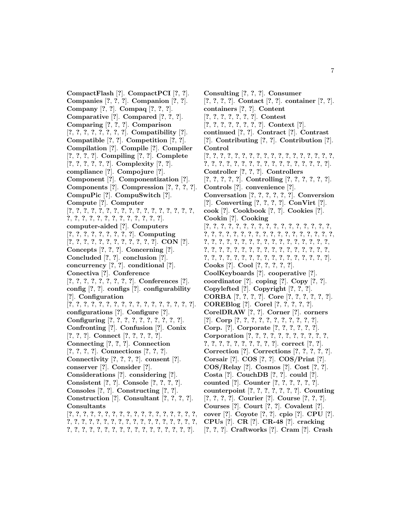**CompactFlash** [**?**]. **CompactPCI** [**?**, **?**]. **Companies** [**?**, **?**, **?**]. **Companion** [**?**, **?**]. **Company** [**?**, **?**]. **Compaq** [**?**, **?**, **?**]. **Comparative** [**?**]. **Compared** [**?**, **?**, **?**]. **Comparing** [**?**, **?**, **?**]. **Comparison** [**?**, **?**, **?**, **?**, **?**, **?**, **?**, **?**]. **Compatibility** [**?**]. **Compatible** [**?**, **?**]. **Competition** [**?**, **?**]. **Compilation** [**?**]. **Compile** [**?**]. **Compiler** [**?**, **?**, **?**, **?**]. **Compiling** [**?**, **?**]. **Complete** [**?**, **?**, **?**, **?**, **?**, **?**]. **Complexity** [**?**, **?**]. **compliance** [**?**]. **Compojure** [**?**]. **Component** [**?**]. **Componentization** [**?**]. **Components** [**?**]. **Compression** [**?**, **?**, **?**, **?**]. **CompuPic** [**?**]. **CompuSwitch** [**?**]. **Compute** [**?**]. **Computer** [**?**, **?**, **?**, **?**, **?**, **?**, **?**, **?**, **?**, **?**, **?**, **?**, **?**, **?**, **?**, **?**, **?**, **?**, **?**, **?**, **?**, **?**, **?**, **?**, **?**, **?**, **?**, **?**, **?**, **?**]. **computer-aided** [**?**]. **Computers** [**?**, **?**, **?**, **?**, **?**, **?**, **?**, **?**, **?**]. **Computing** [**?**, **?**, **?**, **?**, **?**, **?**, **?**, **?**, **?**, **?**, **?**, **?**]. **CON** [**?**]. **Concepts** [**?**, **?**, **?**]. **Concerning** [**?**]. **Concluded** [**?**, **?**]. **conclusion** [**?**]. **concurrency** [**?**, **?**]. **conditional** [**?**]. **Conectiva** [**?**]. **Conference** [**?**, **?**, **?**, **?**, **?**, **?**, **?**, **?**, **?**]. **Conferences** [**?**]. **config** [**?**, **?**]. **configs** [**?**]. **configurability** [**?**]. **Configuration** [**?**, **?**, **?**, **?**, **?**, **?**, **?**, **?**, **?**, **?**, **?**, **?**, **?**, **?**, **?**, **?**, **?**]. **configurations** [**?**]. **Configure** [**?**]. **Configuring** [**?**, **?**, **?**, **?**, **?**, **?**, **?**, **?**, **?**, **?**]. **Confronting** [**?**]. **Confusion** [**?**]. **Conix** [**?**, **?**, **?**]. **Connect** [**?**, **?**, **?**, **?**, **?**]. **Connecting** [**?**, **?**, **?**]. **Connection** [**?**, **?**, **?**, **?**]. **Connections** [**?**, **?**, **?**]. **Connectivity** [**?**, **?**, **?**, **?**]. **consent** [**?**]. **conserver** [**?**]. **Consider** [**?**]. **Considerations** [**?**]. **considering** [**?**]. **Consistent** [**?**, **?**]. **Console** [**?**, **?**, **?**, **?**]. **Consoles** [**?**, **?**]. **Constructing** [**?**, **?**]. **Construction** [**?**]. **Consultant** [**?**, **?**, **?**, **?**]. **Consultants** [**?**, **?**, **?**, **?**, **?**, **?**, **?**, **?**, **?**, **?**, **?**, **?**, **?**, **?**, **?**, **?**, **?**, **?**, **?**, **?**, **?**, **?**, **?**, **?**, **?**, **?**, **?**, **?**, **?**, **?**, **?**, **?**, **?**, **?**, **?**, **?**, **?**, **?**, **?**, **?**, **?**, **?**, **?**, **?**, **?**, **?**, **?**, **?**, **?**, **?**, **?**, **?**, **?**].

**Consulting** [**?**, **?**, **?**]. **Consumer** [**?**, **?**, **?**, **?**]. **Contact** [**?**, **?**]. **container** [**?**, **?**]. **containers** [**?**, **?**]. **Content** [**?**, **?**, **?**, **?**, **?**, **?**, **?**]. **Contest** [**?**, **?**, **?**, **?**, **?**, **?**, **?**, **?**]. **Context** [**?**]. **continued** [**?**, **?**]. **Contract** [**?**]. **Contrast** [**?**]. **Contributing** [**?**, **?**]. **Contribution** [**?**]. **Control** [**?**, **?**, **?**, **?**, **?**, **?**, **?**, **?**, **?**, **?**, **?**, **?**, **?**, **?**, **?**, **?**, **?**, **?**, **?**, **?**, **?**, **?**, **?**, **?**, **?**, **?**, **?**, **?**, **?**, **?**, **?**, **?**, **?**, **?**, **?**]. **Controller** [**?**, **?**, **?**]. **Controllers** [**?**, **?**, **?**, **?**, **?**]. **Controlling** [**?**, **?**, **?**, **?**, **?**, **?**]. **Controls** [**?**]. **convenience** [**?**]. **Conversation** [**?**, **?**, **?**, **?**, **?**, **?**]. **Conversion** [**?**]. **Converting** [**?**, **?**, **?**, **?**]. **ConVirt** [**?**]. **cook** [**?**]. **Cookbook** [**?**, **?**]. **Cookies** [**?**]. **Cookin** [**?**]. **Cooking** [**?**, **?**, **?**, **?**, **?**, **?**, **?**, **?**, **?**, **?**, **?**, **?**, **?**, **?**, **?**, **?**, **?**, **?**, **?**, **?**, **?**, **?**, **?**, **?**, **?**, **?**, **?**, **?**, **?**, **?**, **?**, **?**, **?**, **?**, **?**, **?**, **?**, **?**, **?**, **?**, **?**, **?**, **?**, **?**, **?**, **?**, **?**, **?**, **?**, **?**, **?**, **?**, **?**, **?**, **?**, **?**, **?**, **?**, **?**, **?**, **?**, **?**, **?**, **?**, **?**, **?**, **?**, **?**, **?**, **?**, **?**, **?**, **?**, **?**, **?**, **?**, **?**, **?**, **?**, **?**, **?**, **?**, **?**, **?**, **?**, **?**]. **Cooks** [**?**]. **Cool** [**?**, **?**, **?**, **?**, **?**]. **CoolKeyboards** [**?**]. **cooperative** [**?**]. **coordinator** [**?**]. **coping** [**?**]. **Copy** [**?**, **?**]. **Copylefted** [**?**]. **Copyright** [**?**, **?**, **?**]. **CORBA** [**?**, **?**, **?**, **?**]. **Core** [**?**, **?**, **?**, **?**, **?**, **?**]. **COREBlog** [**?**]. **Corel** [**?**, **?**, **?**, **?**, **?**]. **CorelDRAW** [**?**, **?**]. **Corner** [**?**]. **corners** [**?**]. **Corp** [**?**, **?**, **?**, **?**, **?**, **?**, **?**, **?**, **?**, **?**, **?**]. **Corp.** [**?**]. **Corporate** [**?**, **?**, **?**, **?**, **?**, **?**]. **Corporation** [**?**, **?**, **?**, **?**, **?**, **?**, **?**, **?**, **?**, **?**, **?**, **?**, **?**, **?**, **?**, **?**, **?**, **?**, **?**, **?**, **?**]. **correct** [**?**, **?**]. **Correction** [**?**]. **Corrections** [**?**, **?**, **?**, **?**, **?**]. **Corsair** [**?**]. **COS** [**?**, **?**]. **COS/Print** [**?**]. **COS/Relay** [**?**]. **Cosmos** [**?**]. **Cost** [**?**, **?**]. **Costa** [**?**]. **CouchDB** [**?**, **?**]. **could** [**?**]. **counted** [**?**]. **Counter** [**?**, **?**, **?**, **?**, **?**, **?**]. **counterpoint** [**?**, **?**, **?**, **?**, **?**, **?**, **?**]. **Counting** [**?**, **?**, **?**, **?**]. **Courier** [**?**]. **Course** [**?**, **?**, **?**]. **Courses** [**?**]. **Court** [**?**, **?**]. **Covalent** [**?**]. **cover** [**?**]. **Coyote** [**?**, **?**]. **cpio** [**?**]. **CPU** [**?**]. **CPUs** [**?**]. **CR** [**?**]. **CR-48** [**?**]. **cracking** [**?**, **?**, **?**]. **Craftworks** [**?**]. **Cram** [**?**]. **Crash**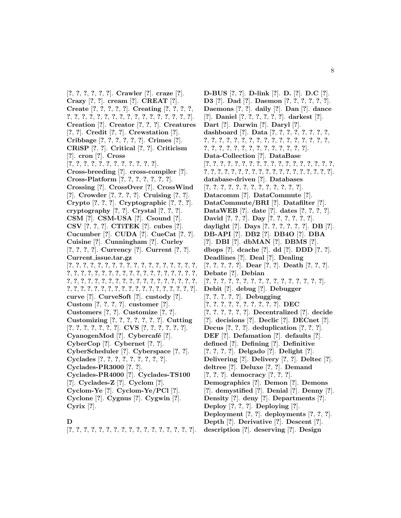[**?**, **?**, **?**, **?**, **?**, **?**]. **Crawler** [**?**]. **craze** [**?**]. **Crazy** [**?**, **?**]. **cream** [**?**]. **CREAT** [**?**]. **Create** [**?**, **?**, **?**, **?**, **?**]. **Creating** [**?**, **?**, **?**, **?**, **?**, **?**, **?**, **?**, **?**, **?**, **?**, **?**, **?**, **?**, **?**, **?**, **?**, **?**, **?**, **?**, **?**]. **Creation** [**?**]. **Creator** [**?**, **?**, **?**]. **Creatures** [**?**, **?**]. **Credit** [**?**, **?**]. **Crewstation** [**?**]. **Cribbage** [**?**, **?**, **?**, **?**, **?**, **?**]. **Crimes** [**?**]. **CRiSP** [**?**, **?**]. **Critical** [**?**, **?**]. **Criticism** [**?**]. **cron** [**?**]. **Cross** [**?**, **?**, **?**, **?**, **?**, **?**, **?**, **?**, **?**, **?**, **?**, **?**]. **Cross-breeding** [**?**]. **cross-compiler** [**?**]. **Cross-Platform** [**?**, **?**, **?**, **?**, **?**, **?**, **?**]. **Crossing** [**?**]. **CrossOver** [**?**]. **CrossWind** [**?**]. **Crowder** [**?**, **?**, **?**, **?**]. **Cruising** [**?**, **?**]. **Crypto** [**?**, **?**, **?**]. **Cryptographic** [**?**, **?**, **?**]. **cryptography** [**?**, **?**]. **Crystal** [**?**, **?**, **?**]. **CSM** [**?**]. **CSM-USA** [**?**]. **Csound** [**?**]. **CSV** [**?**, **?**, **?**]. **CTiTEK** [**?**]. **cubes** [**?**]. **Cucumber** [**?**]. **CUDA** [**?**]. **CueCat** [**?**, **?**]. **Cuisine** [**?**]. **Cunningham** [**?**]. **Curley** [**?**, **?**, **?**, **?**]. **Currency** [**?**]. **Current** [**?**, **?**]. **Current issue.tar.gz** [**?**, **?**, **?**, **?**, **?**, **?**, **?**, **?**, **?**, **?**, **?**, **?**, **?**, **?**, **?**, **?**, **?**, **?**, **?**, **?**, **?**, **?**, **?**, **?**, **?**, **?**, **?**, **?**, **?**, **?**, **?**, **?**, **?**, **?**, **?**, **?**, **?**, **?**, **?**, **?**, **?**, **?**, **?**, **?**, **?**, **?**, **?**, **?**, **?**, **?**, **?**, **?**, **?**, **?**, **?**, **?**, **?**, **?**, **?**, **?**, **?**, **?**, **?**, **?**, **?**, **?**, **?**, **?**, **?**, **?**, **?**, **?**, **?**, **?**, **?**]. **curve** [**?**]. **CurveSoft** [**?**]. **custody** [**?**]. **Custom** [**?**, **?**, **?**, **?**]. **customer** [**?**]. **Customers** [**?**, **?**]. **Customize** [**?**, **?**]. **Customizing** [**?**, **?**, **?**, **?**, **?**, **?**, **?**]. **Cutting** [**?**, **?**, **?**, **?**, **?**, **?**, **?**]. **CVS** [**?**, **?**, **?**, **?**, **?**, **?**]. **CyanogenMod** [?]. **Cybercafé** [?]. **CyberCop** [**?**]. **Cybernet** [**?**, **?**]. **CyberScheduler** [**?**]. **Cyberspace** [**?**, **?**]. **Cyclades** [**?**, **?**, **?**, **?**, **?**, **?**, **?**, **?**, **?**]. **Cyclades-PR3000** [**?**, **?**]. **Cyclades-PR4000** [**?**]. **Cyclades-TS100** [**?**]. **Cyclades-Z** [**?**]. **Cyclom** [**?**]. **Cyclom-Ye** [**?**]. **Cyclom-Ye/PCl** [**?**]. **Cyclone** [**?**]. **Cygnus** [**?**]. **Cygwin** [**?**]. **Cyrix** [**?**].

### **D**

[**?**, **?**, **?**, **?**, **?**, **?**, **?**, **?**, **?**, **?**, **?**, **?**, **?**, **?**, **?**, **?**, **?**].

**D-BUS** [**?**, **?**]. **D-link** [**?**]. **D.** [**?**]. **D.C** [**?**]. **D3** [**?**]. **Dad** [**?**]. **Daemon** [**?**, **?**, **?**, **?**, **?**, **?**]. **Daemons** [**?**, **?**]. **daily** [**?**]. **Dan** [**?**]. **dance** [**?**]. **Daniel** [**?**, **?**, **?**, **?**, **?**, **?**]. **darkest** [**?**]. **Dart** [**?**]. **Darwin** [**?**]. **Daryl** [**?**]. **dashboard** [**?**]. **Data** [**?**, **?**, **?**, **?**, **?**, **?**, **?**, **?**, **?**, **?**, **?**, **?**, **?**, **?**, **?**, **?**, **?**, **?**, **?**, **?**, **?**, **?**, **?**, **?**, **?**, **?**, **?**, **?**, **?**, **?**, **?**, **?**, **?**, **?**, **?**, **?**, **?**, **?**, **?**]. **Data-Collection** [**?**]. **DataBase** [**?**, **?**, **?**, **?**, **?**, **?**, **?**, **?**, **?**, **?**, **?**, **?**, **?**, **?**, **?**, **?**, **?**, **?**, **?**, **?**, **?**, **?**, **?**, **?**, **?**, **?**, **?**, **?**, **?**, **?**, **?**, **?**, **?**, **?**, **?**, **?**, **?**]. **database-driven** [**?**]. **Databases** [**?**, **?**, **?**, **?**, **?**, **?**, **?**, **?**, **?**, **?**, **?**, **?**, **?**]. **Datacomm** [**?**]. **DataCommute** [**?**]. **DataCommute/BRI** [**?**]. **Datafilter** [**?**]. **DataWEB** [**?**]. **date** [**?**]. **dates** [**?**, **?**, **?**, **?**]. **David** [**?**, **?**, **?**]. **Day** [**?**, **?**, **?**, **?**, **?**, **?**]. **daylight** [**?**]. **Days** [**?**, **?**, **?**, **?**, **?**, **?**]. **DB** [**?**]. **DB-API** [**?**]. **DB2** [**?**]. **DB4O** [**?**]. **DBA** [**?**]. **DBI** [**?**]. **dbMAN** [**?**]. **DBMS** [**?**]. **dbops** [**?**]. **dcache** [**?**]. **dd** [**?**]. **DDD** [**?**, **?**]. **Deadlines** [**?**]. **Deal** [**?**]. **Dealing** [**?**, **?**, **?**, **?**, **?**]. **Dear** [**?**, **?**]. **Death** [**?**, **?**, **?**]. **Debate** [**?**]. **Debian** [**?**, **?**, **?**, **?**, **?**, **?**, **?**, **?**, **?**, **?**, **?**, **?**, **?**, **?**, **?**, **?**]. **Debit** [**?**]. **debug** [**?**]. **Debugger** [**?**, **?**, **?**, **?**, **?**]. **Debugging** [**?**, **?**, **?**, **?**, **?**, **?**, **?**, **?**, **?**, **?**]. **DEC** [**?**, **?**, **?**, **?**, **?**, **?**]. **Decentralized** [**?**]. **decide** [**?**]. **decisions** [**?**]. **Declic** [**?**]. **DECnet** [**?**]. **Decus** [**?**, **?**, **?**]. **deduplication** [**?**, **?**, **?**]. **DEF** [**?**]. **Defamation** [**?**]. **defaults** [**?**]. **defined** [**?**]. **Defining** [**?**]. **Definitive** [**?**, **?**, **?**, **?**]. **Delgado** [**?**]. **Delight** [**?**]. **Delivering** [**?**]. **Delivery** [**?**, **?**]. **Deltec** [**?**]. **deltree** [**?**]. **Deluxe** [**?**, **?**]. **Demand** [**?**, **?**, **?**]. **democracy** [**?**, **?**, **?**]. **Demographics** [**?**]. **Demon** [**?**]. **Demons** [**?**]. **demystified** [**?**]. **Denial** [**?**]. **Denny** [**?**]. **Density** [**?**]. **deny** [**?**]. **Departments** [**?**]. **Deploy** [**?**, **?**, **?**]. **Deploying** [**?**]. **Deployment** [**?**, **?**]. **deployments** [**?**, **?**, **?**]. **Depth** [**?**]. **Derivative** [**?**]. **Descent** [**?**]. **description** [**?**]. **deserving** [**?**]. **Design**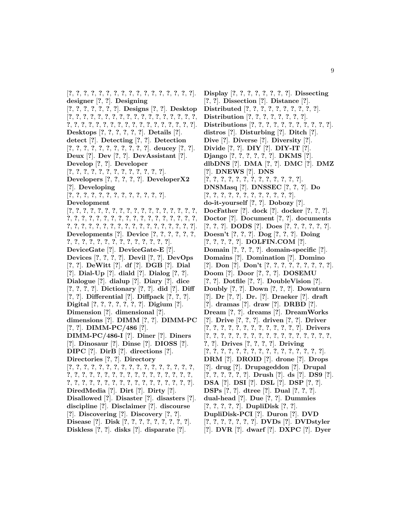[**?**, **?**, **?**, **?**, **?**, **?**, **?**, **?**, **?**, **?**, **?**, **?**, **?**, **?**, **?**, **?**, **?**]. **designer** [**?**, **?**]. **Designing** [**?**, **?**, **?**, **?**, **?**, **?**, **?**]. **Designs** [**?**, **?**]. **Desktop** [**?**, **?**, **?**, **?**, **?**, **?**, **?**, **?**, **?**, **?**, **?**, **?**, **?**, **?**, **?**, **?**, **?**, **?**, **?**, **?**, **?**, **?**, **?**, **?**, **?**, **?**, **?**, **?**, **?**, **?**, **?**, **?**, **?**, **?**, **?**, **?**]. **Desktops** [**?**, **?**, **?**, **?**, **?**, **?**]. **Details** [**?**]. **detect** [**?**]. **Detecting** [**?**, **?**]. **Detection** [**?**, **?**, **?**, **?**, **?**, **?**, **?**, **?**, **?**, **?**, **?**]. **deucey** [**?**, **?**]. **Deux** [**?**]. **Dev** [**?**, **?**]. **DevAssistant** [**?**]. **Develop** [**?**, **?**]. **Developer** [**?**, **?**, **?**, **?**, **?**, **?**, **?**, **?**, **?**, **?**, **?**, **?**, **?**]. **Developers** [**?**, **?**, **?**, **?**, **?**]. **DeveloperX2** [**?**]. **Developing** [**?**, **?**, **?**, **?**, **?**, **?**, **?**, **?**, **?**, **?**, **?**, **?**, **?**]. **Development** [**?**, **?**, **?**, **?**, **?**, **?**, **?**, **?**, **?**, **?**, **?**, **?**, **?**, **?**, **?**, **?**, **?**, **?**, **?**, **?**, **?**, **?**, **?**, **?**, **?**, **?**, **?**, **?**, **?**, **?**, **?**, **?**, **?**, **?**, **?**, **?**, **?**, **?**, **?**, **?**, **?**, **?**, **?**, **?**, **?**, **?**, **?**, **?**, **?**, **?**, **?**, **?**, **?**, **?**]. **Developments** [**?**]. **Device** [**?**, **?**, **?**, **?**, **?**, **?**, **?**, **?**, **?**, **?**, **?**, **?**, **?**, **?**, **?**, **?**, **?**, **?**, **?**, **?**]. **DeviceGate** [**?**]. **DeviceGate-E** [**?**]. **Devices** [**?**, **?**, **?**, **?**]. **Devil** [**?**, **?**]. **DevOps** [**?**, **?**]. **DeWitt** [**?**]. **df** [**?**]. **DGB** [**?**]. **Dial** [**?**]. **Dial-Up** [**?**]. **diald** [**?**]. **Dialog** [**?**, **?**]. **Dialogue** [**?**]. **dialup** [**?**]. **Diary** [**?**]. **dice** [**?**, **?**, **?**, **?**]. **Dictionary** [**?**, **?**]. **did** [**?**]. **Diff** [**?**, **?**]. **Differential** [**?**]. **Diffpack** [**?**, **?**, **?**]. **Digital** [**?**, **?**, **?**, **?**, **?**, **?**, **?**]. **Digium** [**?**]. **Dimension** [**?**]. **dimensional** [**?**]. **dimensions** [**?**]. **DIMM** [**?**, **?**]. **DIMM-PC** [**?**, **?**]. **DIMM-PC/486** [**?**]. **DIMM-PC/486-I** [**?**]. **Diner** [**?**]. **Diners** [**?**]. **Dinosaur** [**?**]. **Dinse** [**?**]. **DIOSS** [**?**]. **DIPC** [**?**]. **DirB** [**?**]. **directions** [**?**]. **Directories** [**?**, **?**]. **Directory** [**?**, **?**, **?**, **?**, **?**, **?**, **?**, **?**, **?**, **?**, **?**, **?**, **?**, **?**, **?**, **?**, **?**, **?**, **?**, **?**, **?**, **?**, **?**, **?**, **?**, **?**, **?**, **?**, **?**, **?**, **?**, **?**, **?**, **?**, **?**, **?**, **?**, **?**, **?**, **?**, **?**, **?**, **?**, **?**, **?**, **?**, **?**, **?**, **?**, **?**, **?**]. **DiredMedia** [**?**]. **Dirt** [**?**]. **Dirty** [**?**]. **Disallowed** [**?**]. **Disaster** [**?**]. **disasters** [**?**]. **discipline** [**?**]. **Disclaimer** [**?**]. **discourse** [**?**]. **Discovering** [**?**]. **Discovery** [**?**, **?**]. **Disease** [**?**]. **Disk** [**?**, **?**, **?**, **?**, **?**, **?**, **?**, **?**, **?**]. **Diskless** [**?**, **?**]. **disks** [**?**]. **disparate** [**?**].

**Display** [**?**, **?**, **?**, **?**, **?**, **?**, **?**, **?**]. **Dissecting** [**?**, **?**]. **Dissection** [**?**]. **Distance** [**?**]. **Distributed** [**?**, **?**, **?**, **?**, **?**, **?**, **?**, **?**, **?**, **?**]. **Distribution** [**?**, **?**, **?**, **?**, **?**, **?**, **?**, **?**]. **Distributions** [**?**, **?**, **?**, **?**, **?**, **?**, **?**, **?**, **?**, **?**, **?**]. **distros** [**?**]. **Disturbing** [**?**]. **Ditch** [**?**]. **Dive** [**?**]. **Diverse** [**?**]. **Diversity** [**?**]. **Divide** [**?**, **?**]. **DIY** [**?**]. **DIY-IT** [**?**]. **Django** [**?**, **?**, **?**, **?**, **?**, **?**]. **DKMS** [**?**]. **dlbDNS** [**?**]. **DMA** [**?**, **?**]. **DMC** [**?**]. **DMZ** [**?**]. **DNEWS** [**?**]. **DNS** [**?**, **?**, **?**, **?**, **?**, **?**, **?**, **?**, **?**, **?**, **?**, **?**, **?**]. **DNSMasq** [**?**]. **DNSSEC** [**?**, **?**, **?**]. **Do** [**?**, **?**, **?**, **?**, **?**, **?**, **?**, **?**, **?**, **?**, **?**, **?**]. **do-it-yourself** [**?**, **?**]. **Dobozy** [**?**]. **DocFather** [**?**]. **dock** [**?**]. **docker** [**?**, **?**, **?**]. **Doctor** [**?**]. **Document** [**?**, **?**]. **documents** [**?**, **?**, **?**]. **DODS** [**?**]. **Does** [**?**, **?**, **?**, **?**, **?**, **?**]. **Doesn't** [**?**, **?**, **?**]. **Dog** [**?**, **?**, **?**]. **Doing** [**?**, **?**, **?**, **?**, **?**]. **DOLFIN.COM** [**?**]. **Domain** [**?**, **?**, **?**, **?**]. **domain-specific** [**?**]. **Domains** [**?**]. **Domination** [**?**]. **Domino** [**?**]. **Don** [**?**]. **Don't** [**?**, **?**, **?**, **?**, **?**, **?**, **?**, **?**, **?**]. **Doom** [**?**]. **Door** [**?**, **?**, **?**]. **DOSEMU** [**?**, **?**]. **Dotfile** [**?**, **?**]. **DoubleVision** [**?**]. **Doubly** [**?**, **?**]. **Down** [**?**, **?**, **?**]. **Downturn** [**?**]. **Dr** [**?**, **?**]. **Dr.** [**?**]. **Draeker** [**?**]. **draft** [**?**]. **dramas** [**?**]. **draw** [**?**]. **DRBD** [**?**]. **Dream** [**?**, **?**]. **dreams** [**?**]. **DreamWorks** [**?**]. **Drive** [**?**, **?**, **?**]. **driven** [**?**, **?**]. **Driver** [**?**, **?**, **?**, **?**, **?**, **?**, **?**, **?**, **?**, **?**, **?**, **?**, **?**]. **Drivers** [**?**, **?**, **?**, **?**, **?**, **?**, **?**, **?**, **?**, **?**, **?**, **?**, **?**, **?**, **?**, **?**, **?**, **?**, **?**]. **Drives** [**?**, **?**, **?**, **?**]. **Driving** [**?**, **?**, **?**, **?**, **?**, **?**, **?**, **?**, **?**, **?**, **?**, **?**, **?**, **?**, **?**, **?**]. **DRM** [**?**]. **DROID** [**?**]. **drone** [**?**]. **Drops** [**?**]. **drug** [**?**]. **Drupageddon** [**?**]. **Drupal** [**?**, **?**, **?**, **?**, **?**, **?**]. **Drush** [**?**]. **ds** [**?**]. **DS9** [**?**]. **DSA** [**?**]. **DSI** [**?**]. **DSL** [**?**]. **DSP** [**?**, **?**]. **DSPs** [**?**, **?**]. **dtree** [**?**]. **Dual** [**?**, **?**, **?**]. **dual-head** [**?**]. **Due** [**?**, **?**]. **Dummies** [**?**, **?**, **?**, **?**, **?**]. **DupliDisk** [**?**, **?**]. **DupliDisk-PCI** [**?**]. **Duron** [**?**]. **DVD** [**?**, **?**, **?**, **?**, **?**, **?**, **?**]. **DVDs** [**?**]. **DVDstyler** [**?**]. **DVR** [**?**]. **dwarf** [**?**]. **DXPC** [**?**]. **Dyer**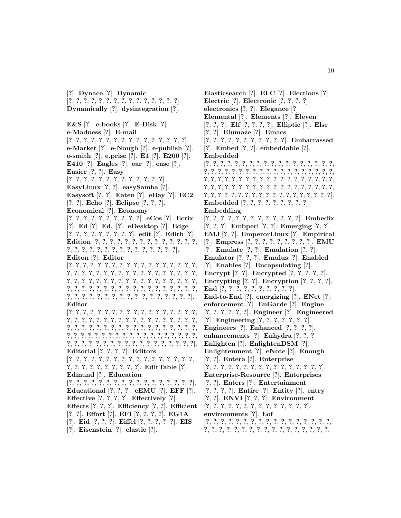[**?**]. **Dynace** [**?**]. **Dynamic** [**?**, **?**, **?**, **?**, **?**, **?**, **?**, **?**, **?**, **?**, **?**, **?**, **?**, **?**, **?**]. **Dynamically** [**?**]. **dysintegration** [**?**]. **E&S** [**?**]. **e-books** [**?**]. **E-Disk** [**?**]. **e-Madness** [**?**]. **E-mail** [**?**, **?**, **?**, **?**, **?**, **?**, **?**, **?**, **?**, **?**, **?**, **?**, **?**, **?**, **?**, **?**]. **e-Market** [**?**]. **e-Nough** [**?**]. **e-publish** [**?**]. **e-smith** [**?**]. **e.prise** [**?**]. **E1** [**?**]. **E200** [**?**]. **E410** [**?**]. **Eagles** [**?**]. **ear** [**?**]. **ease** [**?**]. **Easier** [**?**, **?**]. **Easy** [**?**, **?**, **?**, **?**, **?**, **?**, **?**, **?**, **?**, **?**, **?**, **?**, **?**]. **EasyLinux** [**?**, **?**]. **easySamba** [**?**]. **Easysoft** [**?**, **?**]. **Eaten** [**?**]. **eBay** [**?**]. **EC2** [**?**, **?**]. **Echo** [**?**]. **Eclipse** [**?**, **?**, **?**]. **Economical** [**?**]. **Economy** [**?**, **?**, **?**, **?**, **?**, **?**, **?**, **?**, **?**, **?**]. **eCos** [**?**]. **Ecrix** [**?**]. **Ed** [**?**]. **Ed.** [**?**]. **eDesktop** [**?**]. **Edge** [**?**, **?**, **?**, **?**, **?**, **?**, **?**, **?**, **?**]. **edit** [**?**]. **Edith** [**?**]. **Edition** [**?**, **?**, **?**, **?**, **?**, **?**, **?**, **?**, **?**, **?**, **?**, **?**, **?**, **?**, **?**, **?**, **?**, **?**, **?**, **?**, **?**, **?**, **?**, **?**, **?**, **?**, **?**, **?**, **?**]. **Editon** [**?**]. **Editor** [**?**, **?**, **?**, **?**, **?**, **?**, **?**, **?**, **?**, **?**, **?**, **?**, **?**, **?**, **?**, **?**, **?**, **?**, **?**, **?**, **?**, **?**, **?**, **?**, **?**, **?**, **?**, **?**, **?**, **?**, **?**, **?**, **?**, **?**, **?**, **?**, **?**, **?**, **?**, **?**, **?**, **?**, **?**, **?**, **?**, **?**, **?**, **?**, **?**, **?**, **?**, **?**, **?**, **?**, **?**, **?**, **?**, **?**, **?**, **?**, **?**, **?**, **?**, **?**, **?**, **?**, **?**, **?**, **?**, **?**, **?**, **?**, **?**, **?**, **?**, **?**, **?**, **?**, **?**, **?**, **?**, **?**, **?**, **?**, **?**, **?**, **?**, **?**, **?**]. **Editor** [**?**, **?**, **?**, **?**, **?**, **?**, **?**, **?**, **?**, **?**, **?**, **?**, **?**, **?**, **?**, **?**, **?**, **?**, **?**, **?**, **?**, **?**, **?**, **?**, **?**, **?**, **?**, **?**, **?**, **?**, **?**, **?**, **?**, **?**, **?**, **?**, **?**, **?**, **?**, **?**, **?**, **?**, **?**, **?**, **?**, **?**, **?**, **?**, **?**, **?**, **?**, **?**, **?**, **?**, **?**, **?**, **?**, **?**, **?**, **?**, **?**, **?**, **?**, **?**, **?**, **?**, **?**, **?**, **?**, **?**, **?**, **?**, **?**, **?**, **?**, **?**, **?**, **?**, **?**, **?**, **?**, **?**, **?**, **?**, **?**, **?**, **?**, **?**, **?**, **?**, **?**]. **Editorial** [**?**, **?**, **?**, **?**]. **Editors** [**?**, **?**, **?**, **?**, **?**, **?**, **?**, **?**, **?**, **?**, **?**, **?**, **?**, **?**, **?**, **?**, **?**, **?**, **?**, **?**, **?**, **?**, **?**, **?**, **?**, **?**, **?**]. **EditTable** [**?**]. **Edmund** [**?**]. **Education** [**?**, **?**, **?**, **?**, **?**, **?**, **?**, **?**, **?**, **?**, **?**, **?**, **?**, **?**, **?**, **?**, **?**]. **Educational** [**?**, **?**, **?**]. **eEMU** [**?**]. **EFF** [**?**]. **Effective** [**?**, **?**, **?**, **?**]. **Effectively** [**?**]. **Effects** [**?**, **?**, **?**]. **Efficiency** [**?**, **?**]. **Efficient** [**?**, **?**]. **Effort** [**?**]. **EFI** [**?**, **?**, **?**, **?**]. **EG1A** [**?**]. **Eid** [**?**, **?**, **?**]. **Eiffel** [**?**, **?**, **?**, **?**, **?**]. **EIS** [**?**]. **Eisenstein** [**?**]. **elastic** [**?**].

**Elasticsearch** [**?**]. **ELC** [**?**]. **Elections** [**?**]. **Electric** [**?**]. **Electronic** [**?**, **?**, **?**, **?**]. **electronics** [**?**, **?**]. **Elegance** [**?**]. **Elemental** [**?**]. **Elements** [**?**]. **Eleven** [**?**, **?**, **?**]. **Elf** [**?**, **?**, **?**, **?**]. **Elliptic** [**?**]. **Else** [**?**, **?**]. **Elumaze** [**?**]. **Emacs** [**?**, **?**, **?**, **?**, **?**, **?**, **?**, **?**, **?**, **?**, **?**]. **Embarrassed** [**?**]. **Embed** [**?**, **?**]. **embeddable** [**?**]. **Embedded** [**?**, **?**, **?**, **?**, **?**, **?**, **?**, **?**, **?**, **?**, **?**, **?**, **?**, **?**, **?**, **?**, **?**, **?**, **?**, **?**, **?**, **?**, **?**, **?**, **?**, **?**, **?**, **?**, **?**, **?**, **?**, **?**, **?**, **?**, **?**, **?**, **?**, **?**, **?**, **?**, **?**, **?**, **?**, **?**, **?**, **?**, **?**, **?**, **?**, **?**, **?**, **?**, **?**, **?**, **?**, **?**, **?**, **?**, **?**, **?**, **?**, **?**, **?**, **?**, **?**, **?**, **?**, **?**, **?**, **?**, **?**, **?**, **?**, **?**, **?**, **?**, **?**, **?**, **?**, **?**, **?**, **?**, **?**, **?**, **?**, **?**, **?**, **?**, **?**, **?**, **?**, **?**, **?**, **?**]. **Embedded** [**?**, **?**, **?**, **?**, **?**, **?**, **?**, **?**, **?**]. **Embedding** [**?**, **?**, **?**, **?**, **?**, **?**, **?**, **?**, **?**, **?**, **?**, **?**, **?**]. **Embedix** [**?**, **?**, **?**]. **Embperl** [**?**, **?**]. **Emerging** [**?**, **?**]. **EMJ** [**?**, **?**]. **EmperorLinux** [**?**]. **Empirical** [**?**]. **Empress** [**?**, **?**, **?**, **?**, **?**, **?**, **?**, **?**, **?**]. **EMU** [**?**]. **Emulate** [**?**, **?**]. **Emulation** [**?**, **?**]. **Emulator** [**?**, **?**, **?**]. **Emulus** [**?**]. **Enabled** [**?**]. **Enables** [**?**]. **Encapsulating** [**?**]. **Encrypt** [**?**, **?**]. **Encrypted** [**?**, **?**, **?**, **?**, **?**]. **Encrypting** [**?**, **?**]. **Encryption** [**?**, **?**, **?**, **?**]. **End** [**?**, **?**, **?**, **?**, **?**, **?**, **?**, **?**, **?**, **?**]. **End-to-End** [**?**]. **energizing** [**?**]. **ENet** [**?**]. **enforcement** [**?**]. **EnGarde** [**?**]. **Engine** [**?**, **?**, **?**, **?**, **?**, **?**]. **Engineer** [**?**]. **Engineered** [**?**]. **Engineering** [**?**, **?**, **?**, **?**, **?**, **?**, **?**]. **Engineers** [**?**]. **Enhanced** [**?**, **?**, **?**, **?**]. **enhancements** [**?**]. **Enhydra** [**?**, **?**, **?**]. **Enlighten** [**?**]. **EnlightenDSM** [**?**]. **Enlightenment** [**?**]. **eNote** [**?**]. **Enough** [**?**, **?**]. **Entera** [**?**]. **Enterprise** [**?**, **?**, **?**, **?**, **?**, **?**, **?**, **?**, **?**, **?**, **?**, **?**, **?**, **?**, **?**, **?**]. **Enterprise-Resource** [**?**]. **Enterprises** [**?**, **?**]. **Enters** [**?**]. **Entertainment** [**?**, **?**, **?**, **?**]. **Entire** [**?**]. **Entity** [**?**]. **entry** [**?**, **?**]. **ENVI** [**?**, **?**, **?**]. **Environment** [**?**, **?**, **?**, **?**, **?**, **?**, **?**, **?**, **?**, **?**, **?**, **?**, **?**, **?**]. **environments** [**?**]. **Eof**

[**?**, **?**, **?**, **?**, **?**, **?**, **?**, **?**, **?**, **?**, **?**, **?**, **?**, **?**, **?**, **?**, **?**, **?**, **?**, **?**, **?**, **?**, **?**, **?**, **?**, **?**, **?**, **?**, **?**, **?**, **?**, **?**, **?**, **?**,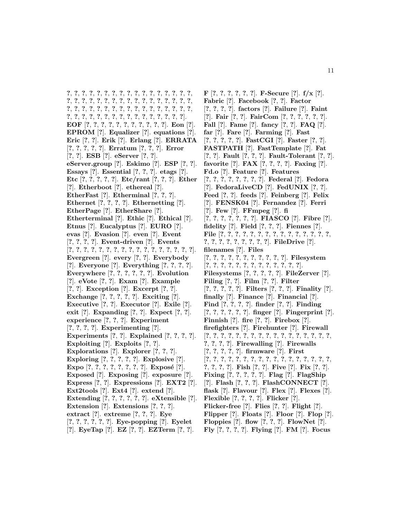**?**, **?**, **?**, **?**, **?**, **?**, **?**, **?**, **?**, **?**, **?**, **?**, **?**, **?**, **?**, **?**, **?**, **?**, **?**, **?**, **?**, **?**, **?**, **?**, **?**, **?**, **?**, **?**, **?**, **?**, **?**, **?**, **?**, **?**, **?**, **?**, **?**, **?**, **?**, **?**, **?**, **?**, **?**, **?**, **?**, **?**, **?**, **?**, **?**, **?**, **?**, **?**, **?**, **?**, **?**, **?**, **?**, **?**, **?**, **?**, **?**, **?**, **?**, **?**, **?**, **?**, **?**]. **EOF** [**?**, **?**, **?**, **?**, **?**, **?**, **?**, **?**, **?**, **?**, **?**]. **Eon** [**?**]. **EPROM** [**?**]. **Equalizer** [**?**]. **equations** [**?**]. **Eric** [**?**, **?**]. **Erik** [**?**]. **Erlang** [**?**]. **ERRATA** [**?**, **?**, **?**, **?**, **?**]. **Erratum** [**?**, **?**, **?**]. **Error** [**?**, **?**]. **ESB** [**?**]. **eServer** [**?**, **?**]. **eServer.group** [**?**]. **Eskimo** [**?**]. **ESP** [**?**, **?**]. **Essays** [**?**]. **Essential** [**?**, **?**, **?**]. **etags** [**?**]. **Etc** [**?**, **?**, **?**, **?**, **?**]. **Etc/rant** [**?**, **?**, **?**]. **Ether** [**?**]. **Etherboot** [**?**]. **ethereal** [**?**]. **EtherFast** [**?**]. **Etherminal** [**?**, **?**, **?**]. **Ethernet** [**?**, **?**, **?**, **?**]. **Ethernetting** [**?**]. **EtherPage** [**?**]. **EtherShare** [**?**]. **Etherterminal** [**?**]. **Ethic** [**?**]. **Ethical** [**?**]. **Etnus** [**?**]. **Eucalyptus** [**?**]. **EURO** [**?**]. **evas** [**?**]. **Evasion** [**?**]. **even** [**?**]. **Event** [**?**, **?**, **?**, **?**]. **Event-driven** [**?**]. **Events** [**?**, **?**, **?**, **?**, **?**, **?**, **?**, **?**, **?**, **?**, **?**, **?**, **?**, **?**, **?**, **?**, **?**]. **Evergreen** [**?**]. **every** [**?**, **?**]. **Everybody** [**?**]. **Everyone** [**?**]. **Everything** [**?**, **?**, **?**, **?**]. **Everywhere** [**?**, **?**, **?**, **?**, **?**, **?**]. **Evolution** [**?**]. **eVote** [**?**, **?**]. **Exam** [**?**]. **Example** [**?**, **?**]. **Exception** [**?**]. **Excerpt** [**?**, **?**]. **Exchange** [**?**, **?**, **?**, **?**, **?**]. **Exciting** [**?**]. **Executive** [**?**, **?**]. **Executor** [**?**]. **Exile** [**?**]. **exit** [**?**]. **Expanding** [**?**, **?**]. **Expect** [**?**, **?**]. **experience** [**?**, **?**, **?**]. **Experiment** [**?**, **?**, **?**, **?**]. **Experimenting** [**?**]. **Experiments** [**?**, **?**]. **Explained** [**?**, **?**, **?**, **?**]. **Exploiting** [**?**]. **Exploits** [**?**, **?**]. **Explorations** [**?**]. **Explorer** [**?**, **?**, **?**]. **Exploring** [**?**, **?**, **?**, **?**, **?**]. **Explosive** [**?**]. **Expo** [**?**, **?**, **?**, **?**, **?**, **?**, **?**, **?**]. **Expos´e** [**?**]. **Exposed** [**?**]. **Exposing** [**?**]. **exposure** [**?**]. **Express** [**?**, **?**]. **Expressions** [**?**]. **EXT2** [**?**]. **Ext2tools** [**?**]. **Ext4** [**?**]. **extend** [**?**]. **Extending** [**?**, **?**, **?**, **?**, **?**, **?**]. **eXtensible** [**?**]. **Extension** [**?**]. **Extensions** [**?**, **?**, **?**]. **extract** [**?**]. **extreme** [**?**, **?**, **?**]. **Eye** [**?**, **?**, **?**, **?**, **?**, **?**]. **Eye-popping** [**?**]. **Eyelet** [**?**]. **EyeTap** [**?**]. **EZ** [**?**, **?**]. **EZTerm** [**?**, **?**].

**F** [**?**, **?**, **?**, **?**, **?**, **?**]. **F-Secure** [**?**]. **f/x** [**?**]. **Fabric** [**?**]. **Facebook** [**?**, **?**]. **Factor** [**?**, **?**, **?**, **?**]. **factors** [**?**]. **Failure** [**?**]. **Faint** [**?**]. **Fair** [**?**, **?**]. **FairCom** [**?**, **?**, **?**, **?**, **?**, **?**]. **Fall** [**?**]. **Fame** [**?**]. **fancy** [**?**, **?**]. **FAQ** [**?**]. **far** [**?**]. **Fare** [**?**]. **Farming** [**?**]. **Fast** [**?**, **?**, **?**, **?**, **?**]. **FastCGI** [**?**]. **Faster** [**?**, **?**]. **FASTPATH** [**?**]. **FastTemplate** [**?**]. **Fat** [**?**, **?**]. **Fault** [**?**, **?**, **?**]. **Fault-Tolerant** [**?**, **?**]. **favorite** [**?**]. **FAX** [**?**, **?**, **?**, **?**]. **Faxing** [**?**]. **Fd.o** [**?**]. **Feature** [**?**]. **Features** [**?**, **?**, **?**, **?**, **?**, **?**, **?**, **?**]. **Federal** [**?**]. **Fedora** [**?**]. **FedoraLiveCD** [**?**]. **FedUNIX** [**?**, **?**]. **Feed** [**?**, **?**]. **feeds** [**?**]. **Feinberg** [**?**]. **Felix** [**?**]. **FENSK04** [**?**]. **Fernandez** [**?**]. **Ferri** [**?**]. **Few** [**?**]. **FFmpeg** [**?**]. **fi** [**?**, **?**, **?**, **?**, **?**, **?**, **?**]. **FIASCO** [**?**]. **Fibre** [**?**]. **fidelity** [**?**]. **Field** [**?**, **?**, **?**]. **Fiennes** [**?**]. **File** [**?**, **?**, **?**, **?**, **?**, **?**, **?**, **?**, **?**, **?**, **?**, **?**, **?**, **?**, **?**, **?**, **?**, **?**, **?**, **?**, **?**, **?**, **?**, **?**]. **FileDrive** [**?**]. **filenames** [**?**]. **Files** [**?**, **?**, **?**, **?**, **?**, **?**, **?**, **?**, **?**, **?**, **?**]. **Filesystem** [**?**, **?**, **?**, **?**, **?**, **?**, **?**, **?**, **?**, **?**, **?**, **?**, **?**]. **Filesystems** [**?**, **?**, **?**, **?**, **?**]. **FileZerver** [**?**]. **Filing** [**?**, **?**]. **Film** [**?**, **?**]. **Filter** [**?**, **?**, **?**, **?**, **?**]. **Filters** [**?**, **?**, **?**]. **Finality** [**?**]. **finally** [**?**]. **Finance** [**?**]. **Financial** [**?**]. **Find** [**?**, **?**, **?**, **?**]. **finder** [**?**, **?**]. **Finding** [**?**, **?**, **?**, **?**, **?**, **?**]. **finger** [**?**]. **Fingerprint** [**?**]. **Finnish** [**?**]. **fire** [**?**, **?**]. **Firebox** [**?**]. **firefighters** [**?**]. **Firehunter** [**?**]. **Firewall** [**?**, **?**, **?**, **?**, **?**, **?**, **?**, **?**, **?**, **?**, **?**, **?**, **?**, **?**, **?**, **?**, **?**, **?**, **?**, **?**, **?**]. **Firewalling** [**?**]. **Firewalls** [**?**, **?**, **?**, **?**, **?**]. **firmware** [**?**]. **First** [**?**, **?**, **?**, **?**, **?**, **?**, **?**, **?**, **?**, **?**, **?**, **?**, **?**, **?**, **?**, **?**, **?**, **?**, **?**, **?**, **?**]. **Fish** [**?**, **?**]. **Five** [**?**]. **Fix** [**?**, **?**]. **Fixing** [**?**, **?**, **?**, **?**, **?**]. **Flag** [**?**]. **FlagShip** [**?**]. **Flash** [**?**, **?**, **?**]. **FlashCONNECT** [**?**]. **flask** [**?**]. **Flavour** [**?**]. **Flex** [**?**]. **Flexes** [**?**]. **Flexible** [**?**, **?**, **?**, **?**]. **Flicker** [**?**]. **Flicker-free** [**?**]. **Flies** [**?**, **?**]. **Flight** [**?**]. **Flipper** [**?**]. **Floats** [**?**]. **Floor** [**?**]. **Flop** [**?**]. **Floppies** [**?**]. **flow** [**?**, **?**, **?**]. **FlowNet** [**?**]. **Fly** [**?**, **?**, **?**, **?**]. **Flying** [**?**]. **FM** [**?**]. **Focus**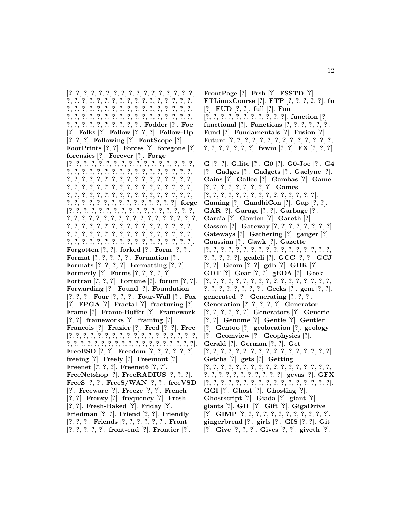[**?**, **?**, **?**, **?**, **?**, **?**, **?**, **?**, **?**, **?**, **?**, **?**, **?**, **?**, **?**, **?**, **?**, **?**, **?**, **?**, **?**, **?**, **?**, **?**, **?**, **?**, **?**, **?**, **?**, **?**, **?**, **?**, **?**, **?**, **?**, **?**, **?**, **?**, **?**, **?**, **?**, **?**, **?**, **?**, **?**, **?**, **?**, **?**, **?**, **?**, **?**, **?**, **?**, **?**, **?**, **?**, **?**, **?**, **?**, **?**, **?**, **?**, **?**, **?**, **?**, **?**, **?**, **?**, **?**, **?**, **?**, **?**, **?**, **?**, **?**, **?**, **?**, **?**]. **Fodder** [**?**]. **Foe** [**?**]. **Folks** [**?**]. **Follow** [**?**, **?**, **?**]. **Follow-Up** [**?**, **?**, **?**]. **Following** [**?**]. **FontScope** [**?**]. **FootPrints** [**?**, **?**]. **Forces** [**?**]. **foregone** [**?**]. **forensics** [**?**]. **Forever** [**?**]. **Forge** [**?**, **?**, **?**, **?**, **?**, **?**, **?**, **?**, **?**, **?**, **?**, **?**, **?**, **?**, **?**, **?**, **?**, **?**, **?**, **?**, **?**, **?**, **?**, **?**, **?**, **?**, **?**, **?**, **?**, **?**, **?**, **?**, **?**, **?**, **?**, **?**, **?**, **?**, **?**, **?**, **?**, **?**, **?**, **?**, **?**, **?**, **?**, **?**, **?**, **?**, **?**, **?**, **?**, **?**, **?**, **?**, **?**, **?**, **?**, **?**, **?**, **?**, **?**, **?**, **?**, **?**, **?**, **?**, **?**, **?**, **?**, **?**, **?**, **?**, **?**, **?**, **?**, **?**, **?**, **?**, **?**, **?**, **?**, **?**, **?**, **?**, **?**, **?**, **?**, **?**, **?**, **?**, **?**, **?**, **?**, **?**, **?**, **?**, **?**, **?**]. **forge** [**?**, **?**, **?**, **?**, **?**, **?**, **?**, **?**, **?**, **?**, **?**, **?**, **?**, **?**, **?**, **?**, **?**, **?**, **?**, **?**, **?**, **?**, **?**, **?**, **?**, **?**, **?**, **?**, **?**, **?**, **?**, **?**, **?**, **?**, **?**, **?**, **?**, **?**, **?**, **?**, **?**, **?**, **?**, **?**, **?**, **?**, **?**, **?**, **?**, **?**, **?**, **?**, **?**, **?**, **?**, **?**, **?**, **?**, **?**, **?**, **?**, **?**, **?**, **?**, **?**, **?**, **?**, **?**, **?**, **?**, **?**, **?**, **?**, **?**, **?**, **?**, **?**, **?**, **?**, **?**, **?**, **?**, **?**, **?**, **?**, **?**]. **Forgotten** [**?**, **?**]. **forked** [**?**]. **Form** [**?**, **?**]. **Format** [**?**, **?**, **?**, **?**, **?**]. **Formation** [**?**]. **Formats** [**?**, **?**, **?**, **?**]. **Formatting** [**?**, **?**]. **Formerly** [**?**]. **Forms** [**?**, **?**, **?**, **?**, **?**]. **Fortran** [**?**, **?**, **?**]. **Fortune** [**?**]. **forum** [**?**, **?**]. **Forwarding** [**?**]. **Found** [**?**]. **Foundation** [**?**, **?**, **?**]. **Four** [**?**, **?**, **?**]. **Four-Wall** [**?**]. **Fox** [**?**]. **FPGA** [**?**]. **Fractal** [**?**]. **fracturing** [**?**]. **Frame** [**?**]. **Frame-Buffer** [**?**]. **Framework** [**?**, **?**]. **frameworks** [**?**]. **framing** [**?**]. **Francois** [**?**]. **Frazier** [**?**]. **Fred** [**?**, **?**]. **Free** [**?**, **?**, **?**, **?**, **?**, **?**, **?**, **?**, **?**, **?**, **?**, **?**, **?**, **?**, **?**, **?**, **?**, **?**, **?**, **?**, **?**, **?**, **?**, **?**, **?**, **?**, **?**, **?**, **?**, **?**, **?**, **?**, **?**, **?**, **?**, **?**, **?**]. **FreeBSD** [**?**, **?**]. **Freedom** [**?**, **?**, **?**, **?**, **?**, **?**]. **freeing** [**?**]. **Freely** [**?**]. **Freemont** [**?**]. **Freenet** [**?**, **?**, **?**]. **Freenet6** [**?**, **?**]. **FreeNetshop** [**?**]. **FreeRADIUS** [**?**, **?**, **?**].

- **FreeS** [**?**, **?**]. **FreeS/WAN** [**?**, **?**]. **freeVSD** [**?**]. **Freeware** [**?**]. **Freeze** [**?**, **?**]. **French**
- [**?**, **?**]. **Frenzy** [**?**]. **frequency** [**?**]. **Fresh**
- [**?**, **?**]. **Fresh-Baked** [**?**]. **Friday** [**?**].
- **Friedman** [**?**, **?**]. **Friend** [**?**, **?**]. **Friendly**
- [**?**, **?**, **?**]. **Friends** [**?**, **?**, **?**, **?**, **?**, **?**]. **Front** [**?**, **?**, **?**, **?**, **?**]. **front-end** [**?**]. **Frontier** [**?**].

**FrontPage** [**?**]. **Frsh** [**?**]. **FSSTD** [**?**]. **FTLinuxCourse** [**?**]. **FTP** [**?**, **?**, **?**, **?**, **?**]. **fu** [**?**]. **FUD** [**?**, **?**]. **full** [**?**]. **Fun** [**?**, **?**, **?**, **?**, **?**, **?**, **?**, **?**, **?**, **?**, **?**]. **function** [**?**]. **functional** [**?**]. **Functions** [**?**, **?**, **?**, **?**, **?**, **?**]. **Fund** [**?**]. **Fundamentals** [**?**]. **Fusion** [**?**]. **Future** [**?**, **?**, **?**, **?**, **?**, **?**, **?**, **?**, **?**, **?**, **?**, **?**, **?**, **?**, **?**, **?**, **?**, **?**, **?**, **?**, **?**]. **fvwm** [**?**, **?**]. **FX** [**?**, **?**, **?**]. **G** [**?**, **?**]. **G.lite** [**?**]. **G0** [**?**]. **G0-Joe** [**?**]. **G4** [**?**]. **Gadges** [**?**]. **Gadgets** [**?**]. **Gaelyne** [**?**]. **Gains** [**?**]. **Galleo** [**?**]. **Gambas** [**?**]. **Game** [**?**, **?**, **?**, **?**, **?**, **?**, **?**, **?**, **?**]. **Games** [**?**, **?**, **?**, **?**, **?**, **?**, **?**, **?**, **?**, **?**, **?**, **?**, **?**, **?**, **?**]. **Gaming** [**?**]. **GandhiCon** [**?**]. **Gap** [**?**, **?**]. **GAR** [**?**]. **Garage** [**?**, **?**]. **Garbage** [**?**]. **Garcia** [**?**]. **Garden** [**?**]. **Gareth** [**?**]. **Gasson** [**?**]. **Gateway** [**?**, **?**, **?**, **?**, **?**, **?**, **?**, **?**]. **Gateways** [**?**]. **Gathering** [**?**]. **gauger** [**?**]. **Gaussian** [**?**]. **Gawk** [**?**]. **Gazette** [**?**, **?**, **?**, **?**, **?**, **?**, **?**, **?**, **?**, **?**, **?**, **?**, **?**, **?**, **?**, **?**, **?**, **?**, **?**, **?**, **?**, **?**]. **gcalcli** [**?**]. **GCC** [**?**, **?**]. **GCJ** [**?**, **?**]. **Gcom** [**?**, **?**]. **gdb** [**?**]. **GDK** [**?**]. **GDT** [**?**]. **Gear** [**?**, **?**]. **gEDA** [**?**]. **Geek** [**?**, **?**, **?**, **?**, **?**, **?**, **?**, **?**, **?**, **?**, **?**, **?**, **?**, **?**, **?**, **?**, **?**, **?**, **?**, **?**, **?**, **?**, **?**, **?**, **?**]. **Geeks** [**?**]. **gem** [**?**, **?**]. **generated** [**?**]. **Generating** [**?**, **?**, **?**]. **Generation** [**?**, **?**, **?**, **?**, **?**]. **Generator** [**?**, **?**, **?**, **?**, **?**, **?**]. **Generators** [**?**]. **Generic** [**?**, **?**]. **Genome** [**?**]. **Gentle** [**?**]. **Gentler** [**?**]. **Gentoo** [**?**]. **geolocation** [**?**]. **geology** [**?**]. **Geomview** [**?**]. **Geophysics** [**?**]. **Gerald** [**?**]. **German** [**?**, **?**]. **Get** [**?**, **?**, **?**, **?**, **?**, **?**, **?**, **?**, **?**, **?**, **?**, **?**, **?**, **?**, **?**, **?**, **?**]. **Getcha** [**?**]. **gets** [**?**]. **Getting** [**?**, **?**, **?**, **?**, **?**, **?**, **?**, **?**, **?**, **?**, **?**, **?**, **?**, **?**, **?**, **?**, **?**, **?**, **?**, **?**, **?**, **?**, **?**, **?**, **?**, **?**, **?**, **?**]. **gevas** [**?**]. **GFX** [**?**, **?**, **?**, **?**, **?**, **?**, **?**, **?**, **?**, **?**, **?**, **?**, **?**, **?**, **?**, **?**, **?**]. **GGI** [**?**]. **Ghost** [**?**]. **Ghosting** [**?**]. **Ghostscript** [**?**]. **Giada** [**?**]. **giant** [**?**]. **giants** [**?**]. **GIF** [**?**]. **Gift** [**?**]. **GigaDrive** [**?**]. **GIMP** [**?**, **?**, **?**, **?**, **?**, **?**, **?**, **?**, **?**, **?**, **?**, **?**].

**gingerbread** [**?**]. **girls** [**?**]. **GIS** [**?**, **?**]. **Git** [**?**]. **Give** [**?**, **?**, **?**]. **Gives** [**?**, **?**]. **giveth** [**?**].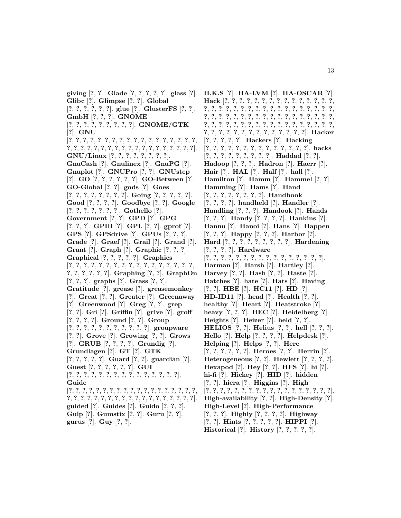**giving** [**?**, **?**]. **Glade** [**?**, **?**, **?**, **?**, **?**]. **glass** [**?**]. **Glibc** [**?**]. **Glimpse** [**?**, **?**]. **Global** [**?**, **?**, **?**, **?**, **?**, **?**]. **glue** [**?**]. **GlusterFS** [**?**, **?**]. **GmbH** [**?**, **?**, **?**]. **GNOME** [**?**, **?**, **?**, **?**, **?**, **?**, **?**, **?**, **?**]. **GNOME/GTK** [**?**]. **GNU** [**?**, **?**, **?**, **?**, **?**, **?**, **?**, **?**, **?**, **?**, **?**, **?**, **?**, **?**, **?**, **?**, **?**, **?**, **?**, **?**, **?**, **?**, **?**, **?**, **?**, **?**, **?**, **?**, **?**, **?**, **?**, **?**, **?**, **?**, **?**, **?**, **?**]. **GNU/Linux** [**?**, **?**, **?**, **?**, **?**, **?**, **?**, **?**]. **GnuCash** [**?**]. **Gnulinex** [**?**]. **GnuPG** [**?**]. **Gnuplot** [**?**]. **GNUPro** [**?**, **?**]. **GNUstep** [**?**]. **GO** [**?**, **?**, **?**, **?**, **?**, **?**]. **GO-Between** [**?**]. **GO-Global** [**?**, **?**]. **gods** [**?**]. **Goes** [**?**, **?**, **?**, **?**, **?**, **?**, **?**, **?**]. **Going** [**?**, **?**, **?**, **?**, **?**]. **Good** [**?**, **?**, **?**, **?**]. **Goodbye** [**?**, **?**]. **Google** [**?**, **?**, **?**, **?**, **?**, **?**, **?**]. **Gothello** [**?**]. **Government** [**?**, **?**]. **GPD** [**?**]. **GPG** [**?**, **?**, **?**]. **GPIB** [**?**]. **GPL** [**?**, **?**]. **gprof** [**?**]. **GPS** [**?**]. **GPSdrive** [**?**]. **GPUs** [**?**, **?**, **?**]. **Grade** [**?**]. **Graef** [**?**]. **Grail** [**?**]. **Grand** [**?**]. **Grant** [**?**]. **Graph** [**?**]. **Graphic** [**?**, **?**, **?**]. **Graphical** [**?**, **?**, **?**, **?**, **?**]. **Graphics** [**?**, **?**, **?**, **?**, **?**, **?**, **?**, **?**, **?**, **?**, **?**, **?**, **?**, **?**, **?**, **?**, **?**, **?**, **?**, **?**, **?**, **?**, **?**]. **Graphing** [**?**, **?**]. **GraphOn** [**?**, **?**, **?**]. **graphs** [**?**]. **Grass** [**?**, **?**]. **Gratitude** [**?**]. **grease** [**?**]. **greasemonkey** [**?**]. **Great** [**?**, **?**]. **Greater** [**?**]. **Greenaway** [**?**]. **Greenwood** [**?**]. **Greg** [**?**, **?**]. **grep** [**?**, **?**]. **Gri** [**?**]. **Griffin** [**?**]. **grive** [**?**]. **groff** [**?**, **?**, **?**, **?**]. **Ground** [**?**, **?**]. **Group** [**?**, **?**, **?**, **?**, **?**, **?**, **?**, **?**, **?**, **?**, **?**]. **groupware** [**?**, **?**]. **Grove** [**?**]. **Growing** [**?**, **?**]. **Grows** [**?**]. **GRUB** [**?**, **?**, **?**, **?**]. **Grundig** [**?**]. **Grundlagen** [**?**]. **GT** [**?**]. **GTK** [**?**, **?**, **?**, **?**, **?**]. **Guard** [**?**, **?**]. **guardian** [**?**]. **Guest** [**?**, **?**, **?**, **?**, **?**, **?**]. **GUI** [**?**, **?**, **?**, **?**, **?**, **?**, **?**, **?**, **?**, **?**, **?**, **?**, **?**, **?**, **?**]. **Guide** [**?**, **?**, **?**, **?**, **?**, **?**, **?**, **?**, **?**, **?**, **?**, **?**, **?**, **?**, **?**, **?**, **?**, **?**, **?**, **?**, **?**, **?**, **?**, **?**, **?**, **?**, **?**, **?**, **?**, **?**, **?**, **?**, **?**, **?**, **?**, **?**, **?**, **?**]. **guided** [**?**]. **Guides** [**?**]. **Guido** [**?**, **?**, **?**]. **Gulp** [**?**]. **Gumstix** [**?**, **?**]. **Guru** [**?**, **?**]. **gurus** [**?**]. **Guy** [**?**, **?**].

**H.K.S** [**?**]. **HA-LVM** [**?**]. **HA-OSCAR** [**?**]. **Hack** [**?**, **?**, **?**, **?**, **?**, **?**, **?**, **?**, **?**, **?**, **?**, **?**, **?**, **?**, **?**, **?**, **?**, **?**, **?**, **?**, **?**, **?**, **?**, **?**, **?**, **?**, **?**, **?**, **?**, **?**, **?**, **?**, **?**, **?**, **?**, **?**, **?**, **?**, **?**, **?**, **?**, **?**, **?**, **?**, **?**, **?**, **?**, **?**, **?**, **?**, **?**, **?**, **?**, **?**, **?**, **?**, **?**, **?**, **?**, **?**, **?**, **?**, **?**, **?**, **?**, **?**, **?**, **?**, **?**, **?**, **?**, **?**, **?**, **?**, **?**, **?**, **?**, **?**, **?**, **?**, **?**, **?**, **?**]. **Hacker** [**?**, **?**, **?**, **?**, **?**]. **Hackers** [**?**]. **Hacking** [**?**, **?**, **?**, **?**, **?**, **?**, **?**, **?**, **?**, **?**, **?**, **?**, **?**, **?**]. **hacks** [**?**, **?**, **?**, **?**, **?**, **?**, **?**, **?**, **?**]. **Haddad** [**?**, **?**]. **Hadoop** [**?**, **?**, **?**]. **Hadron** [**?**]. **Haerr** [**?**]. **Hair** [**?**]. **HAL** [**?**]. **Half** [**?**]. **hall** [**?**]. **Hamilton** [**?**]. **Hamm** [**?**]. **Hammel** [**?**, **?**]. **Hamming** [**?**]. **Hams** [**?**]. **Hand** [**?**, **?**, **?**, **?**, **?**, **?**, **?**, **?**]. **Handbook** [**?**, **?**, **?**, **?**]. **handheld** [**?**]. **Handler** [**?**]. **Handling** [**?**, **?**, **?**]. **Handook** [**?**]. **Hands** [**?**, **?**, **?**]. **Handy** [**?**, **?**, **?**, **?**]. **Hankins** [**?**]. **Hannu** [**?**]. **Hanoi** [**?**]. **Hans** [**?**]. **Happen** [**?**, **?**, **?**]. **Happy** [**?**, **?**, **?**]. **Harbor** [**?**]. **Hard** [**?**, **?**, **?**, **?**, **?**, **?**, **?**, **?**, **?**]. **Hardening** [**?**, **?**, **?**, **?**]. **Hardware** [**?**, **?**, **?**, **?**, **?**, **?**, **?**, **?**, **?**, **?**, **?**, **?**, **?**, **?**, **?**, **?**]. **Harman** [**?**]. **Harsh** [**?**]. **Hartley** [**?**]. **Harvey** [**?**, **?**]. **Hash** [**?**, **?**]. **Haste** [**?**]. **Hatches** [**?**]. **hate** [**?**]. **Hats** [**?**]. **Having** [**?**, **?**]. **HBE** [**?**]. **HC11** [**?**]. **HD** [**?**]. **HD-ID11** [**?**]. **head** [**?**]. **Health** [**?**, **?**]. **healthy** [**?**]. **Heart** [**?**]. **Heatstroke** [**?**]. **heavy** [**?**, **?**, **?**]. **HEC** [**?**]. **Heidelberg** [**?**]. **Heights** [**?**]. **Heizer** [**?**]. **held** [**?**, **?**]. **HELIOS** [**?**, **?**]. **Helius** [**?**, **?**]. **hell** [**?**, **?**, **?**]. **Hello** [**?**]. **Help** [**?**, **?**, **?**, **?**]. **Helpdesk** [**?**]. **Helping** [**?**]. **Helps** [**?**, **?**]. **Here** [**?**, **?**, **?**, **?**, **?**, **?**]. **Heroes** [**?**, **?**]. **Herrin** [**?**]. **Heterogeneous** [**?**, **?**]. **Hewlett** [**?**, **?**, **?**, **?**]. **Hexapod** [**?**]. **Hey** [**?**, **?**]. **HFS** [**?**]. **hi** [**?**]. **hi-fi** [**?**]. **Hickey** [**?**]. **HID** [**?**]. **hidden** [**?**, **?**]. **hiera** [**?**]. **Higgins** [**?**]. **High** [**?**, **?**, **?**, **?**, **?**, **?**, **?**, **?**, **?**, **?**, **?**, **?**, **?**, **?**, **?**, **?**, **?**, **?**]. **High-availability** [**?**, **?**]. **High-Density** [**?**]. **High-Level** [**?**]. **High-Performance** [**?**, **?**, **?**]. **Highly** [**?**, **?**, **?**, **?**]. **Highway** [**?**, **?**]. **Hints** [**?**, **?**, **?**, **?**, **?**]. **HIPPI** [**?**].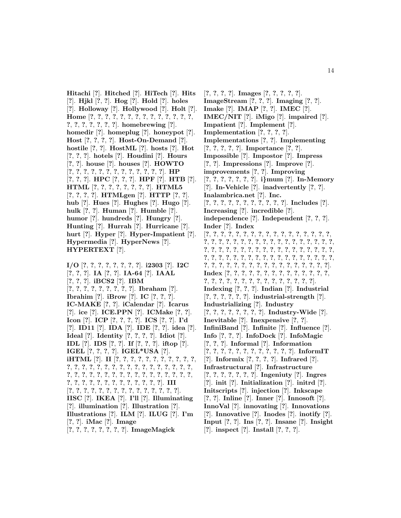**Hitachi** [**?**]. **Hitched** [**?**]. **HiTech** [**?**]. **Hits** [**?**]. **Hjkl** [**?**, **?**]. **Hog** [**?**]. **Hold** [**?**]. **holes** [**?**]. **Holloway** [**?**]. **Hollywood** [**?**]. **Holt** [**?**]. **Home** [**?**, **?**, **?**, **?**, **?**, **?**, **?**, **?**, **?**, **?**, **?**, **?**, **?**, **?**, **?**, **?**, **?**, **?**, **?**, **?**, **?**]. **homebrewing** [**?**]. **homedir** [**?**]. **homeplug** [**?**]. **honeypot** [**?**]. **Host** [**?**, **?**, **?**, **?**]. **Host-On-Demand** [**?**]. **hostile** [**?**, **?**]. **HostML** [**?**]. **hosts** [**?**]. **Hot** [**?**, **?**, **?**]. **hotels** [**?**]. **Houdini** [**?**]. **Hours** [**?**, **?**]. **house** [**?**]. **houses** [**?**]. **HOWTO** [**?**, **?**, **?**, **?**, **?**, **?**, **?**, **?**, **?**, **?**, **?**, **?**, **?**]. **HP** [**?**, **?**, **?**]. **HPC** [**?**, **?**, **?**]. **HPF** [**?**]. **HTB** [**?**]. **HTML** [**?**, **?**, **?**, **?**, **?**, **?**, **?**, **?**]. **HTML5** [**?**, **?**, **?**, **?**]. **HTMLgen** [**?**]. **HTTP** [**?**, **?**]. **hub** [**?**]. **Hues** [**?**]. **Hughes** [**?**]. **Hugo** [**?**]. **hulk** [**?**, **?**]. **Human** [**?**]. **Humble** [**?**]. **humor** [**?**]. **hundreds** [**?**]. **Hungry** [**?**]. **Hunting** [**?**]. **Hurrah** [**?**]. **Hurricane** [**?**]. **hurt** [**?**]. **Hyper** [**?**]. **Hyper-Impatient** [**?**]. **Hypermedia** [**?**]. **HyperNews** [**?**]. **HYPERTEXT** [**?**].

**I/O** [**?**, **?**, **?**, **?**, **?**, **?**, **?**, **?**]. **i2303** [**?**]. **I2C** [**?**, **?**, **?**]. **IA** [**?**, **?**]. **IA-64** [**?**]. **IAAL** [**?**, **?**, **?**]. **iBCS2** [**?**]. **IBM** [**?**, **?**, **?**, **?**, **?**, **?**, **?**, **?**, **?**]. **Ibraham** [**?**]. **Ibrahim** [**?**]. **iBrow** [**?**]. **IC** [**?**, **?**, **?**]. **IC-MAKE** [**?**, **?**]. **iCalendar** [**?**]. **Icarus** [**?**]. **ice** [**?**]. **ICE.PPN** [**?**]. **ICMake** [**?**, **?**]. **Icon** [**?**]. **ICP** [**?**, **?**, **?**, **?**]. **ICS** [**?**, **?**]. **I'd** [**?**]. **ID11** [**?**]. **IDA** [**?**]. **IDE** [**?**, **?**]. **idea** [**?**]. **Ideal** [**?**]. **Identity** [**?**, **?**, **?**, **?**]. **Idiot** [**?**]. **IDL** [**?**]. **IDS** [**?**, **?**]. **If** [**?**, **?**, **?**]. **iftop** [**?**]. **IGEL** [**?**, **?**, **?**, **?**]. **IGEL\*USA** [**?**]. **iHTML** [**?**]. **II** [**?**, **?**, **?**, **?**, **?**, **?**, **?**, **?**, **?**, **?**, **?**, **?**, **?**, **?**, **?**, **?**, **?**, **?**, **?**, **?**, **?**, **?**, **?**, **?**, **?**, **?**, **?**, **?**, **?**, **?**, **?**, **?**, **?**, **?**, **?**, **?**, **?**, **?**, **?**, **?**, **?**, **?**, **?**, **?**, **?**, **?**, **?**, **?**, **?**, **?**, **?**, **?**, **?**, **?**, **?**, **?**, **?**, **?**]. **III** [**?**, **?**, **?**, **?**, **?**, **?**, **?**, **?**, **?**, **?**, **?**, **?**, **?**, **?**, **?**]. **IISC** [**?**]. **IKEA** [**?**]. **I'll** [**?**]. **Illuminating** [**?**]. **illumination** [**?**]. **Illustration** [**?**]. **Illustrations** [**?**]. **ILM** [**?**]. **ILUG** [**?**]. **I'm** [**?**, **?**]. **iMac** [**?**]. **Image** [**?**, **?**, **?**, **?**, **?**, **?**, **?**, **?**]. **ImageMagick**

[**?**, **?**, **?**, **?**]. **Images** [**?**, **?**, **?**, **?**, **?**]. **ImageStream** [**?**, **?**, **?**]. **Imaging** [**?**, **?**]. **Imake** [**?**]. **IMAP** [**?**, **?**]. **IMEC** [**?**]. **IMEC/NIT** [**?**]. **iMigo** [**?**]. **impaired** [**?**]. **Impatient** [**?**]. **Implement** [**?**]. **Implementation** [**?**, **?**, **?**, **?**]. **Implementations** [**?**, **?**]. **Implementing** [**?**, **?**, **?**, **?**, **?**]. **Importance** [**?**, **?**]. **Impossible** [**?**]. **Impostor** [**?**]. **Impress** [**?**, **?**]. **Impressions** [**?**]. **Improve** [**?**]. **improvements** [**?**, **?**]. **Improving** [**?**, **?**, **?**, **?**, **?**, **?**, **?**]. **i***}***mum** [**?**]. **In-Memory** [**?**]. **In-Vehicle** [**?**]. **inadvertently** [**?**, **?**]. **Inalambrica.net** [**?**]. **Inc.** [**?**, **?**, **?**, **?**, **?**, **?**, **?**, **?**, **?**, **?**, **?**]. **Includes** [**?**]. **Increasing** [**?**]. **incredible** [**?**]. **independence** [**?**]. **Independent** [**?**, **?**, **?**]. **Inder** [**?**]. **Index** [**?**, **?**, **?**, **?**, **?**, **?**, **?**, **?**, **?**, **?**, **?**, **?**, **?**, **?**, **?**, **?**, **?**, **?**, **?**, **?**, **?**, **?**, **?**, **?**, **?**, **?**, **?**, **?**, **?**, **?**, **?**, **?**, **?**, **?**, **?**, **?**, **?**, **?**, **?**, **?**, **?**, **?**, **?**, **?**, **?**, **?**, **?**, **?**, **?**, **?**, **?**, **?**, **?**, **?**, **?**, **?**, **?**, **?**, **?**, **?**, **?**, **?**, **?**, **?**, **?**, **?**, **?**, **?**, **?**, **?**, **?**, **?**, **?**, **?**, **?**, **?**, **?**, **?**, **?**, **?**, **?**, **?**, **?**, **?**, **?**, **?**, **?**, **?**]. **Index** [**?**, **?**, **?**, **?**, **?**, **?**, **?**, **?**, **?**, **?**, **?**, **?**, **?**, **?**, **?**, **?**, **?**, **?**, **?**, **?**, **?**, **?**, **?**, **?**, **?**, **?**, **?**, **?**, **?**]. **Indexing** [**?**, **?**, **?**]. **Indian** [**?**]. **Industrial** [**?**, **?**, **?**, **?**, **?**, **?**]. **industrial-strength** [**?**]. **Industrializing** [**?**]. **Industry** [**?**, **?**, **?**, **?**, **?**, **?**, **?**, **?**]. **Industry-Wide** [**?**]. **Inevitable** [**?**]. **Inexpensive** [**?**, **?**]. **InfiniBand** [**?**]. **Infinite** [**?**]. **Influence** [**?**]. **Info** [**?**, **?**, **?**]. **InfoDock** [**?**]. **InfoMagic** [**?**, **?**, **?**]. **Informal** [**?**]. **Information** [**?**, **?**, **?**, **?**, **?**, **?**, **?**, **?**, **?**, **?**, **?**, **?**]. **InformIT** [**?**]. **Informix** [**?**, **?**, **?**, **?**]. **Infrared** [**?**]. **Infrastructural** [**?**]. **Infrastructure** [**?**, **?**, **?**, **?**, **?**, **?**, **?**]. **Ingeniuty** [**?**]. **Ingres** [**?**]. **init** [**?**]. **Initialization** [**?**]. **initrd** [**?**]. **Initscripts** [**?**]. **injection** [**?**]. **Inkscape** [**?**, **?**]. **Inline** [**?**]. **Inner** [**?**]. **Innosoft** [**?**]. **InnoVal** [**?**]. **innovating** [**?**]. **Innovations** [**?**]. **Innovative** [**?**]. **Inodes** [**?**]. **inotify** [**?**]. **Input** [**?**, **?**]. **Ins** [**?**, **?**]. **Insane** [**?**]. **Insight** [**?**]. **inspect** [**?**]. **Install** [**?**, **?**, **?**].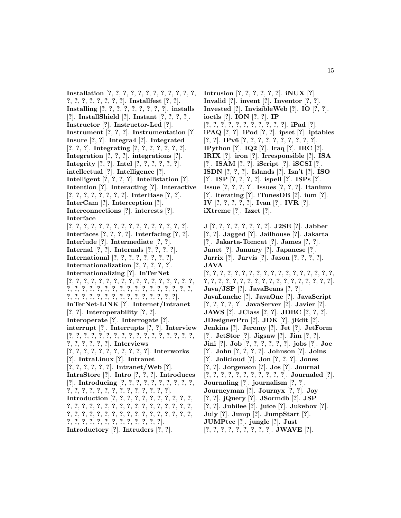**Installation** [**?**, **?**, **?**, **?**, **?**, **?**, **?**, **?**, **?**, **?**, **?**, **?**, **?**, **?**, **?**, **?**, **?**, **?**, **?**, **?**]. **Installfest** [**?**, **?**]. **Installing** [**?**, **?**, **?**, **?**, **?**, **?**, **?**, **?**, **?**]. **installs** [**?**]. **InstallShield** [**?**]. **Instant** [**?**, **?**, **?**, **?**]. **Instructor** [**?**]. **Instructor-Led** [**?**]. **Instrument** [**?**, **?**, **?**]. **Instrumentation** [**?**]. **Insure** [**?**, **?**]. **Integra4** [**?**]. **Integrated** [**?**, **?**, **?**]. **Integrating** [**?**, **?**, **?**, **?**, **?**, **?**, **?**]. **Integration** [**?**, **?**, **?**]. **integrations** [**?**]. **Integrity** [**?**, **?**]. **Intel** [**?**, **?**, **?**, **?**, **?**, **?**]. **intellectual** [**?**]. **Intelligence** [**?**]. **Intelligent** [**?**, **?**, **?**, **?**]. **Intellistation** [**?**]. **Intention** [**?**]. **Interacting** [**?**]. **Interactive** [**?**, **?**, **?**, **?**, **?**, **?**, **?**, **?**]. **InterBase** [**?**, **?**]. **InterCam** [**?**]. **Interception** [**?**]. **Interconnections** [**?**]. **interests** [**?**]. **Interface** [**?**, **?**, **?**, **?**, **?**, **?**, **?**, **?**, **?**, **?**, **?**, **?**, **?**, **?**, **?**, **?**]. **Interfaces** [**?**, **?**, **?**, **?**]. **Interfacing** [**?**, **?**]. **Interlude** [**?**]. **Intermediate** [**?**, **?**]. **Internal** [**?**, **?**]. **Internals** [**?**, **?**, **?**, **?**]. **International** [**?**, **?**, **?**, **?**, **?**, **?**, **?**, **?**]. **Internationalization** [**?**, **?**, **?**, **?**, **?**]. **Internationalizing** [**?**]. **InTerNet** [**?**, **?**, **?**, **?**, **?**, **?**, **?**, **?**, **?**, **?**, **?**, **?**, **?**, **?**, **?**, **?**, **?**, **?**, **?**, **?**, **?**, **?**, **?**, **?**, **?**, **?**, **?**, **?**, **?**, **?**, **?**, **?**, **?**, **?**, **?**, **?**, **?**, **?**, **?**, **?**, **?**, **?**, **?**, **?**, **?**, **?**, **?**, **?**, **?**]. **InTerNet-LINK** [**?**]. **Internet/Intranet** [**?**, **?**]. **Interoperability** [**?**, **?**]. **Interoperate** [**?**]. **Interrogate** [**?**]. **interrupt** [**?**]. **Interrupts** [**?**, **?**]. **Interview** [**?**, **?**, **?**, **?**, **?**, **?**, **?**, **?**, **?**, **?**, **?**, **?**, **?**, **?**, **?**, **?**, **?**, **?**, **?**, **?**, **?**, **?**, **?**]. **Interviews** [**?**, **?**, **?**, **?**, **?**, **?**, **?**, **?**, **?**, **?**, **?**]. **Interworks** [**?**]. **IntraLinux** [**?**]. **Intranet** [**?**, **?**, **?**, **?**, **?**, **?**]. **Intranet/Web** [**?**]. **IntraStore** [**?**]. **Intro** [**?**, **?**, **?**]. **Introduces** [**?**]. **Introducing** [**?**, **?**, **?**, **?**, **?**, **?**, **?**, **?**, **?**, **?**, **?**, **?**, **?**, **?**, **?**, **?**, **?**, **?**, **?**, **?**, **?**, **?**, **?**, **?**]. **Introduction** [**?**, **?**, **?**, **?**, **?**, **?**, **?**, **?**, **?**, **?**, **?**, **?**, **?**, **?**, **?**, **?**, **?**, **?**, **?**, **?**, **?**, **?**, **?**, **?**, **?**, **?**, **?**, **?**, **?**, **?**, **?**, **?**, **?**, **?**, **?**, **?**, **?**, **?**, **?**, **?**, **?**, **?**, **?**, **?**, **?**, **?**, **?**, **?**, **?**, **?**, **?**, **?**, **?**, **?**, **?**, **?**, **?**, **?**]. **Introductory** [**?**]. **Intruders** [**?**, **?**].

**Intrusion** [**?**, **?**, **?**, **?**, **?**, **?**]. **iNUX** [**?**]. **Invalid** [**?**]. **invent** [**?**]. **Inventor** [**?**, **?**]. **Invested** [**?**]. **InvisibleWeb** [**?**]. **IO** [**?**, **?**]. **ioctls** [**?**]. **ION** [**?**, **?**]. **IP** [**?**, **?**, **?**, **?**, **?**, **?**, **?**, **?**, **?**, **?**, **?**]. **iPad** [**?**]. **iPAQ** [**?**, **?**]. **iPod** [**?**, **?**]. **ipset** [**?**]. **iptables** [**?**, **?**]. **IPv6** [**?**, **?**, **?**, **?**, **?**, **?**, **?**, **?**, **?**, **?**]. **IPython** [**?**]. **IQ2** [**?**]. **Iraq** [**?**]. **IRC** [**?**]. **IRIX** [**?**]. **iron** [**?**]. **Irresponsible** [**?**]. **ISA** [**?**]. **ISAM** [**?**, **?**]. **iScript** [**?**]. **iSCSI** [**?**]. **ISDN** [**?**, **?**, **?**]. **Islands** [**?**]. **Isn't** [**?**]. **ISO** [**?**]. **ISP** [**?**, **?**, **?**, **?**]. **ispell** [**?**]. **ISPs** [**?**]. **Issue** [**?**, **?**, **?**, **?**]. **Issues** [**?**, **?**, **?**]. **Itanium** [**?**]. **iterating** [**?**]. **iTunesDB** [**?**]. **ium** [**?**]. **IV** [**?**, **?**, **?**, **?**, **?**]. **Ivan** [**?**]. **IVR** [**?**]. **iXtreme** [**?**]. **Izzet** [**?**].

**J** [**?**, **?**, **?**, **?**, **?**, **?**, **?**, **?**]. **J2SE** [**?**]. **Jabber** [**?**, **?**]. **Jagged** [**?**]. **Jailhouse** [**?**]. **Jakarta** [**?**]. **Jakarta-Tomcat** [**?**]. **James** [**?**, **?**]. **Janet** [**?**]. **January** [**?**]. **Japanese** [**?**]. **Jarrix** [**?**]. **Jarvis** [**?**]. **Jason** [**?**, **?**, **?**, **?**]. **JAVA** [**?**, **?**, **?**, **?**, **?**, **?**, **?**, **?**, **?**, **?**, **?**, **?**, **?**, **?**, **?**, **?**, **?**, **?**, **?**, **?**, **?**, **?**, **?**, **?**, **?**, **?**, **?**, **?**, **?**, **?**, **?**, **?**, **?**, **?**, **?**, **?**]. **Java/JSP** [**?**]. **JavaBeans** [**?**, **?**]. **JavaLanche** [**?**]. **JavaOne** [**?**]. **JavaScript** [**?**, **?**, **?**, **?**, **?**]. **JavaServer** [**?**]. **Javier** [**?**]. **JAWS** [**?**]. **JClass** [**?**, **?**]. **JDBC** [**?**, **?**, **?**]. **JDesignerPro** [**?**]. **JDK** [**?**]. **jEdit** [**?**]. **Jenkins** [**?**]. **Jeremy** [**?**]. **Jet** [**?**]. **JetForm** [**?**]. **JetStor** [**?**]. **Jigsaw** [**?**]. **Jim** [**?**, **?**]. **Jini** [**?**]. **Job** [**?**, **?**, **?**, **?**, **?**, **?**]. **jobs** [**?**]. **Joe** [**?**]. **John** [**?**, **?**, **?**, **?**]. **Johnson** [**?**]. **Joins** [**?**]. **Jolicloud** [**?**]. **Jon** [**?**, **?**, **?**]. **Jones** [**?**, **?**]. **Jorgenson** [**?**]. **Jos** [**?**]. **Journal** [**?**, **?**, **?**, **?**, **?**, **?**, **?**, **?**, **?**, **?**, **?**]. **Journaled** [**?**]. **Journaling** [**?**]. **journalism** [**?**, **?**]. **Journeyman** [**?**]. **Journyx** [**?**, **?**]. **Joy** [**?**, **?**]. **jQuery** [**?**]. **JSormdb** [**?**]. **JSP** [**?**, **?**]. **Jubilee** [**?**]. **juice** [**?**]. **Jukebox** [**?**]. **July** [**?**]. **Jump** [**?**]. **JumpStart** [**?**]. **JUMPtec** [**?**]. **jungle** [**?**]. **Just** [**?**, **?**, **?**, **?**, **?**, **?**, **?**, **?**, **?**]. **JWAVE** [**?**].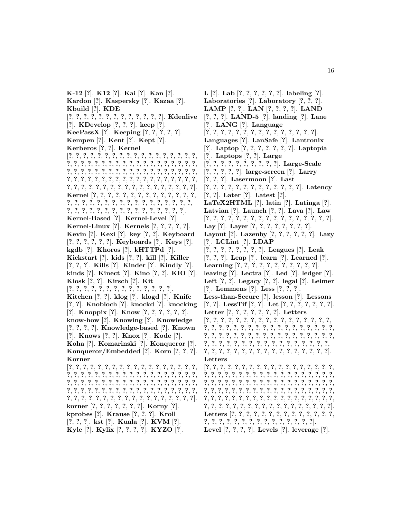**K-12** [**?**]. **K12** [**?**]. **Kai** [**?**]. **Kan** [**?**]. **Kardon** [**?**]. **Kaspersky** [**?**]. **Kazaa** [**?**]. **Kbuild** [**?**]. **KDE** [**?**, **?**, **?**, **?**, **?**, **?**, **?**, **?**, **?**, **?**, **?**, **?**, **?**]. **Kdenlive** [**?**]. **KDevelop** [**?**, **?**, **?**]. **keep** [**?**]. **KeePassX** [**?**]. **Keeping** [**?**, **?**, **?**, **?**, **?**]. **Kempen** [**?**]. **Kent** [**?**]. **Kept** [**?**]. **Kerberos** [**?**, **?**]. **Kernel** [**?**, **?**, **?**, **?**, **?**, **?**, **?**, **?**, **?**, **?**, **?**, **?**, **?**, **?**, **?**, **?**, **?**, **?**, **?**, **?**, **?**, **?**, **?**, **?**, **?**, **?**, **?**, **?**, **?**, **?**, **?**, **?**, **?**, **?**, **?**, **?**, **?**, **?**, **?**, **?**, **?**, **?**, **?**, **?**, **?**, **?**, **?**, **?**, **?**, **?**, **?**, **?**, **?**, **?**, **?**, **?**, **?**, **?**, **?**, **?**, **?**, **?**, **?**, **?**, **?**, **?**, **?**, **?**, **?**, **?**, **?**, **?**, **?**, **?**, **?**, **?**, **?**, **?**, **?**, **?**, **?**, **?**, **?**, **?**, **?**, **?**, **?**, **?**, **?**, **?**, **?**, **?**, **?**]. **Kernel** [**?**, **?**, **?**, **?**, **?**, **?**, **?**, **?**, **?**, **?**, **?**, **?**, **?**, **?**, **?**, **?**, **?**, **?**, **?**, **?**, **?**, **?**, **?**, **?**, **?**, **?**, **?**, **?**, **?**, **?**, **?**, **?**, **?**, **?**, **?**, **?**, **?**, **?**, **?**, **?**, **?**, **?**, **?**, **?**, **?**, **?**, **?**]. **Kernel-Based** [**?**]. **Kernel-Level** [**?**]. **Kernel-Linux** [**?**]. **Kernels** [**?**, **?**, **?**, **?**, **?**]. **Kevin** [**?**]. **Kexi** [**?**]. **key** [**?**, **?**]. **Keyboard** [**?**, **?**, **?**, **?**, **?**, **?**]. **Keyboards** [**?**]. **Keys** [**?**]. **kgdb** [**?**]. **Khoros** [**?**]. **kHTTPd** [**?**]. **Kickstart** [**?**]. **kids** [**?**, **?**]. **kill** [**?**]. **Killer** [**?**, **?**, **?**]. **Kills** [**?**]. **Kinder** [**?**]. **Kindly** [**?**]. **kinds** [**?**]. **Kinect** [**?**]. **Kino** [**?**, **?**]. **KIO** [**?**]. **Kiosk** [**?**, **?**]. **Kirsch** [**?**]. **Kit** [**?**, **?**, **?**, **?**, **?**, **?**, **?**, **?**, **?**, **?**, **?**, **?**, **?**, **?**]. **Kitchen** [**?**, **?**]. **klog** [**?**]. **klogd** [**?**]. **Knife** [**?**, **?**]. **Knobloch** [**?**]. **knockd** [**?**]. **knocking** [**?**]. **Knoppix** [**?**]. **Know** [**?**, **?**, **?**, **?**, **?**, **?**]. **know-how** [**?**]. **Knowing** [**?**]. **Knowledge** [**?**, **?**, **?**, **?**]. **Knowledge-based** [**?**]. **Known** [**?**]. **Knows** [**?**, **?**]. **Knox** [**?**]. **Kode** [**?**]. **Koha** [**?**]. **Komarinski** [**?**]. **Konqueror** [**?**]. **Konqueror/Embedded** [**?**]. **Korn** [**?**, **?**, **?**]. **Korner** [**?**, **?**, **?**, **?**, **?**, **?**, **?**, **?**, **?**, **?**, **?**, **?**, **?**, **?**, **?**, **?**, **?**, **?**, **?**, **?**, **?**, **?**, **?**, **?**, **?**, **?**, **?**, **?**, **?**, **?**, **?**, **?**, **?**, **?**, **?**, **?**, **?**, **?**, **?**, **?**, **?**, **?**, **?**, **?**, **?**, **?**, **?**, **?**, **?**, **?**, **?**, **?**, **?**, **?**, **?**, **?**, **?**, **?**, **?**, **?**, **?**, **?**, **?**, **?**, **?**, **?**, **?**, **?**, **?**, **?**, **?**, **?**, **?**, **?**, **?**, **?**, **?**, **?**, **?**, **?**, **?**, **?**, **?**, **?**, **?**, **?**, **?**, **?**, **?**, **?**, **?**, **?**, **?**]. **korner** [**?**, **?**, **?**, **?**, **?**, **?**, **?**]. **Korny** [**?**]. **kprobes** [**?**]. **Krause** [**?**, **?**, **?**]. **Kroll** [**?**, **?**, **?**]. **kst** [**?**]. **Kuala** [**?**]. **KVM** [**?**]. **Kyle** [**?**]. **Kylix** [**?**, **?**, **?**, **?**]. **KYZO** [**?**].

**L** [**?**]. **Lab** [**?**, **?**, **?**, **?**, **?**, **?**]. **labeling** [**?**]. **Laboratories** [**?**]. **Laboratory** [**?**, **?**, **?**]. **LAMP** [**?**, **?**]. **LAN** [**?**, **?**, **?**, **?**]. **LAND** [**?**, **?**, **?**]. **LAND-5** [**?**]. **landing** [**?**]. **Lane** [**?**]. **LANG** [**?**]. **Language** [**?**, **?**, **?**, **?**, **?**, **?**, **?**, **?**, **?**, **?**, **?**, **?**, **?**, **?**, **?**]. **Languages** [**?**]. **LanSafe** [**?**]. **Lantronix** [**?**]. **Laptop** [**?**, **?**, **?**, **?**, **?**, **?**, **?**]. **Laptopia** [**?**]. **Laptops** [**?**, **?**]. **Large** [**?**, **?**, **?**, **?**, **?**, **?**, **?**, **?**, **?**, **?**]. **Large-Scale** [**?**, **?**, **?**, **?**, **?**]. **large-screen** [**?**]. **Larry** [**?**, **?**, **?**]. **Lasermoon** [**?**]. **Last** [**?**, **?**, **?**, **?**, **?**, **?**, **?**, **?**, **?**, **?**, **?**, **?**, **?**]. **Latency** [**?**, **?**]. **Later** [**?**]. **Latest** [**?**]. **LaTeX2HTML** [**?**]. **latin** [**?**]. **Latinga** [**?**]. **Latvian** [**?**]. **Launch** [**?**, **?**]. **Lava** [**?**]. **Law** [**?**, **?**, **?**, **?**, **?**, **?**, **?**, **?**, **?**, **?**, **?**, **?**, **?**, **?**, **?**, **?**, **?**]. **Lay** [**?**]. **Layer** [**?**, **?**, **?**, **?**, **?**, **?**, **?**, **?**]. **Layout** [**?**]. **Lazenby** [**?**, **?**, **?**, **?**, **?**, **?**]. **Lazy** [**?**]. **LCLint** [**?**]. **LDAP** [**?**, **?**, **?**, **?**, **?**, **?**, **?**, **?**]. **Leagues** [**?**]. **Leak** [**?**, **?**, **?**]. **Leap** [**?**]. **learn** [**?**]. **Learned** [**?**]. **Learning** [**?**, **?**, **?**, **?**, **?**, **?**, **?**, **?**, **?**, **?**, **?**]. **leaving** [**?**]. **Lectra** [**?**]. **Led** [**?**]. **ledger** [**?**]. **Left** [**?**, **?**]. **Legacy** [**?**, **?**]. **legal** [**?**]. **Leimer** [**?**]. **Lemmens** [**?**]. **Less** [**?**, **?**, **?**]. **Less-than-Secure** [**?**]. **lesson** [**?**]. **Lessons** [**?**, **?**]. **LessTif** [**?**, **?**]. **Let** [**?**, **?**, **?**, **?**, **?**, **?**, **?**]. **Letter** [**?**, **?**, **?**, **?**, **?**, **?**, **?**]. **Letters** [**?**, **?**, **?**, **?**, **?**, **?**, **?**, **?**, **?**, **?**, **?**, **?**, **?**, **?**, **?**, **?**, **?**, **?**, **?**, **?**, **?**, **?**, **?**, **?**, **?**, **?**, **?**, **?**, **?**, **?**, **?**, **?**, **?**, **?**, **?**, **?**, **?**, **?**, **?**, **?**, **?**, **?**, **?**, **?**, **?**, **?**, **?**, **?**, **?**, **?**, **?**, **?**, **?**, **?**, **?**, **?**, **?**, **?**, **?**, **?**, **?**, **?**, **?**, **?**, **?**, **?**, **?**, **?**, **?**, **?**, **?**, **?**, **?**, **?**, **?**, **?**, **?**, **?**, **?**, **?**, **?**, **?**, **?**, **?**, **?**, **?**, **?**]. **Letters** [**?**, **?**, **?**, **?**, **?**, **?**, **?**, **?**, **?**, **?**, **?**, **?**, **?**, **?**, **?**, **?**, **?**, **?**, **?**, **?**, **?**, **?**, **?**, **?**, **?**, **?**, **?**, **?**, **?**, **?**, **?**, **?**, **?**, **?**, **?**, **?**, **?**, **?**, **?**, **?**, **?**, **?**, **?**, **?**, **?**, **?**, **?**, **?**, **?**, **?**, **?**, **?**, **?**, **?**, **?**, **?**, **?**, **?**, **?**, **?**, **?**, **?**, **?**, **?**, **?**, **?**, **?**, **?**, **?**, **?**, **?**, **?**, **?**, **?**, **?**, **?**, **?**, **?**, **?**, **?**, **?**, **?**, **?**, **?**, **?**, **?**, **?**, **?**, **?**, **?**, **?**, **?**, **?**, **?**, **?**, **?**, **?**, **?**, **?**, **?**, **?**, **?**, **?**, **?**, **?**, **?**, **?**, **?**, **?**, **?**, **?**, **?**]. **Letters** [**?**, **?**, **?**, **?**, **?**, **?**, **?**, **?**, **?**, **?**, **?**, **?**, **?**, **?**,

**?**, **?**, **?**, **?**, **?**, **?**, **?**, **?**, **?**, **?**, **?**, **?**, **?**, **?**, **?**].

**Level** [**?**, **?**, **?**, **?**]. **Levels** [**?**]. **leverage** [**?**].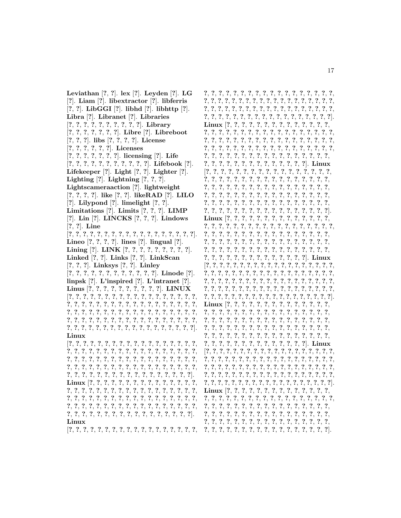Leviathan  $[?, ?]$ . lex  $[?]$ . Leyden  $[?]$ . LG [?]. Liam [?]. libextractor [?]. libferris  $[?, ?]$ . LibGGI  $[?]$ . libhd  $[?]$ . libhttp  $[?]$ . Libra [?]. Libranet [?]. Libraries  $[?, ?, ?, ?, ?, ?, ?, ?, ?]$ . Library  $[?, ?, ?, ?, ?, ?]$ . Libre  $[?]$ . Libreboot  $[?, ?, ?]$ . libs  $[?, ?, ?, ?]$ . License  $[?, ?, ?, ?, ?, ?]$ . Licenses  $[?, ?, ?, ?, ?, ?]$ . licensing  $[?]$ . Life  $[?, ?, ?, ?, ?, ?, ?, ?, ?, ?]$ . Lifebook [?]. Lifekeeper  $[?]$ . Light  $[?, ?]$ . Lighter  $[?]$ . Lighting  $[?]$ . Lightning  $[?,?,?]$ . Lightscameraaction [?]. lightweight  $[?, ?, ?, ?]$ . like  $[?, ?]$ . like RAD  $[?]$ . LILO [?]. Lilypond [?]. limelight  $[?, ?]$ . Limitations  $[?]$ . Limits  $[?,?,?]$ . LIMP [?]. Lin [?]. LINCKS  $[?,?,?]$ . Lindows  $[?, ?]$ . Line  $[?, ?, ?, ?, ?, ?, ?, ?, ?, ?, ?, ?, ?, ?, ?, ?]$ . Lineo  $[?,?,?,?,?]$ . lines  $[?]$ . lingual  $[?]$ . Lining [?]. LINK [?, ?, ?, ?, ?, ?, ?, ?, ?]. Linked  $[?, ?]$ . Links  $[?, ?]$ . LinkScan  $[?, ?, ?]$ . Linksys  $[?, ?]$ . Linley  $[?, ?, ?, ?, ?, ?, ?, ?, ?, ?, ?].$  Linode [?]. linpsk  $[?]$ . L'inspired  $[?]$ . L'intranet  $[?]$ . Linus [?, ?, ?, ?, ?, ?, ?, ?, ?, ?]. LINUX  $[?, ?, ?, ?, ?, ?, ?, ?, ?, ?, ?, ?, ?, ?, ?, ?$ Linux  $[?, ?, ?, ?, ?, ?, ?, ?, ?, ?, ?, ?, ?, ?, ?, ?, ?$ 

#### Linux

 $[?, ?, ?, ?, ?, ?, ?, ?, ?, ?, ?, ?, ?, ?, ?, ?,$ 

 $[?, ?, ?, ?, ?, ?, ?, ?, ?, ?, ?, ?, ?, ?, ?, ?$  $?. ?. ?.$  $\ddot{\mathcal{E}}$  $[?,?,?,?,?,?,?,?,?,?,?,?,?,?,?,?,?,?,$  $[?, ?, ?, ?, ?, ?, ?, ?, ?, ?, ?, ?, ?, ?, ?, ?, ?$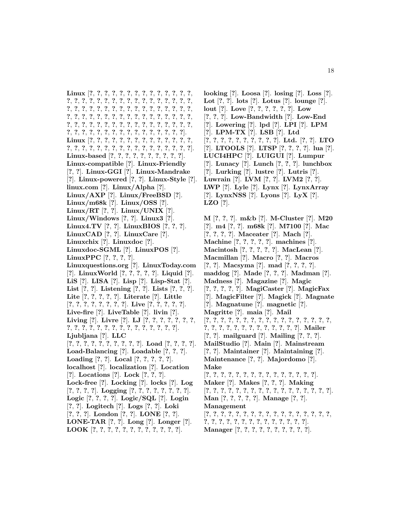**Linux** [**?**, **?**, **?**, **?**, **?**, **?**, **?**, **?**, **?**, **?**, **?**, **?**, **?**, **?**, **?**, **?**, **?**, **?**, **?**, **?**, **?**, **?**, **?**, **?**, **?**, **?**, **?**, **?**, **?**, **?**, **?**, **?**, **?**, **?**, **?**, **?**, **?**, **?**, **?**, **?**, **?**, **?**, **?**, **?**, **?**, **?**, **?**, **?**, **?**, **?**, **?**, **?**, **?**, **?**, **?**, **?**, **?**, **?**, **?**, **?**, **?**, **?**, **?**, **?**, **?**, **?**, **?**, **?**, **?**, **?**, **?**, **?**, **?**, **?**, **?**, **?**, **?**, **?**, **?**, **?**, **?**, **?**, **?**, **?**, **?**, **?**, **?**, **?**, **?**, **?**, **?**, **?**, **?**, **?**, **?**, **?**, **?**, **?**]. **Linux** [**?**, **?**, **?**, **?**, **?**, **?**, **?**, **?**, **?**, **?**, **?**, **?**, **?**, **?**, **?**, **?**, **?**, **?**, **?**, **?**, **?**, **?**, **?**, **?**, **?**, **?**, **?**, **?**, **?**, **?**, **?**]. **Linux-based** [**?**, **?**, **?**, **?**, **?**, **?**, **?**, **?**, **?**, **?**]. **Linux-compatible** [**?**]. **Linux-Friendly** [**?**, **?**]. **Linux-GGI** [**?**]. **Linux-Mandrake** [**?**]. **Linux-powered** [**?**, **?**]. **Linux-Style** [**?**]. **linux.com** [**?**]. **Linux/Alpha** [**?**]. **Linux/AXP** [**?**]. **Linux/FreeBSD** [**?**]. **Linux/m68k** [**?**]. **Linux/OSS** [**?**]. **Linux/RT** [**?**, **?**]. **Linux/UNIX** [**?**]. **Linux/Windows** [**?**, **?**]. **Linux3** [**?**]. **Linux4.TV** [**?**, **?**]. **LinuxBIOS** [**?**, **?**, **?**]. **LinuxCAD** [**?**, **?**]. **LinuxCare** [**?**]. **Linuxchix** [**?**]. **Linuxdoc** [**?**]. **Linuxdoc-SGML** [**?**]. **LinuxPOS** [**?**]. **LinuxPPC** [**?**, **?**, **?**, **?**]. **Linuxquestions.org** [**?**]. **LinuxToday.com** [**?**]. **LinuxWorld** [**?**, **?**, **?**, **?**, **?**]. **Liquid** [**?**]. **LiS** [**?**]. **LISA** [**?**]. **Lisp** [**?**]. **Lisp-Stat** [**?**]. **List** [**?**, **?**]. **Listening** [**?**, **?**]. **Lists** [**?**, **?**, **?**]. **Lite** [**?**, **?**, **?**, **?**, **?**]. **Literate** [**?**]. **Little** [**?**, **?**, **?**, **?**, **?**, **?**, **?**, **?**]. **Live** [**?**, **?**, **?**, **?**, **?**]. **Live-fire** [**?**]. **LiveTable** [**?**]. **livin** [**?**]. **Living** [**?**]. **Livre** [**?**]. **LJ** [**?**, **?**, **?**, **?**, **?**, **?**, **?**, **?**, **?**, **?**, **?**, **?**, **?**, **?**, **?**, **?**, **?**, **?**, **?**, **?**, **?**, **?**]. **Ljubljana** [**?**]. **LLC** [**?**, **?**, **?**, **?**, **?**, **?**, **?**, **?**, **?**, **?**]. **Load** [**?**, **?**, **?**, **?**]. **Load-Balancing** [**?**]. **Loadable** [**?**, **?**, **?**]. **Loading** [**?**, **?**]. **Local** [**?**, **?**, **?**, **?**, **?**]. **localhost** [**?**]. **localization** [**?**]. **Location** [**?**]. **Locations** [**?**]. **Lock** [**?**, **?**, **?**]. **Lock-free** [**?**]. **Locking** [**?**]. **locks** [**?**]. **Log** [**?**, **?**, **?**, **?**]. **Logging** [**?**, **?**, **?**, **?**, **?**, **?**, **?**, **?**]. **Logic** [**?**, **?**, **?**, **?**]. **Logic/SQL** [**?**]. **Login** [**?**, **?**]. **Logitech** [**?**]. **Logs** [**?**, **?**]. **Loki** [**?**, **?**, **?**]. **London** [**?**, **?**]. **LONE** [**?**, **?**]. **LONE-TAR** [**?**, **?**]. **Long** [**?**]. **Longer** [**?**]. **LOOK** [**?**, **?**, **?**, **?**, **?**, **?**, **?**, **?**, **?**, **?**, **?**, **?**].

**looking** [**?**]. **Loosa** [**?**]. **losing** [**?**]. **Loss** [**?**]. **Lot** [**?**, **?**]. **lots** [**?**]. **Lotus** [**?**]. **lounge** [**?**]. **lout** [**?**]. **Love** [**?**, **?**, **?**, **?**, **?**, **?**]. **Low** [**?**, **?**, **?**]. **Low-Bandwidth** [**?**]. **Low-End** [**?**]. **Lowering** [**?**]. **lpd** [**?**]. **LPI** [**?**]. **LPM** [**?**]. **LPM-TX** [**?**]. **LSB** [**?**]. **Ltd** [**?**, **?**, **?**, **?**, **?**, **?**, **?**, **?**, **?**, **?**]. **Ltd.** [**?**, **?**]. **LTO** [**?**]. **LTOOLS** [**?**]. **LTSP** [**?**, **?**, **?**, **?**]. **lua** [**?**]. **LUCI4HPC** [**?**]. **LUIGUI** [**?**]. **Lumpur** [**?**]. **Lunacy** [**?**]. **Lunch** [**?**, **?**, **?**]. **lunchbox** [**?**]. **Lurking** [**?**]. **lustre** [**?**]. **Lutris** [**?**]. **Luwrain** [**?**]. **LVM** [**?**, **?**]. **LVM2** [**?**, **?**]. **LWP** [**?**]. **Lyle** [**?**]. **Lynx** [**?**]. **LynxArray** [**?**]. **LynxNSS** [**?**]. **Lyons** [**?**]. **LyX** [**?**]. **LZO** [**?**].

**M** [**?**, **?**, **?**]. **m&b** [**?**]. **M-Cluster** [**?**]. **M20** [**?**]. **m4** [**?**, **?**]. **m68k** [**?**]. **M7100** [**?**]. **Mac** [**?**, **?**, **?**, **?**]. **Maceater** [**?**]. **Mach** [**?**]. **Machine** [**?**, **?**, **?**, **?**, **?**]. **machines** [**?**]. **Macintosh** [**?**, **?**, **?**, **?**, **?**]. **MacLean** [**?**]. **Macmillan** [**?**]. **Macro** [**?**, **?**]. **Macros** [**?**, **?**]. **Macsyma** [**?**]. **mad** [**?**, **?**, **?**, **?**]. **maddog** [**?**]. **Made** [**?**, **?**, **?**]. **Madman** [**?**]. **Madness** [**?**]. **Magazine** [**?**]. **Magic** [**?**, **?**, **?**, **?**, **?**]. **MagiCaster** [**?**]. **MagicFax** [**?**]. **MagicFilter** [**?**]. **Magick** [**?**]. **Magnate** [**?**]. **Magnatune** [**?**]. **magnetic** [**?**]. **Magritte** [**?**]. **maia** [**?**]. **Mail** [**?**, **?**, **?**, **?**, **?**, **?**, **?**, **?**, **?**, **?**, **?**, **?**, **?**, **?**, **?**, **?**, **?**, **?**, **?**, **?**, **?**, **?**, **?**, **?**, **?**, **?**, **?**, **?**, **?**, **?**]. **Mailer** [**?**, **?**]. **mailguard** [**?**]. **Mailing** [**?**, **?**, **?**]. **MailStudio** [**?**]. **Main** [**?**]. **Mainstream** [**?**, **?**]. **Maintainer** [**?**]. **Maintaining** [**?**]. **Maintenance** [**?**, **?**]. **Majordomo** [**?**]. **Make** [**?**, **?**, **?**, **?**, **?**, **?**, **?**, **?**, **?**, **?**, **?**, **?**, **?**, **?**, **?**]. **Maker** [**?**]. **Makes** [**?**, **?**, **?**]. **Making** [**?**, **?**, **?**, **?**, **?**, **?**, **?**, **?**, **?**, **?**, **?**, **?**, **?**, **?**, **?**, **?**, **?**]. **Man** [**?**, **?**, **?**, **?**, **?**]. **Manage** [**?**, **?**]. **Management** [**?**, **?**, **?**, **?**, **?**, **?**, **?**, **?**, **?**, **?**, **?**, **?**, **?**, **?**, **?**, **?**, **?**, **?**, **?**, **?**, **?**, **?**, **?**, **?**, **?**, **?**, **?**, **?**, **?**, **?**, **?**]. **Manager** [**?**, **?**, **?**, **?**, **?**, **?**, **?**, **?**, **?**, **?**].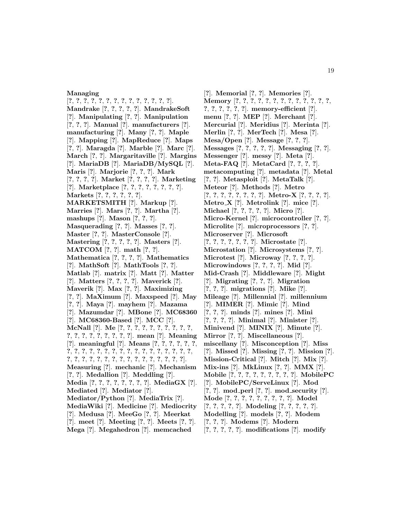#### **Managing**

[**?**, **?**, **?**, **?**, **?**, **?**, **?**, **?**, **?**, **?**, **?**, **?**, **?**, **?**]. **Mandrake** [**?**, **?**, **?**, **?**, **?**]. **MandrakeSoft** [**?**]. **Manipulating** [**?**, **?**]. **Manipulation** [**?**, **?**, **?**]. **Manual** [**?**]. **manufacturers** [**?**]. **manufacturing** [**?**]. **Many** [**?**, **?**]. **Maple** [**?**]. **Mapping** [**?**]. **MapReduce** [**?**]. **Maps** [**?**, **?**]. **Maragda** [**?**]. **Marble** [**?**]. **Marc** [**?**]. **March** [**?**, **?**]. **Margaritaville** [**?**]. **Margins** [**?**]. **MariaDB** [**?**]. **MariaDB/MySQL** [**?**]. **Maris** [**?**]. **Marjorie** [**?**, **?**, **?**]. **Mark** [**?**, **?**, **?**, **?**]. **Market** [**?**, **?**, **?**, **?**]. **Marketing** [**?**]. **Marketplace** [**?**, **?**, **?**, **?**, **?**, **?**, **?**, **?**]. **Markets** [**?**, **?**, **?**, **?**, **?**, **?**]. **MARKETSMITH** [**?**]. **Markup** [**?**]. **Marries** [**?**]. **Mars** [**?**, **?**]. **Martha** [**?**]. **mashups** [**?**]. **Mason** [**?**, **?**, **?**]. **Masquerading** [**?**, **?**]. **Masses** [**?**, **?**]. **Master** [**?**, **?**]. **MasterConsole** [**?**]. **Mastering** [**?**, **?**, **?**, **?**, **?**]. **Masters** [**?**]. **MATCOM** [**?**, **?**]. **math** [**?**, **?**]. **Mathematica** [**?**, **?**, **?**, **?**]. **Mathematics** [**?**]. **MathSoft** [**?**]. **MathTools** [**?**, **?**]. **Matlab** [**?**]. **matrix** [**?**]. **Matt** [**?**]. **Matter** [**?**]. **Matters** [**?**, **?**, **?**, **?**]. **Maverick** [**?**]. **Maverik** [**?**]. **Max** [**?**, **?**]. **Maximizing** [**?**, **?**]. **MaXimum** [**?**]. **Maxspeed** [**?**]. **May** [**?**, **?**]. **Maya** [**?**]. **mayhem** [**?**]. **Mazama** [**?**]. **Mazumdar** [**?**]. **MBone** [**?**]. **MC68360** [**?**]. **MC68360-Based** [**?**]. **MCC** [**?**]. **McNall** [**?**]. **Me** [**?**, **?**, **?**, **?**, **?**, **?**, **?**, **?**, **?**, **?**, **?**, **?**, **?**, **?**, **?**, **?**, **?**, **?**, **?**]. **mean** [**?**]. **Meaning** [**?**]. **meaningful** [**?**]. **Means** [**?**, **?**, **?**, **?**, **?**, **?**, **?**, **?**, **?**, **?**, **?**, **?**, **?**, **?**, **?**, **?**, **?**, **?**, **?**, **?**, **?**, **?**, **?**, **?**, **?**, **?**, **?**, **?**, **?**, **?**, **?**, **?**, **?**, **?**, **?**, **?**, **?**, **?**, **?**]. **Measuring** [**?**]. **mechanic** [**?**]. **Mechanism** [**?**, **?**]. **Medallion** [**?**]. **Meddling** [**?**]. **Media** [**?**, **?**, **?**, **?**, **?**, **?**, **?**, **?**]. **MediaGX** [**?**]. **Mediated** [**?**]. **Mediator** [**?**]. **Mediator/Python** [**?**]. **MediaTrix** [**?**]. **MediaWiki** [**?**]. **Medicine** [**?**]. **Mediocrity** [**?**]. **Medusa** [**?**]. **MeeGo** [**?**, **?**]. **Meerkat** [**?**]. **meet** [**?**]. **Meeting** [**?**, **?**]. **Meets** [**?**, **?**].

**Mega** [**?**]. **Megahedron** [**?**]. **memcached**

[**?**]. **Memorial** [**?**, **?**]. **Memories** [**?**]. **Memory** [**?**, **?**, **?**, **?**, **?**, **?**, **?**, **?**, **?**, **?**, **?**, **?**, **?**, **?**, **?**, **?**, **?**, **?**, **?**]. **memory-efficient** [**?**]. **menu** [**?**, **?**]. **MEP** [**?**]. **Merchant** [**?**]. **Mercurial** [**?**]. **Meridius** [**?**]. **Merinta** [**?**]. **Merlin** [**?**, **?**]. **MerTech** [**?**]. **Mesa** [**?**]. **Mesa/Open** [**?**]. **Message** [**?**, **?**, **?**]. **Messages** [**?**, **?**, **?**, **?**, **?**]. **Messaging** [**?**, **?**]. **Messenger** [**?**]. **messy** [**?**]. **Meta** [**?**]. **Meta-FAQ** [**?**]. **MetaCard** [**?**, **?**, **?**, **?**]. **metacomputing** [**?**]. **metadata** [**?**]. **Metal** [**?**, **?**]. **Metasploit** [**?**]. **MetaTalk** [**?**]. **Meteor** [**?**]. **Methods** [**?**]. **Metro** [**?**, **?**, **?**, **?**, **?**, **?**, **?**, **?**]. **Metro-X** [**?**, **?**, **?**, **?**]. **Metro X** [**?**]. **Metrolink** [**?**]. **mice** [**?**]. **Michael** [**?**, **?**, **?**, **?**, **?**]. **Micro** [**?**]. **Micro-Kernel** [**?**]. **microcontroller** [**?**, **?**]. **Microlite** [**?**]. **microprocessors** [**?**, **?**]. **Microserver** [**?**]. **Microsoft** [**?**, **?**, **?**, **?**, **?**, **?**, **?**]. **Microstate** [**?**]. **Microstation** [**?**]. **Microsystems** [**?**, **?**]. **Microtest** [**?**]. **Microway** [**?**, **?**, **?**, **?**]. **Microwindows** [**?**, **?**, **?**, **?**]. **Mid** [**?**]. **Mid-Crash** [**?**]. **Middleware** [**?**]. **Might** [**?**]. **Migrating** [**?**, **?**, **?**]. **Migration** [**?**, **?**, **?**]. **migrations** [**?**]. **Mike** [**?**]. **Mileage** [**?**]. **Millennial** [**?**]. **millennium** [**?**]. **MIMER** [**?**]. **Mimic** [**?**]. **Mind** [**?**, **?**, **?**]. **minds** [**?**]. **mines** [**?**]. **Mini** [**?**, **?**, **?**, **?**]. **Minimal** [**?**]. **Minister** [**?**]. **Minivend** [**?**]. **MINIX** [**?**]. **Minute** [**?**]. **Mirror** [**?**, **?**]. **Miscellaneous** [**?**]. **miscellany** [**?**]. **Misconception** [**?**]. **Miss** [**?**]. **Missed** [**?**]. **Missing** [**?**, **?**]. **Mission** [**?**]. **Mission-Critical** [**?**]. **Mitch** [**?**]. **Mix** [**?**]. **Mix-ins** [**?**]. **MkLinux** [**?**, **?**]. **MMX** [**?**]. **Mobile** [**?**, **?**, **?**, **?**, **?**, **?**, **?**, **?**, **?**]. **MobilePC** [**?**]. **MobilePC/ServeLinux** [**?**]. **Mod** [**?**, **?**]. **mod perl** [**?**, **?**]. **mod security** [**?**]. **Mode** [**?**, **?**, **?**, **?**, **?**, **?**, **?**, **?**, **?**]. **Model** [**?**, **?**, **?**, **?**, **?**]. **Modeling** [**?**, **?**, **?**, **?**, **?**]. **Modelling** [**?**]. **models** [**?**, **?**]. **Modem** [**?**, **?**, **?**]. **Modems** [**?**]. **Modern** [**?**, **?**, **?**, **?**, **?**]. **modifications** [**?**]. **modify**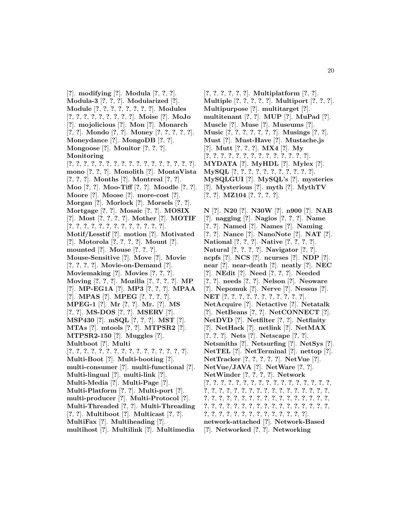[**?**]. **modifying** [**?**]. **Modula** [**?**, **?**, **?**]. **Modula-3** [**?**, **?**, **?**]. **Modularized** [**?**]. **Module** [**?**, **?**, **?**, **?**, **?**, **?**, **?**, **?**]. **Modules** [**?**, **?**, **?**, **?**, **?**, **?**, **?**, **?**, **?**]. **Moise** [**?**]. **MoJo** [**?**]. **mojolicious** [**?**]. **Mon** [**?**]. **Monarch** [**?**, **?**]. **Mondo** [**?**, **?**]. **Money** [**?**, **?**, **?**, **?**, **?**]. **Moneydance** [**?**]. **MongoDB** [**?**, **?**]. **Mongoose** [**?**]. **Monitor** [**?**, **?**, **?**]. **Monitoring** [**?**, **?**, **?**, **?**, **?**, **?**, **?**, **?**, **?**, **?**, **?**, **?**, **?**, **?**, **?**, **?**, **?**]. **mono** [**?**, **?**, **?**]. **Monolith** [**?**]. **MontaVista** [**?**, **?**, **?**]. **Months** [**?**]. **Montreal** [**?**, **?**]. **Moo** [**?**, **?**]. **Moo-Tiff** [**?**, **?**]. **Moodle** [**?**, **?**]. **Moore** [**?**]. **Moose** [**?**]. **more-cost** [**?**]. **Morgan** [**?**]. **Morlock** [**?**]. **Morsels** [**?**, **?**]. **Mortgage** [**?**, **?**]. **Mosaic** [**?**, **?**]. **MOSIX** [**?**]. **Most** [**?**, **?**, **?**, **?**]. **Mother** [**?**]. **MOTIF** [**?**, **?**, **?**, **?**, **?**, **?**, **?**, **?**, **?**, **?**, **?**, **?**, **?**]. **Motif/Lesstif** [**?**]. **motion** [**?**]. **Motivated** [**?**]. **Motorola** [**?**, **?**, **?**, **?**]. **Mount** [**?**]. **mounted** [**?**]. **Mouse** [**?**, **?**, **?**]. **Mouse-Sensitive** [**?**]. **Move** [**?**]. **Movie** [**?**, **?**, **?**, **?**]. **Movie-on-Demand** [**?**]. **Moviemaking** [**?**]. **Movies** [**?**, **?**, **?**]. **Moving** [**?**, **?**, **?**]. **Mozilla** [**?**, **?**, **?**, **?**]. **MP** [**?**]. **MP-EG1A** [**?**]. **MP3** [**?**, **?**, **?**]. **MPAA** [**?**]. **MPAS** [**?**]. **MPEG** [**?**, **?**, **?**, **?**]. **MPEG-1** [**?**]. **Mr** [**?**, **?**]. **Mr.** [**?**]. **MS** [**?**, **?**]. **MS-DOS** [**?**, **?**]. **MSERV** [**?**]. **MSP430** [**?**]. **mSQL** [**?**, **?**, **?**]. **MST** [**?**]. **MTAs** [**?**]. **mtools** [**?**, **?**]. **MTPSR2** [**?**]. **MTPSR2-150** [**?**]. **Muggles** [**?**]. **Multboot** [**?**]. **Multi** [**?**, **?**, **?**, **?**, **?**, **?**, **?**, **?**, **?**, **?**, **?**, **?**, **?**, **?**, **?**, **?**]. **Multi-Boot** [**?**]. **Multi-booting** [**?**]. **multi-consumer** [**?**]. **multi-functional** [**?**]. **Multi-lingual** [**?**]. **multi-link** [**?**]. **Multi-Media** [**?**]. **Multi-Page** [**?**]. **Multi-Platform** [**?**, **?**]. **Multi-port** [**?**]. **multi-producer** [**?**]. **Multi-Protocol** [**?**]. **Multi-Threaded** [**?**, **?**]. **Multi-Threading** [**?**, **?**]. **Multiboot** [**?**]. **Multicast** [**?**, **?**]. **MultiFax** [**?**]. **Multiheading** [**?**]. **multihost** [**?**]. **Multilink** [**?**]. **Multimedia**

[**?**, **?**, **?**, **?**, **?**, **?**]. **Multiplatform** [**?**, **?**]. **Multiple** [**?**, **?**, **?**, **?**, **?**]. **Multiport** [**?**, **?**, **?**]. **Multipurpose** [**?**]. **multitarget** [**?**]. **multitenant** [**?**, **?**]. **MUP** [**?**]. **MuPad** [**?**]. **Muscle** [**?**]. **Muse** [**?**]. **Museums** [**?**]. **Music** [**?**, **?**, **?**, **?**, **?**, **?**, **?**]. **Musings** [**?**, **?**]. **Must** [**?**]. **Must-Have** [**?**]. **Mustache.js** [**?**]. **Mutt** [**?**, **?**, **?**]. **MX4** [**?**]. **My** [**?**, **?**, **?**, **?**, **?**, **?**, **?**, **?**, **?**, **?**, **?**, **?**, **?**, **?**]. **MYDATA** [**?**]. **MyHDL** [**?**]. **Mylex** [**?**]. **MySQL** [**?**, **?**, **?**, **?**, **?**, **?**, **?**, **?**, **?**, **?**, **?**]. **MySQLGUI** [**?**]. **MySQL's** [**?**]. **mysteries** [**?**]. **Mysterious** [**?**]. **myth** [**?**]. **MythTV** [**?**, **?**]. **MZ104** [**?**, **?**, **?**, **?**]. **N** [**?**]. **N20** [**?**]. **N30W** [**?**]. **n900** [**?**]. **NAB** [**?**]. **nagging** [**?**]. **Nagios** [**?**, **?**, **?**]. **Name** [**?**, **?**]. **Named** [**?**]. **Names** [**?**]. **Naming** [**?**, **?**]. **Nance** [**?**]. **NanoNote** [**?**]. **NAT** [**?**]. **National** [**?**, **?**, **?**]. **Native** [**?**, **?**, **?**, **?**]. **Natural** [**?**, **?**, **?**, **?**]. **Navigator** [**?**, **?**]. **ncpfs** [**?**]. **NCS** [**?**]. **ncurses** [**?**]. **NDP** [**?**]. **near** [**?**]. **near-death** [**?**]. **neatly** [**?**]. **NEC** [**?**]. **NEdit** [**?**]. **Need** [**?**, **?**, **?**]. **Needed** [**?**, **?**]. **needs** [**?**, **?**]. **Nelson** [**?**]. **Neoware**

[**?**]. **Nepomuk** [**?**]. **Nerve** [**?**]. **Nessus** [**?**].

**NetAcquire** [**?**]. **Netactive** [**?**]. **Netatalk** [**?**]. **NetBeans** [**?**, **?**]. **NetCONNECT** [**?**]. **NetDVD** [**?**]. **Netfilter** [**?**, **?**]. **Netfinity** [**?**]. **NetHack** [**?**]. **netlink** [**?**]. **NetMAX** [**?**, **?**, **?**]. **Nets** [**?**]. **Netscape** [**?**, **?**].

**Netsmiths** [**?**]. **Netsurfing** [**?**]. **NetSys** [**?**]. **NetTEL** [**?**]. **NetTerminal** [**?**]. **nettop** [**?**]. **NetTracker** [**?**, **?**, **?**, **?**, **?**]. **NetVue** [**?**]. **NetVue/JAVA** [**?**]. **NetWare** [**?**, **?**]. **NetWinder** [**?**, **?**, **?**, **?**]. **Network**

[**?**, **?**, **?**, **?**, **?**, **?**, **?**, **?**, **?**, **?**, **?**, **?**, **?**, **?**, **?**, **?**, **?**, **?**, **?**, **?**, **?**, **?**, **?**, **?**, **?**, **?**, **?**, **?**, **?**, **?**, **?**, **?**, **?**, **?**, **?**, **?**, **?**, **?**, **?**, **?**, **?**, **?**, **?**, **?**, **?**, **?**, **?**, **?**, **?**, **?**, **?**, **?**, **?**, **?**, **?**, **?**, **?**, **?**, **?**, **?**, **?**, **?**, **?**, **?**, **?**, **?**, **?**, **?**, **?**, **?**, **?**, **?**, **?**, **?**, **?**, **?**, **?**, **?**, **?**, **?**, **?**, **?**]. **network-attached** [**?**]. **Network-Based** [**?**]. **Networked** [**?**, **?**]. **Networking**

**NET** [**?**, **?**, **?**, **?**, **?**, **?**, **?**, **?**, **?**, **?**, **?**].

20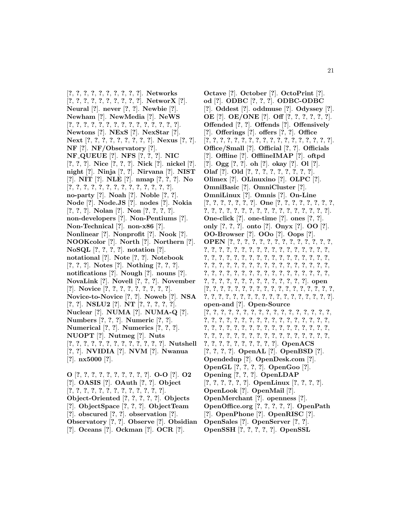[**?**, **?**, **?**, **?**, **?**, **?**, **?**, **?**, **?**, **?**]. **Networks** [**?**, **?**, **?**, **?**, **?**, **?**, **?**, **?**, **?**, **?**]. **NetworX** [**?**]. **Neural** [**?**]. **never** [**?**, **?**]. **Newbie** [**?**]. **Newham** [**?**]. **NewMedia** [**?**]. **NeWS** [**?**, **?**, **?**, **?**, **?**, **?**, **?**, **?**, **?**, **?**, **?**, **?**, **?**, **?**, **?**]. **Newtons** [**?**]. **NExS** [**?**]. **NexStar** [**?**]. **Next** [**?**, **?**, **?**, **?**, **?**, **?**, **?**, **?**, **?**]. **Nexus** [**?**, **?**]. **NF** [**?**]. **NF/Observatory** [**?**]. **NF QUEUE** [**?**]. **NFS** [**?**, **?**, **?**]. **NIC** [**?**, **?**, **?**]. **Nice** [**?**, **?**, **?**]. **Nick** [**?**]. **nickel** [**?**]. **night** [**?**]. **Ninja** [**?**, **?**]. **Nirvana** [**?**]. **NIST** [**?**]. **NIT** [**?**]. **NLE** [**?**]. **nmap** [**?**, **?**, **?**]. **No** [**?**, **?**, **?**, **?**, **?**, **?**, **?**, **?**, **?**, **?**, **?**, **?**, **?**, **?**]. **no-party** [**?**]. **Noah** [**?**]. **Noble** [**?**, **?**]. **Node** [**?**]. **Node.JS** [**?**]. **nodes** [**?**]. **Nokia** [**?**, **?**, **?**]. **Nolan** [**?**]. **Non** [**?**, **?**, **?**, **?**]. **non-developers** [**?**]. **Non-Pentiums** [**?**]. **Non-Technical** [**?**]. **non-x86** [**?**]. **Nonlinear** [**?**]. **Nonprofit** [**?**]. **Nook** [**?**]. **NOOKcolor** [**?**]. **North** [**?**]. **Northern** [**?**]. **NoSQL** [**?**, **?**, **?**, **?**]. **notation** [**?**]. **notational** [**?**]. **Note** [**?**, **?**]. **Notebook** [**?**, **?**, **?**]. **Notes** [**?**]. **Nothing** [**?**, **?**, **?**]. **notifications** [**?**]. **Nough** [**?**]. **nouns** [**?**]. **NovaLink** [**?**]. **Novell** [**?**, **?**, **?**]. **November** [**?**]. **Novice** [**?**, **?**, **?**, **?**, **?**, **?**, **?**, **?**, **?**]. **Novice-to-Novice** [**?**, **?**]. **Noweb** [**?**]. **NSA** [**?**, **?**]. **NSLU2** [**?**]. **NT** [**?**, **?**, **?**, **?**, **?**]. **Nuclear** [**?**]. **NUMA** [**?**]. **NUMA-Q** [**?**]. **Numbers** [**?**, **?**, **?**]. **Numeric** [**?**, **?**]. **Numerical** [**?**, **?**]. **Numerics** [**?**, **?**, **?**]. **NUOPT** [**?**]. **Nutmeg** [**?**]. **Nuts** [**?**, **?**, **?**, **?**, **?**, **?**, **?**, **?**, **?**, **?**, **?**, **?**, **?**]. **Nutshell** [**?**, **?**]. **NVIDIA** [**?**]. **NVM** [**?**]. **Nwanua** [**?**]. **nx5000** [**?**]. **O** [**?**, **?**, **?**, **?**, **?**, **?**, **?**, **?**, **?**, **?**]. **O-O** [**?**]. **O2** [**?**]. **OASIS** [**?**]. **OAuth** [**?**, **?**]. **Object**

[**?**, **?**, **?**, **?**, **?**, **?**, **?**, **?**, **?**, **?**, **?**, **?**, **?**]. **Object-Oriented** [**?**, **?**, **?**, **?**, **?**]. **Objects** [**?**]. **ObjectSpace** [**?**, **?**, **?**]. **ObjectTeam** [**?**]. **obscured** [**?**, **?**]. **observation** [**?**]. **Observatory** [**?**, **?**]. **Observe** [**?**]. **Obsidian** [**?**]. **Oceans** [**?**]. **Ockman** [**?**]. **OCR** [**?**].

**Octave** [**?**]. **October** [**?**]. **OctoPrint** [**?**]. **od** [**?**]. **ODBC** [**?**, **?**, **?**]. **ODBC-ODBC** [**?**]. **Oddest** [**?**]. **oddmuse** [**?**]. **Odyssey** [**?**]. **OE** [**?**]. **OE/ONE** [**?**]. **Off** [**?**, **?**, **?**, **?**, **?**, **?**]. **Offended** [**?**, **?**]. **Offends** [**?**]. **Offensively** [**?**]. **Offerings** [**?**]. **offers** [**?**, **?**]. **Office** [**?**, **?**, **?**, **?**, **?**, **?**, **?**, **?**, **?**, **?**, **?**, **?**, **?**, **?**, **?**, **?**, **?**, **?**]. **Office/Small** [**?**]. **Official** [**?**, **?**]. **Officials** [**?**]. **Offline** [**?**]. **OfflineIMAP** [**?**]. **oftpd** [**?**]. **Ogg** [**?**, **?**]. **oh** [**?**]. **okay** [**?**]. **Ol** [**?**]. **Olaf** [**?**]. **Old** [**?**, **?**, **?**, **?**, **?**, **?**, **?**, **?**, **?**]. **Olimex** [**?**]. **OLinuxino** [**?**]. **OLPC** [**?**]. **OmniBasic** [**?**]. **OmniCluster** [**?**]. **OmniLinux** [**?**]. **Omnis** [**?**]. **On-Line** [**?**, **?**, **?**, **?**, **?**, **?**, **?**]. **One** [**?**, **?**, **?**, **?**, **?**, **?**, **?**, **?**, **?**, **?**, **?**, **?**, **?**, **?**, **?**, **?**, **?**, **?**, **?**, **?**, **?**, **?**, **?**, **?**, **?**]. **One-click** [**?**]. **one-time** [**?**]. **ones** [**?**, **?**]. **only** [**?**, **?**, **?**]. **onto** [**?**]. **Onyx** [**?**]. **OO** [**?**]. **OO-Browser** [**?**]. **OOo** [**?**]. **Oops** [**?**]. **OPEN** [**?**, **?**, **?**, **?**, **?**, **?**, **?**, **?**, **?**, **?**, **?**, **?**, **?**, **?**, **?**, **?**, **?**, **?**, **?**, **?**, **?**, **?**, **?**, **?**, **?**, **?**, **?**, **?**, **?**, **?**, **?**, **?**, **?**, **?**, **?**, **?**, **?**, **?**, **?**, **?**, **?**, **?**, **?**, **?**, **?**, **?**, **?**, **?**, **?**, **?**, **?**, **?**, **?**, **?**, **?**, **?**, **?**, **?**, **?**, **?**, **?**, **?**, **?**, **?**, **?**, **?**, **?**, **?**, **?**, **?**, **?**, **?**, **?**, **?**, **?**, **?**, **?**, **?**, **?**, **?**, **?**, **?**, **?**, **?**, **?**, **?**, **?**, **?**, **?**, **?**, **?**, **?**, **?**, **?**, **?**, **?**]. **open** [**?**, **?**, **?**, **?**, **?**, **?**, **?**, **?**, **?**, **?**, **?**, **?**, **?**, **?**, **?**, **?**, **?**, **?**, **?**, **?**, **?**, **?**, **?**, **?**, **?**, **?**, **?**, **?**, **?**, **?**, **?**, **?**, **?**, **?**, **?**, **?**]. **open-and** [**?**]. **Open-Source** [**?**, **?**, **?**, **?**, **?**, **?**, **?**, **?**, **?**, **?**, **?**, **?**, **?**, **?**, **?**, **?**, **?**, **?**, **?**, **?**, **?**, **?**, **?**, **?**, **?**, **?**, **?**, **?**, **?**, **?**, **?**, **?**, **?**, **?**, **?**, **?**, **?**, **?**, **?**, **?**, **?**, **?**, **?**, **?**, **?**, **?**, **?**, **?**, **?**, **?**, **?**, **?**, **?**, **?**, **?**, **?**, **?**, **?**, **?**, **?**, **?**, **?**, **?**, **?**, **?**, **?**, **?**, **?**, **?**, **?**, **?**, **?**, **?**, **?**, **?**, **?**, **?**, **?**]. **OpenACS** [**?**, **?**, **?**, **?**]. **OpenAL** [**?**]. **OpenBSD** [**?**]. **Opendedup** [**?**]. **OpenDesk.com** [**?**]. **OpenGL** [**?**, **?**, **?**, **?**]. **OpenGoo** [**?**]. **Opening** [**?**, **?**, **?**]. **OpenLDAP** [**?**, **?**, **?**, **?**, **?**, **?**]. **OpenLinux** [**?**, **?**, **?**, **?**]. **OpenLook** [**?**]. **OpenMail** [**?**]. **OpenMerchant** [**?**]. **openness** [**?**]. **OpenOffice.org** [**?**, **?**, **?**, **?**, **?**]. **OpenPath** [**?**]. **OpenPhone** [**?**]. **OpenRISC** [**?**]. **OpenSales** [**?**]. **OpenServer** [**?**, **?**]. **OpenSSH** [**?**, **?**, **?**, **?**, **?**]. **OpenSSL**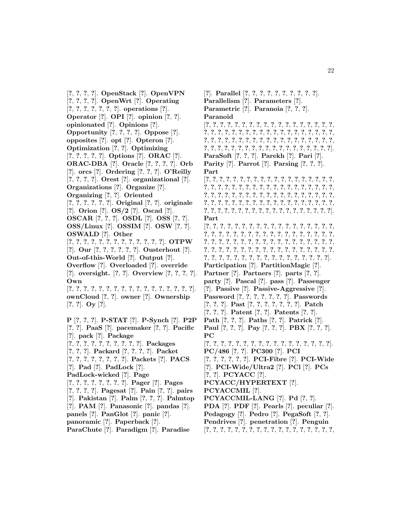[**?**, **?**, **?**, **?**]. **OpenStack** [**?**]. **OpenVPN** [**?**, **?**, **?**, **?**]. **OpenWrt** [**?**]. **Operating** [**?**, **?**, **?**, **?**, **?**, **?**, **?**]. **operations** [**?**]. **Operator** [**?**]. **OPI** [**?**]. **opinion** [**?**, **?**]. **opinionated** [**?**]. **Opinions** [**?**]. **Opportunity** [**?**, **?**, **?**, **?**]. **Oppose** [**?**]. **opposites** [**?**]. **opt** [**?**]. **Opteron** [**?**]. **Optimization** [**?**, **?**]. **Optimizing** [**?**, **?**, **?**, **?**, **?**]. **Options** [**?**]. **ORAC** [**?**]. **ORAC-DBA** [**?**]. **Oracle** [**?**, **?**, **?**, **?**]. **Orb** [**?**]. **orcs** [**?**]. **Ordering** [**?**, **?**, **?**]. **O'Reilly** [**?**, **?**, **?**, **?**]. **Orest** [**?**]. **organizational** [**?**]. **Organizations** [**?**]. **Organize** [**?**]. **Organizing** [**?**, **?**]. **Oriented** [**?**, **?**, **?**, **?**, **?**, **?**]. **Original** [**?**, **?**]. **originale** [**?**]. **Orion** [**?**]. **OS/2** [**?**]. **Oscad** [**?**]. **OSCAR** [**?**, **?**, **?**]. **OSDL** [**?**]. **OSS** [**?**, **?**]. **OSS/Linux** [**?**]. **OSSIM** [**?**]. **OSW** [**?**, **?**]. **OSWALD** [**?**]. **Other** [**?**, **?**, **?**, **?**, **?**, **?**, **?**, **?**, **?**, **?**, **?**, **?**, **?**]. **OTPW** [**?**]. **Our** [**?**, **?**, **?**, **?**, **?**, **?**]. **Ousterhout** [**?**]. **Out-of-this-World** [**?**]. **Output** [**?**]. **Overflow** [**?**]. **Overloaded** [**?**]. **override** [**?**]. **oversight.** [**?**, **?**]. **Overview** [**?**, **?**, **?**, **?**]. **Own** [**?**, **?**, **?**, **?**, **?**, **?**, **?**, **?**, **?**, **?**, **?**, **?**, **?**, **?**, **?**, **?**, **?**]. **ownCloud** [**?**, **?**]. **owner** [**?**]. **Ownership** [**?**, **?**]. **Oy** [**?**]. **P** [**?**, **?**, **?**]. **P-STAT** [**?**]. **P-Synch** [**?**]. **P2P** [**?**, **?**]. **PaaS** [**?**]. **pacemaker** [**?**, **?**]. **Pacific** [**?**]. **pack** [**?**]. **Package** [**?**, **?**, **?**, **?**, **?**, **?**, **?**, **?**, **?**, **?**]. **Packages** [**?**, **?**, **?**]. **Packard** [**?**, **?**, **?**, **?**]. **Packet** [**?**, **?**, **?**, **?**, **?**, **?**, **?**, **?**]. **Packets** [**?**]. **PACS** [**?**]. **Pad** [**?**]. **PadLock** [**?**]. **PadLock-wicked** [**?**]. **Page** [**?**, **?**, **?**, **?**, **?**, **?**, **?**, **?**]. **Pager** [**?**]. **Pages** [**?**, **?**, **?**, **?**]. **Pagesat** [**?**]. **Pain** [**?**, **?**]. **pairs** [**?**]. **Pakistan** [**?**]. **Palm** [**?**, **?**, **?**]. **Palmtop** [**?**]. **PAM** [**?**]. **Panasonic** [**?**]. **pandas** [**?**]. **panels** [**?**]. **PanGlot** [**?**]. **panic** [**?**].

- **panoramic** [**?**]. **Paperback** [**?**].
- **ParaChute** [**?**]. **Paradigm** [**?**]. **Paradise**

**Parallelism** [**?**]. **Parameters** [**?**]. **Parametric** [**?**]. **Paranoia** [**?**, **?**, **?**]. **Paranoid** [**?**, **?**, **?**, **?**, **?**, **?**, **?**, **?**, **?**, **?**, **?**, **?**, **?**, **?**, **?**, **?**, **?**, **?**, **?**, **?**, **?**, **?**, **?**, **?**, **?**, **?**, **?**, **?**, **?**, **?**, **?**, **?**, **?**, **?**, **?**, **?**, **?**, **?**, **?**, **?**, **?**, **?**, **?**, **?**, **?**, **?**, **?**, **?**, **?**, **?**, **?**, **?**, **?**, **?**, **?**, **?**, **?**, **?**, **?**, **?**, **?**, **?**, **?**, **?**, **?**, **?**, **?**, **?**, **?**, **?**, **?**, **?**, **?**, **?**, **?**]. **ParaSoft** [**?**, **?**, **?**]. **Parekh** [**?**]. **Pari** [**?**]. **Parity** [**?**]. **Parrot** [**?**]. **Parsing** [**?**, **?**, **?**]. **Part** [**?**, **?**, **?**, **?**, **?**, **?**, **?**, **?**, **?**, **?**, **?**, **?**, **?**, **?**, **?**, **?**, **?**, **?**, **?**, **?**, **?**, **?**, **?**, **?**, **?**, **?**, **?**, **?**, **?**, **?**, **?**, **?**, **?**, **?**, **?**, **?**, **?**, **?**, **?**, **?**, **?**, **?**, **?**, **?**, **?**, **?**, **?**, **?**, **?**, **?**, **?**, **?**, **?**, **?**, **?**, **?**, **?**, **?**, **?**, **?**, **?**, **?**, **?**, **?**, **?**, **?**, **?**, **?**, **?**, **?**, **?**, **?**, **?**, **?**, **?**, **?**, **?**, **?**, **?**, **?**, **?**, **?**, **?**, **?**, **?**, **?**, **?**, **?**, **?**, **?**, **?**, **?**, **?**, **?**, **?**]. **Part** [**?**, **?**, **?**, **?**, **?**, **?**, **?**, **?**, **?**, **?**, **?**, **?**, **?**, **?**, **?**, **?**, **?**, **?**, **?**, **?**, **?**, **?**, **?**, **?**, **?**, **?**, **?**, **?**, **?**, **?**, **?**, **?**, **?**, **?**, **?**, **?**, **?**, **?**, **?**, **?**, **?**, **?**, **?**, **?**, **?**, **?**, **?**, **?**, **?**, **?**, **?**, **?**, **?**, **?**, **?**, **?**, **?**, **?**, **?**, **?**, **?**, **?**, **?**, **?**, **?**, **?**, **?**, **?**, **?**, **?**, **?**, **?**, **?**, **?**, **?**, **?**, **?**, **?**, **?**, **?**, **?**, **?**, **?**, **?**, **?**, **?**, **?**, **?**, **?**]. **Participation** [**?**]. **PartitionMagic** [**?**]. **Partner** [**?**]. **Partners** [**?**]. **parts** [**?**, **?**]. **party** [**?**]. **Pascal** [**?**]. **pass** [**?**]. **Passenger** [**?**]. **Passive** [**?**]. **Passive-Aggressive** [**?**]. **Password** [**?**, **?**, **?**, **?**, **?**, **?**, **?**]. **Passwords** [**?**, **?**, **?**]. **Past** [**?**, **?**, **?**, **?**, **?**, **?**, **?**]. **Patch** [**?**, **?**, **?**]. **Patent** [**?**, **?**]. **Patents** [**?**, **?**]. **Path** [**?**, **?**, **?**]. **Paths** [**?**, **?**]. **Patrick** [**?**]. **Paul** [**?**, **?**, **?**]. **Pay** [**?**, **?**, **?**]. **PBX** [**?**, **?**, **?**]. **PC** [**?**, **?**, **?**, **?**, **?**, **?**, **?**, **?**, **?**, **?**, **?**, **?**, **?**, **?**, **?**, **?**, **?**]. **PC/486** [**?**, **?**]. **PC300** [**?**]. **PCI** [**?**, **?**, **?**, **?**, **?**, **?**]. **PCI-Fibre** [**?**]. **PCI-Wide** [**?**]. **PCI-Wide/Ultra2** [**?**]. **PCl** [**?**]. **PCs** [**?**, **?**]. **PCYACC** [**?**]. **PCYACC/HYPERTEXT** [**?**]. **PCYACCMIL** [**?**]. **PCYACCMIL-LANG** [**?**]. **Pd** [**?**, **?**]. **PDA** [**?**]. **PDF** [**?**]. **Pearls** [**?**]. **peculiar** [**?**]. **Pedagogy** [**?**]. **Pedro** [**?**]. **PegaSoft** [**?**, **?**].

[**?**]. **Parallel** [**?**, **?**, **?**, **?**, **?**, **?**, **?**, **?**, **?**, **?**].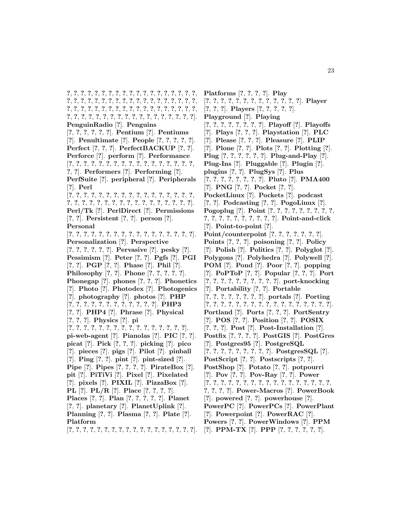**?**, **?**, **?**, **?**, **?**, **?**, **?**, **?**, **?**, **?**, **?**, **?**, **?**, **?**, **?**, **?**, **?**, **?**, **?**, **?**, **?**, **?**, **?**, **?**, **?**, **?**, **?**, **?**, **?**, **?**, **?**, **?**, **?**, **?**, **?**, **?**, **?**, **?**, **?**, **?**, **?**, **?**, **?**, **?**, **?**, **?**, **?**, **?**, **?**, **?**, **?**, **?**, **?**, **?**, **?**, **?**, **?**, **?**, **?**, **?**, **?**, **?**, **?**, **?**, **?**, **?**, **?**, **?**, **?**, **?**, **?**, **?**, **?**, **?**, **?**]. **PenguinRadio** [**?**]. **Penguins** [**?**, **?**, **?**, **?**, **?**, **?**]. **Pentium** [**?**]. **Pentiums** [**?**]. **Penultimate** [**?**]. **People** [**?**, **?**, **?**, **?**, **?**]. **Perfect** [**?**, **?**, **?**]. **PerfectBACKUP** [**?**, **?**]. **Perforce** [**?**]. **perform** [**?**]. **Performance** [**?**, **?**, **?**, **?**, **?**, **?**, **?**, **?**, **?**, **?**, **?**, **?**, **?**, **?**, **?**, **?**, **?**, **?**, **?**]. **Performers** [**?**]. **Performing** [**?**]. **PerfSuite** [**?**]. **peripheral** [**?**]. **Peripherals** [**?**]. **Perl** [**?**, **?**, **?**, **?**, **?**, **?**, **?**, **?**, **?**, **?**, **?**, **?**, **?**, **?**, **?**, **?**, **?**, **?**, **?**, **?**, **?**, **?**, **?**, **?**, **?**, **?**, **?**, **?**, **?**, **?**, **?**, **?**, **?**, **?**]. **Perl/Tk** [**?**]. **PerlDirect** [**?**]. **Permissions** [**?**, **?**]. **Persistent** [**?**, **?**]. **person** [**?**]. **Personal** [**?**, **?**, **?**, **?**, **?**, **?**, **?**, **?**, **?**, **?**, **?**, **?**, **?**, **?**, **?**, **?**, **?**]. **Personalization** [**?**]. **Perspective** [**?**, **?**, **?**, **?**, **?**, **?**]. **Pervasive** [**?**]. **pesky** [**?**]. **Pessimism** [**?**]. **Peter** [**?**, **?**]. **Pgfs** [**?**]. **PGI** [**?**, **?**]. **PGP** [**?**, **?**]. **Phase** [**?**]. **Phil** [**?**]. **Philosophy** [**?**, **?**]. **Phone** [**?**, **?**, **?**, **?**, **?**]. **Phonegap** [**?**]. **phones** [**?**, **?**, **?**]. **Phonetics** [**?**]. **Photo** [**?**]. **Photodex** [**?**]. **Photogenics** [**?**]. **photography** [**?**]. **photos** [**?**]. **PHP** [**?**, **?**, **?**, **?**, **?**, **?**, **?**, **?**, **?**, **?**, **?**, **?**]. **PHP3** [**?**, **?**]. **PHP4** [**?**]. **Phrase** [**?**]. **Physical** [**?**, **?**, **?**]. **Physics** [**?**]. **pi** [**?**, **?**, **?**, **?**, **?**, **?**, **?**, **?**, **?**, **?**, **?**, **?**, **?**, **?**, **?**, **?**]. **pi-web-agent** [**?**]. **Pianolas** [**?**]. **PIC** [**?**, **?**]. **picat** [**?**]. **Pick** [**?**, **?**, **?**]. **picking** [**?**]. **pico** [**?**]. **pieces** [**?**]. **pigs** [**?**]. **Pilot** [**?**]. **pinball** [**?**]. **Ping** [**?**, **?**]. **pint** [**?**]. **pint-sized** [**?**]. **Pipe** [**?**]. **Pipes** [**?**, **?**, **?**, **?**]. **PirateBox** [**?**]. **pit** [**?**]. **PiTiVi** [**?**]. **Pixel** [**?**]. **Pixelated** [**?**]. **pixels** [**?**]. **PIXIL** [**?**]. **PizzaBox** [**?**]. **PL** [**?**]. **PL/R** [**?**]. **Place** [**?**, **?**, **?**, **?**]. **Places** [**?**, **?**]. **Plan** [**?**, **?**, **?**, **?**, **?**]. **Planet** [**?**, **?**]. **planetary** [**?**]. **PlanetUplink** [**?**]. **Planning** [**?**, **?**]. **Plasma** [**?**, **?**]. **Plate** [**?**]. **Platform** [**?**, **?**, **?**, **?**, **?**, **?**, **?**, **?**, **?**, **?**, **?**, **?**, **?**, **?**, **?**, **?**, **?**, **?**].

**Platforms** [**?**, **?**, **?**, **?**]. **Play** [**?**, **?**, **?**, **?**, **?**, **?**, **?**, **?**, **?**, **?**, **?**, **?**, **?**]. **Player** [**?**, **?**, **?**]. **Players** [**?**, **?**, **?**, **?**, **?**]. **Playground** [**?**]. **Playing** [**?**, **?**, **?**, **?**, **?**, **?**, **?**, **?**]. **Playoff** [**?**]. **Playoffs** [**?**]. **Plays** [**?**, **?**, **?**]. **Playstation** [**?**]. **PLC** [**?**]. **Please** [**?**, **?**, **?**]. **Pleasure** [**?**]. **PLIP** [**?**]. **Plone** [**?**, **?**]. **Plots** [**?**, **?**]. **Plotting** [**?**]. **Plug** [**?**, **?**, **?**, **?**, **?**, **?**]. **Plug-and-Play** [**?**]. **Plug-Ins** [**?**]. **Pluggable** [**?**]. **Plugin** [**?**]. **plugins** [**?**, **?**]. **PlugSys** [**?**]. **Plus** [**?**, **?**, **?**, **?**, **?**, **?**, **?**, **?**]. **Pluto** [**?**]. **PMA400** [**?**]. **PNG** [**?**, **?**]. **Pocket** [**?**, **?**]. **PocketLinux** [**?**]. **Pockets** [**?**]. **podcast** [**?**, **?**]. **Podcasting** [**?**, **?**]. **PogoLinux** [**?**]. **Pogoplug** [**?**]. **Point** [**?**, **?**, **?**, **?**, **?**, **?**, **?**, **?**, **?**, **?**, **?**, **?**, **?**, **?**, **?**, **?**, **?**, **?**, **?**]. **Point-and-click** [**?**]. **Point-to-point** [**?**]. **Point/counterpoint** [**?**, **?**, **?**, **?**, **?**, **?**, **?**]. **Points** [**?**, **?**, **?**]. **poisoning** [**?**, **?**]. **Policy** [**?**]. **Polish** [**?**]. **Politics** [**?**, **?**]. **Polyglot** [**?**]. **Polygons** [**?**]. **Polyhedra** [**?**]. **Polywell** [**?**]. **POM** [**?**]. **Pond** [**?**]. **Poor** [**?**, **?**]. **popping** [**?**]. **PoPToP** [**?**, **?**]. **Popular** [**?**, **?**, **?**]. **Port** [**?**, **?**, **?**, **?**, **?**, **?**, **?**, **?**, **?**, **?**]. **port-knocking** [**?**]. **Portability** [**?**, **?**]. **Portable** [**?**, **?**, **?**, **?**, **?**, **?**, **?**, **?**]. **portals** [**?**]. **Porting** [**?**, **?**, **?**, **?**, **?**, **?**, **?**, **?**, **?**, **?**, **?**, **?**, **?**, **?**, **?**, **?**, **?**]. **Portland** [**?**]. **Ports** [**?**, **?**, **?**]. **PortSentry** [**?**]. **POS** [**?**, **?**]. **Position** [**?**, **?**]. **POSIX** [**?**, **?**, **?**]. **Post** [**?**]. **Post-Installation** [**?**]. **Postfix** [**?**, **?**, **?**, **?**]. **PostGIS** [**?**]. **PostGres** [**?**]. **Postgres95** [**?**]. **PostgreSQL** [**?**, **?**, **?**, **?**, **?**, **?**, **?**, **?**, **?**]. **PostgresSQL** [**?**]. **PostScript** [**?**, **?**]. **Postscripts** [**?**, **?**]. **PostShop** [**?**]. **Potato** [**?**, **?**]. **potpourri** [**?**]. **Pov** [**?**, **?**]. **Pov-Ray** [**?**, **?**]. **Power** [**?**, **?**, **?**, **?**, **?**, **?**, **?**, **?**, **?**, **?**, **?**, **?**, **?**, **?**, **?**, **?**, **?**, **?**, **?**, **?**, **?**]. **Power-Macros** [**?**]. **PowerBook** [**?**]. **powered** [**?**, **?**]. **powerhouse** [**?**]. **PowerPC** [**?**]. **PowerPCs** [**?**]. **PowerPlant** [**?**]. **Powerpoint** [**?**]. **PowerRAC** [**?**]. **Powers** [**?**, **?**]. **PowerWindows** [**?**]. **PPM** [**?**]. **PPM-TX** [**?**]. **PPP** [**?**, **?**, **?**, **?**, **?**, **?**].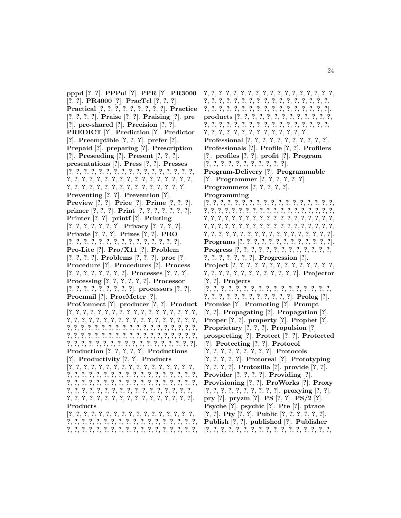**pppd** [**?**, **?**]. **PPPui** [**?**]. **PPR** [**?**]. **PR3000** [**?**, **?**]. **PR4000** [**?**]. **PracTcl** [**?**, **?**, **?**]. **Practical** [**?**, **?**, **?**, **?**, **?**, **?**, **?**, **?**, **?**]. **Practice** [**?**, **?**, **?**, **?**]. **Praise** [**?**, **?**]. **Praising** [**?**]. **pre** [**?**]. **pre-shared** [**?**]. **Precision** [**?**, **?**]. **PREDICT** [**?**]. **Prediction** [**?**]. **Predictor** [**?**]. **Preemptible** [**?**, **?**, **?**]. **prefer** [**?**]. **Prepaid** [**?**]. **preparing** [**?**]. **Prescription** [**?**]. **Preseeding** [**?**]. **Present** [**?**, **?**, **?**]. **presentations** [**?**]. **Press** [**?**, **?**]. **Presses** [**?**, **?**, **?**, **?**, **?**, **?**, **?**, **?**, **?**, **?**, **?**, **?**, **?**, **?**, **?**, **?**, **?**, **?**, **?**, **?**, **?**, **?**, **?**, **?**, **?**, **?**, **?**, **?**, **?**, **?**, **?**, **?**, **?**, **?**, **?**, **?**, **?**, **?**, **?**, **?**, **?**, **?**, **?**, **?**, **?**, **?**, **?**, **?**, **?**, **?**]. **Preventing** [**?**, **?**]. **Prevention** [**?**]. **Preview** [**?**, **?**]. **Price** [**?**]. **Prime** [**?**, **?**, **?**]. **primer** [**?**, **?**, **?**]. **Print** [**?**, **?**, **?**, **?**, **?**, **?**, **?**]. **Printer** [**?**, **?**]. **printf** [**?**]. **Printing** [**?**, **?**, **?**, **?**, **?**, **?**, **?**]. **Privacy** [**?**, **?**, **?**, **?**]. **Private** [**?**, **?**, **?**]. **Prizes** [**?**, **?**]. **PRO** [**?**, **?**, **?**, **?**, **?**, **?**, **?**, **?**, **?**, **?**, **?**, **?**, **?**, **?**, **?**]. **Pro-Lite** [**?**]. **Pro/X11** [**?**]. **Problem** [**?**, **?**, **?**, **?**]. **Problems** [**?**, **?**, **?**]. **proc** [**?**]. **Procedure** [**?**]. **Procedures** [**?**]. **Process** [**?**, **?**, **?**, **?**, **?**, **?**, **?**, **?**]. **Processes** [**?**, **?**, **?**]. **Processing** [**?**, **?**, **?**, **?**, **?**, **?**]. **Processor** [**?**, **?**, **?**, **?**, **?**, **?**, **?**, **?**, **?**]. **processors** [**?**, **?**]. **Procmail** [**?**]. **ProcMeter** [**?**]. **ProConnect** [**?**]. **producer** [**?**, **?**]. **Product** [**?**, **?**, **?**, **?**, **?**, **?**, **?**, **?**, **?**, **?**, **?**, **?**, **?**, **?**, **?**, **?**, **?**, **?**, **?**, **?**, **?**, **?**, **?**, **?**, **?**, **?**, **?**, **?**, **?**, **?**, **?**, **?**, **?**, **?**, **?**, **?**, **?**, **?**, **?**, **?**, **?**, **?**, **?**, **?**, **?**, **?**, **?**, **?**, **?**, **?**, **?**, **?**, **?**, **?**, **?**, **?**, **?**, **?**, **?**, **?**, **?**, **?**, **?**, **?**, **?**, **?**, **?**, **?**, **?**, **?**, **?**, **?**, **?**, **?**, **?**, **?**, **?**, **?**, **?**, **?**, **?**, **?**, **?**, **?**, **?**, **?**, **?**, **?**, **?**, **?**, **?**, **?**]. **Production** [**?**, **?**, **?**, **?**, **?**]. **Productions** [**?**]. **Productivity** [**?**, **?**]. **Products** [**?**, **?**, **?**, **?**, **?**, **?**, **?**, **?**, **?**, **?**, **?**, **?**, **?**, **?**, **?**, **?**, **?**, **?**, **?**, **?**, **?**, **?**, **?**, **?**, **?**, **?**, **?**, **?**, **?**, **?**, **?**, **?**, **?**, **?**, **?**, **?**, **?**, **?**, **?**, **?**, **?**, **?**, **?**, **?**, **?**, **?**, **?**, **?**, **?**, **?**, **?**, **?**, **?**, **?**, **?**, **?**, **?**, **?**, **?**, **?**, **?**, **?**, **?**, **?**, **?**, **?**, **?**, **?**, **?**, **?**, **?**, **?**, **?**, **?**, **?**, **?**, **?**, **?**, **?**, **?**, **?**, **?**, **?**, **?**, **?**, **?**, **?**]. **Products** [**?**, **?**, **?**, **?**, **?**, **?**, **?**, **?**, **?**, **?**, **?**, **?**, **?**, **?**, **?**, **?**, **?**,

**?**, **?**, **?**, **?**, **?**, **?**, **?**, **?**, **?**, **?**, **?**, **?**, **?**, **?**, **?**, **?**, **?**, **?**, **?**, **?**, **?**, **?**, **?**, **?**, **?**, **?**, **?**, **?**, **?**, **?**, **?**, **?**, **?**, **?**, **?**, **?**,

**?**, **?**, **?**, **?**, **?**, **?**, **?**, **?**, **?**, **?**, **?**, **?**, **?**, **?**, **?**, **?**, **?**, **?**, **?**, **?**, **?**, **?**, **?**, **?**, **?**, **?**, **?**, **?**, **?**, **?**, **?**, **?**, **?**, **?**, **?**, **?**, **?**, **?**, **?**, **?**, **?**, **?**, **?**, **?**, **?**, **?**, **?**, **?**, **?**, **?**, **?**, **?**]. **products** [**?**, **?**, **?**, **?**, **?**, **?**, **?**, **?**, **?**, **?**, **?**, **?**, **?**, **?**, **?**, **?**, **?**, **?**, **?**, **?**, **?**, **?**, **?**, **?**, **?**, **?**, **?**, **?**, **?**, **?**, **?**, **?**, **?**, **?**, **?**, **?**, **?**, **?**, **?**, **?**, **?**, **?**, **?**, **?**]. **Professional** [**?**, **?**, **?**, **?**, **?**, **?**, **?**, **?**, **?**, **?**, **?**]. **Professionals** [**?**]. **Profile** [**?**, **?**]. **Profilers** [**?**]. **profiles** [**?**, **?**]. **profit** [**?**]. **Program** [**?**, **?**, **?**, **?**, **?**, **?**, **?**, **?**, **?**, **?**, **?**]. **Program-Delivery** [**?**]. **Programmable** [**?**]. **Programmer** [**?**, **?**, **?**, **?**, **?**, **?**]. **Programmers** [**?**, **?**, **?**, **?**, **?**]. **Programming** [**?**, **?**, **?**, **?**, **?**, **?**, **?**, **?**, **?**, **?**, **?**, **?**, **?**, **?**, **?**, **?**, **?**, **?**, **?**, **?**, **?**, **?**, **?**, **?**, **?**, **?**, **?**, **?**, **?**, **?**, **?**, **?**, **?**, **?**, **?**, **?**, **?**, **?**, **?**, **?**, **?**, **?**, **?**, **?**, **?**, **?**, **?**, **?**, **?**, **?**, **?**, **?**, **?**, **?**, **?**, **?**, **?**, **?**, **?**, **?**, **?**, **?**, **?**, **?**, **?**, **?**, **?**, **?**, **?**, **?**, **?**, **?**, **?**, **?**, **?**, **?**, **?**, **?**, **?**, **?**, **?**, **?**, **?**, **?**, **?**, **?**, **?**, **?**, **?**, **?**, **?**, **?**, **?**]. **Programs** [**?**, **?**, **?**, **?**, **?**, **?**, **?**, **?**, **?**, **?**, **?**, **?**, **?**]. **Progress** [**?**, **?**, **?**, **?**, **?**, **?**, **?**, **?**, **?**, **?**, **?**, **?**, **?**, **?**, **?**, **?**, **?**, **?**, **?**, **?**]. **Progression** [**?**]. **Project** [**?**, **?**, **?**, **?**, **?**, **?**, **?**, **?**, **?**, **?**, **?**, **?**, **?**, **?**, **?**, **?**, **?**, **?**, **?**, **?**, **?**, **?**, **?**, **?**, **?**, **?**, **?**]. **Projector** [**?**, **?**]. **Projects** [**?**, **?**, **?**, **?**, **?**, **?**, **?**, **?**, **?**, **?**, **?**, **?**, **?**, **?**, **?**, **?**, **?**, **?**, **?**, **?**, **?**, **?**, **?**, **?**, **?**, **?**, **?**, **?**, **?**]. **Prolog** [**?**]. **Promise** [**?**]. **Promoting** [**?**]. **Prompt** [**?**, **?**]. **Propagating** [**?**]. **Propagation** [**?**]. **Proper** [**?**, **?**]. **property** [**?**]. **Prophet** [**?**]. **Proprietary** [**?**, **?**, **?**]. **Propulsion** [**?**]. **prospecting** [**?**]. **Protect** [**?**, **?**]. **Protected** [**?**]. **Protecting** [**?**, **?**]. **Protocol** [**?**, **?**, **?**, **?**, **?**, **?**, **?**, **?**, **?**]. **Protocols** [**?**, **?**, **?**, **?**, **?**]. **Protoreal** [**?**]. **Prototyping** [**?**, **?**, **?**, **?**]. **Protozilla** [**?**]. **provide** [**?**, **?**]. **Provider** [**?**, **?**, **?**, **?**]. **Providing** [**?**]. **Provisioning** [**?**, **?**]. **ProWorks** [**?**]. **Proxy** [**?**, **?**, **?**, **?**, **?**, **?**, **?**, **?**, **?**, **?**]. **proxying** [**?**, **?**]. **pry** [**?**]. **pryzm** [**?**]. **PS** [**?**, **?**]. **PS/2** [**?**]. **Psyche** [**?**]. **psychic** [**?**]. **Pte** [**?**]. **ptrace** [**?**, **?**]. **Pty** [**?**, **?**]. **Public** [**?**, **?**, **?**, **?**, **?**, **?**]. **Publish** [**?**, **?**]. **published** [**?**]. **Publisher**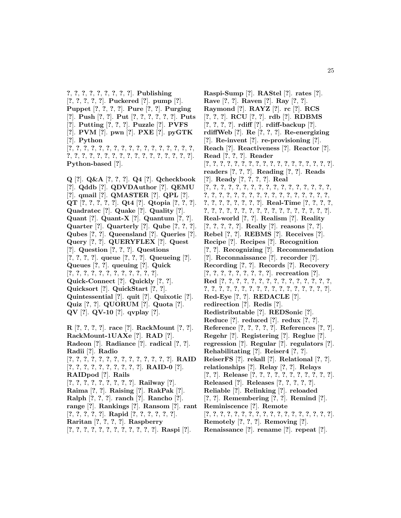**?**, **?**, **?**, **?**, **?**, **?**, **?**, **?**, **?**]. **Publishing** [**?**, **?**, **?**, **?**, **?**]. **Puckered** [**?**]. **pump** [**?**]. **Puppet** [**?**, **?**, **?**, **?**]. **Pure** [**?**, **?**]. **Purging** [**?**]. **Push** [**?**, **?**]. **Put** [**?**, **?**, **?**, **?**, **?**, **?**]. **Puts** [**?**]. **Putting** [**?**, **?**, **?**]. **Puzzle** [**?**]. **PVFS** [**?**]. **PVM** [**?**]. **pwn** [**?**]. **PXE** [**?**]. **pyGTK** [**?**]. **Python** [**?**, **?**, **?**, **?**, **?**, **?**, **?**, **?**, **?**, **?**, **?**, **?**, **?**, **?**, **?**, **?**, **?**, **?**, **?**, **?**, **?**, **?**, **?**, **?**, **?**, **?**, **?**, **?**, **?**, **?**, **?**, **?**, **?**, **?**]. **Python-based** [**?**].

**Q** [**?**]. **Q&A** [**?**, **?**, **?**]. **Q4** [**?**]. **Qcheckbook** [**?**]. **Qddb** [**?**]. **QDVDAuthor** [**?**]. **QEMU** [**?**]. **qmail** [**?**]. **QMASTER** [**?**]. **QPL** [**?**]. **QT** [**?**, **?**, **?**, **?**, **?**]. **Qt4** [**?**]. **Qtopia** [**?**, **?**, **?**]. **Quadratec** [**?**]. **Quake** [**?**]. **Quality** [**?**]. **Quant** [**?**]. **Quant-X** [**?**]. **Quantum** [**?**, **?**]. **Quarter** [**?**]. **Quarterly** [**?**]. **Qube** [**?**, **?**, **?**]. **Qubes** [**?**, **?**]. **Queensland** [**?**]. **Queries** [**?**]. **Query** [**?**, **?**]. **QUERYFLEX** [**?**]. **Quest** [**?**]. **Question** [**?**, **?**, **?**]. **Questions** [**?**, **?**, **?**, **?**]. **queue** [**?**, **?**, **?**]. **Queueing** [**?**]. **Queues** [**?**, **?**]. **queuing** [**?**]. **Quick** [**?**, **?**, **?**, **?**, **?**, **?**, **?**, **?**, **?**, **?**, **?**, **?**]. **Quick-Connect** [**?**]. **Quickly** [**?**, **?**]. **Quicksort** [**?**]. **QuickStart** [**?**, **?**]. **Quintessential** [**?**]. **quit** [**?**]. **Quixotic** [**?**]. **Quiz** [**?**, **?**]. **QUORUM** [**?**]. **Quota** [**?**]. **QV** [**?**]. **QV-10** [**?**]. **qvplay** [**?**].

**R** [**?**, **?**, **?**, **?**]. **race** [**?**]. **RackMount** [**?**, **?**]. **RackMount-1UAXe** [**?**]. **RAD** [**?**]. **Radeon** [**?**]. **Radiance** [**?**]. **radical** [**?**, **?**]. **Radii** [**?**]. **Radio** [**?**, **?**, **?**, **?**, **?**, **?**, **?**, **?**, **?**, **?**, **?**, **?**, **?**, **?**]. **RAID** [**?**, **?**, **?**, **?**, **?**, **?**, **?**, **?**, **?**, **?**]. **RAID-0** [**?**]. **RAIDpod** [**?**]. **Rails** [**?**, **?**, **?**, **?**, **?**, **?**, **?**, **?**, **?**]. **Railway** [**?**]. **Raima** [**?**, **?**]. **Raising** [**?**]. **RakPak** [**?**]. **Ralph** [**?**, **?**, **?**]. **ranch** [**?**]. **Rancho** [**?**]. **range** [**?**]. **Rankings** [**?**]. **Ransom** [**?**]. **rant** [**?**, **?**, **?**, **?**, **?**]. **Rapid** [**?**, **?**, **?**, **?**, **?**, **?**]. **Raritan** [**?**, **?**, **?**, **?**]. **Raspberry**

[**?**, **?**, **?**, **?**, **?**, **?**, **?**, **?**, **?**, **?**, **?**, **?**]. **Raspi** [**?**].

**Raspi-Sump** [**?**]. **RAStel** [**?**]. **rates** [**?**]. **Rave** [**?**, **?**]. **Raven** [**?**]. **Ray** [**?**, **?**]. **Raymond** [**?**]. **RAYZ** [**?**]. **rc** [**?**]. **RCS** [**?**, **?**, **?**]. **RCU** [**?**, **?**]. **rdb** [**?**]. **RDBMS** [**?**, **?**, **?**, **?**]. **rdiff** [**?**]. **rdiff-backup** [**?**]. **rdiffWeb** [**?**]. **Re** [**?**, **?**, **?**]. **Re-energizing** [**?**]. **Re-invent** [**?**]. **re-provisioning** [**?**]. **Reach** [**?**]. **Reactiveness** [**?**]. **Reactor** [**?**]. **Read** [**?**, **?**, **?**]. **Reader** [**?**, **?**, **?**, **?**, **?**, **?**, **?**, **?**, **?**, **?**, **?**, **?**, **?**, **?**, **?**, **?**, **?**, **?**]. **readers** [**?**, **?**, **?**]. **Reading** [**?**, **?**]. **Reads** [**?**]. **Ready** [**?**, **?**, **?**, **?**]. **Real** [**?**, **?**, **?**, **?**, **?**, **?**, **?**, **?**, **?**, **?**, **?**, **?**, **?**, **?**, **?**, **?**, **?**, **?**, **?**, **?**, **?**, **?**, **?**, **?**, **?**, **?**, **?**, **?**, **?**, **?**, **?**, **?**, **?**, **?**, **?**, **?**, **?**, **?**, **?**, **?**, **?**, **?**]. **Real-Time** [**?**, **?**, **?**, **?**, **?**, **?**, **?**, **?**, **?**, **?**, **?**, **?**, **?**, **?**, **?**, **?**, **?**, **?**, **?**, **?**, **?**]. **Real-world** [**?**, **?**]. **Realism** [**?**]. **Reality** [**?**, **?**, **?**, **?**, **?**]. **Really** [**?**]. **reasons** [**?**, **?**]. **Rebel** [**?**, **?**]. **REBMS** [**?**]. **Receives** [**?**]. **Recipe** [**?**]. **Recipes** [**?**]. **Recognition** [**?**, **?**]. **Recognizing** [**?**]. **Recommendation** [**?**]. **Reconnaissance** [**?**]. **recorder** [**?**]. **Recording** [**?**, **?**]. **Records** [**?**]. **Recovery** [**?**, **?**, **?**, **?**, **?**, **?**, **?**, **?**, **?**]. **recreation** [**?**]. **Red** [**?**, **?**, **?**, **?**, **?**, **?**, **?**, **?**, **?**, **?**, **?**, **?**, **?**, **?**, **?**, **?**, **?**, **?**, **?**, **?**, **?**, **?**, **?**, **?**, **?**, **?**, **?**, **?**, **?**, **?**, **?**, **?**]. **Red-Eye** [**?**, **?**]. **REDACLE** [**?**]. **redirection** [**?**]. **Redis** [**?**]. **Redistributable** [**?**]. **REDSonic** [**?**]. **Reduce** [**?**]. **reduced** [**?**]. **redux** [**?**, **?**]. **Reference** [**?**, **?**, **?**, **?**, **?**]. **References** [**?**, **?**]. **Regehr** [**?**]. **Registering** [**?**]. **Reglue** [**?**]. **regression** [**?**]. **Regular** [**?**]. **regulators** [**?**]. **Rehabilitating** [**?**]. **Reiser4** [**?**, **?**]. **ReiserFS** [**?**]. **rekall** [**?**]. **Relational** [**?**, **?**]. **relationships** [**?**]. **Relay** [**?**, **?**]. **Relays** [**?**, **?**]. **Release** [**?**, **?**, **?**, **?**, **?**, **?**, **?**, **?**, **?**, **?**, **?**]. **Released** [**?**]. **Releases** [**?**, **?**, **?**, **?**, **?**]. **Reliable** [**?**]. **Relinking** [**?**]. **reloaded** [**?**, **?**]. **Remembering** [**?**, **?**]. **Remind** [**?**]. **Reminiscence** [**?**]. **Remote** [**?**, **?**, **?**, **?**, **?**, **?**, **?**, **?**, **?**, **?**, **?**, **?**, **?**, **?**, **?**, **?**, **?**, **?**]. **Remotely** [**?**, **?**, **?**]. **Removing** [**?**]. **Renaissance** [**?**]. **rename** [**?**]. **repeat** [**?**].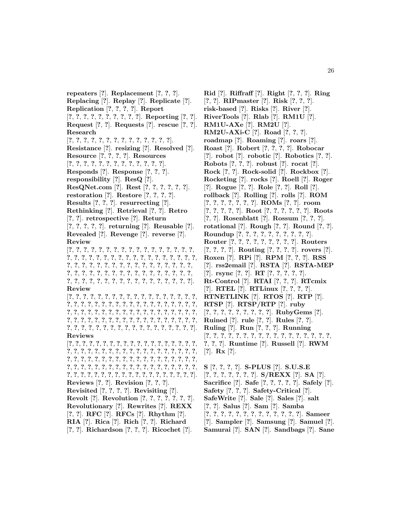**repeaters** [**?**]. **Replacement** [**?**, **?**, **?**]. **Replacing** [**?**]. **Replay** [**?**]. **Replicate** [**?**]. **Replication** [**?**, **?**, **?**, **?**]. **Report** [**?**, **?**, **?**, **?**, **?**, **?**, **?**, **?**, **?**, **?**]. **Reporting** [**?**, **?**]. **Request** [**?**, **?**]. **Requests** [**?**]. **rescue** [**?**, **?**]. **Research** [**?**, **?**, **?**, **?**, **?**, **?**, **?**, **?**, **?**, **?**, **?**, **?**, **?**, **?**]. **Resistance** [**?**]. **resizing** [**?**]. **Resolved** [**?**]. **Resource** [**?**, **?**, **?**, **?**]. **Resources** [**?**, **?**, **?**, **?**, **?**, **?**, **?**, **?**, **?**, **?**, **?**, **?**, **?**]. **Responds** [**?**]. **Response** [**?**, **?**, **?**]. **responsibility** [**?**]. **ResQ** [**?**]. **ResQNet.com** [**?**]. **Rest** [**?**, **?**, **?**, **?**, **?**, **?**]. **restoration** [**?**]. **Restore** [**?**, **?**, **?**, **?**]. **Results** [**?**, **?**, **?**]. **resurrecting** [**?**]. **Rethinking** [**?**]. **Retrieval** [**?**, **?**]. **Retro** [**?**, **?**]. **retrospective** [**?**]. **Return** [**?**, **?**, **?**, **?**, **?**]. **returning** [**?**]. **Reusable** [**?**]. **Revealed** [**?**]. **Revenge** [**?**]. **reverse** [**?**]. **Review** [**?**, **?**, **?**, **?**, **?**, **?**, **?**, **?**, **?**, **?**, **?**, **?**, **?**, **?**, **?**, **?**, **?**, **?**, **?**, **?**, **?**, **?**, **?**, **?**, **?**, **?**, **?**, **?**, **?**, **?**, **?**, **?**, **?**, **?**, **?**, **?**, **?**, **?**, **?**, **?**, **?**, **?**, **?**, **?**, **?**, **?**, **?**, **?**, **?**, **?**, **?**, **?**, **?**, **?**, **?**, **?**, **?**, **?**, **?**, **?**, **?**, **?**, **?**, **?**, **?**, **?**, **?**, **?**, **?**, **?**, **?**, **?**, **?**, **?**, **?**, **?**, **?**, **?**, **?**, **?**, **?**, **?**, **?**, **?**, **?**, **?**]. **Review** [**?**, **?**, **?**, **?**, **?**, **?**, **?**, **?**, **?**, **?**, **?**, **?**, **?**, **?**, **?**, **?**, **?**, **?**, **?**, **?**, **?**, **?**, **?**, **?**, **?**, **?**, **?**, **?**, **?**, **?**, **?**, **?**, **?**, **?**, **?**, **?**, **?**, **?**, **?**, **?**, **?**, **?**, **?**, **?**, **?**, **?**, **?**, **?**, **?**, **?**, **?**, **?**, **?**, **?**, **?**, **?**, **?**, **?**, **?**, **?**, **?**, **?**, **?**, **?**, **?**, **?**, **?**, **?**, **?**, **?**, **?**, **?**, **?**, **?**, **?**, **?**, **?**, **?**, **?**, **?**, **?**, **?**, **?**, **?**, **?**, **?**, **?**, **?**, **?**, **?**, **?**, **?**, **?**]. **Reviews** [**?**, **?**, **?**, **?**, **?**, **?**, **?**, **?**, **?**, **?**, **?**, **?**, **?**, **?**, **?**, **?**, **?**, **?**, **?**, **?**, **?**, **?**, **?**, **?**, **?**, **?**, **?**, **?**, **?**, **?**, **?**, **?**, **?**, **?**, **?**, **?**, **?**, **?**, **?**, **?**, **?**, **?**, **?**, **?**, **?**, **?**, **?**, **?**, **?**, **?**, **?**, **?**, **?**, **?**, **?**, **?**, **?**, **?**, **?**, **?**, **?**, **?**, **?**, **?**, **?**, **?**, **?**, **?**, **?**, **?**, **?**, **?**, **?**, **?**, **?**, **?**, **?**, **?**, **?**, **?**, **?**, **?**, **?**, **?**, **?**, **?**, **?**, **?**, **?**, **?**, **?**, **?**, **?**, **?**, **?**]. **Reviews** [**?**, **?**]. **Revision** [**?**, **?**, **?**]. **Revisited** [**?**, **?**, **?**, **?**]. **Revisiting** [**?**]. **Revolt** [**?**]. **Revolution** [**?**, **?**, **?**, **?**, **?**, **?**, **?**]. **Revolutionary** [**?**]. **Rewrites** [**?**]. **REXX** [**?**, **?**]. **RFC** [**?**]. **RFCs** [**?**]. **Rhythm** [**?**]. **RIA** [**?**]. **Rica** [**?**]. **Rich** [**?**, **?**]. **Richard** [**?**, **?**]. **Richardson** [**?**, **?**, **?**]. **Ricochet** [**?**].

**Rid** [**?**]. **Riffraff** [**?**]. **Right** [**?**, **?**, **?**]. **Ring** [**?**, **?**]. **RIPmaster** [**?**]. **Risk** [**?**, **?**, **?**]. **risk-based** [**?**]. **Risks** [**?**]. **River** [**?**]. **RiverTools** [**?**]. **Rlab** [**?**]. **RM1U** [**?**]. **RM1U-AXe** [**?**]. **RM2U** [**?**]. **RM2U-AXi-C** [**?**]. **Road** [**?**, **?**, **?**]. **roadmap** [**?**]. **Roaming** [**?**]. **roars** [**?**]. **Roast** [**?**]. **Robert** [**?**, **?**, **?**, **?**]. **Robocar** [**?**]. **robot** [**?**]. **robotic** [**?**]. **Robotics** [**?**, **?**]. **Robots** [**?**, **?**, **?**]. **robust** [**?**]. **rocat** [**?**]. **Rock** [**?**, **?**]. **Rock-solid** [**?**]. **Rockbox** [**?**]. **Rocketing** [**?**]. **rocks** [**?**]. **Roell** [**?**]. **Roger** [**?**]. **Rogue** [**?**, **?**]. **Role** [**?**, **?**]. **Roll** [**?**]. **rollback** [**?**]. **Rolling** [**?**]. **rolls** [**?**]. **ROM** [**?**, **?**, **?**, **?**, **?**, **?**, **?**]. **ROMs** [**?**, **?**]. **room** [**?**, **?**, **?**, **?**, **?**]. **Root** [**?**, **?**, **?**, **?**, **?**, **?**]. **Roots** [**?**, **?**]. **Rosenblatt** [**?**]. **Rossum** [**?**, **?**, **?**]. **rotational** [**?**]. **Rough** [**?**, **?**]. **Round** [**?**, **?**]. **Roundup** [**?**, **?**, **?**, **?**, **?**, **?**, **?**, **?**, **?**, **?**]. **Router** [**?**, **?**, **?**, **?**, **?**, **?**, **?**, **?**, **?**]. **Routers** [**?**, **?**, **?**, **?**]. **Routing** [**?**, **?**, **?**, **?**]. **rovers** [**?**]. **Roxen** [**?**]. **RPi** [**?**]. **RPM** [**?**, **?**, **?**]. **RSS** [**?**]. **rss2email** [**?**]. **RSTA** [**?**]. **RSTA-MEP** [**?**]. **rsync** [**?**, **?**]. **RT** [**?**, **?**, **?**, **?**, **?**]. **Rt-Control** [**?**]. **RTAI** [**?**, **?**, **?**]. **RTcmix** [**?**]. **RTEL** [**?**]. **RTLinux** [**?**, **?**, **?**, **?**]. **RTNETLINK** [**?**]. **RTOS** [**?**]. **RTP** [**?**]. **RTSP** [**?**]. **RTSP/RTP** [**?**]. **ruby** [**?**, **?**, **?**, **?**, **?**, **?**, **?**, **?**, **?**]. **RubyGems** [**?**]. **Ruined** [**?**]. **rule** [**?**, **?**]. **Rules** [**?**, **?**]. **Ruling** [**?**]. **Run** [**?**, **?**, **?**]. **Running** [**?**, **?**, **?**, **?**, **?**, **?**, **?**, **?**, **?**, **?**, **?**, **?**, **?**, **?**, **?**, **?**, **?**, **?**, **?**, **?**]. **Runtime** [**?**]. **Russell** [**?**]. **RWM** [**?**]. **Rx** [**?**].

**S** [**?**, **?**, **?**, **?**]. **S-PLUS** [**?**]. **S.U.S.E** [**?**, **?**, **?**, **?**, **?**, **?**, **?**]. **S/REXX** [**?**]. **SA** [**?**]. **Sacrifice** [**?**]. **Safe** [**?**, **?**, **?**, **?**, **?**]. **Safely** [**?**]. **Safety** [**?**, **?**, **?**]. **Safety-Critical** [**?**]. **SafeWrite** [**?**]. **Sale** [**?**]. **Sales** [**?**]. **salt** [**?**, **?**]. **Salus** [**?**]. **Sam** [**?**]. **Samba** [**?**, **?**, **?**, **?**, **?**, **?**, **?**, **?**, **?**, **?**, **?**, **?**, **?**]. **Sameer** [**?**]. **Sampler** [**?**]. **Samsung** [**?**]. **Samuel** [**?**]. **Samurai** [**?**]. **SAN** [**?**]. **Sandbags** [**?**]. **Sane**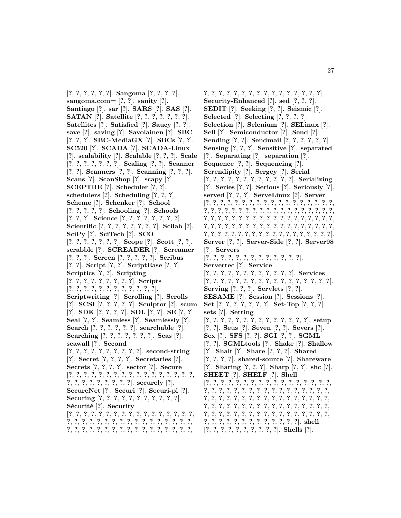[**?**, **?**, **?**, **?**, **?**, **?**]. **Sangoma** [**?**, **?**, **?**, **?**]. **sangoma.com=** [**?**, **?**]. **sanity** [**?**]. **Santiago** [**?**]. **sar** [**?**]. **SARS** [**?**]. **SAS** [**?**]. **SATAN** [**?**]. **Satellite** [**?**, **?**, **?**, **?**, **?**, **?**, **?**]. **Satellites** [**?**]. **Satisfied** [**?**]. **Saucy** [**?**, **?**]. **save** [**?**]. **saving** [**?**]. **Savolainen** [**?**]. **SBC** [**?**, **?**, **?**]. **SBC-MediaGX** [**?**]. **SBCs** [**?**, **?**]. **SC520** [**?**]. **SCADA** [**?**]. **SCADA-Linux** [**?**]. **scalability** [**?**]. **Scalable** [**?**, **?**, **?**]. **Scale** [**?**, **?**, **?**, **?**, **?**, **?**, **?**]. **Scaling** [**?**, **?**]. **Scanner** [**?**, **?**]. **Scanners** [**?**, **?**]. **Scanning** [**?**, **?**, **?**]. **Scans** [**?**]. **ScanShop** [**?**]. **scapy** [**?**]. **SCEPTRE** [**?**]. **Scheduler** [**?**, **?**]. **schedulers** [**?**]. **Scheduling** [**?**, **?**, **?**]. **Scheme** [**?**]. **Schenker** [**?**]. **School** [**?**, **?**, **?**, **?**, **?**]. **Schooling** [**?**]. **Schools** [**?**, **?**, **?**]. **Science** [**?**, **?**, **?**, **?**, **?**, **?**, **?**, **?**]. **Scientific** [**?**, **?**, **?**, **?**, **?**, **?**, **?**, **?**]. **Scilab** [**?**]. **SciPy** [**?**]. **SciTech** [**?**]. **SCO** [**?**, **?**, **?**, **?**, **?**, **?**, **?**]. **Scope** [**?**]. **Scott** [**?**, **?**]. **scrabble** [**?**]. **SCREADER** [**?**]. **Screamer** [**?**, **?**, **?**]. **Screen** [**?**, **?**, **?**, **?**, **?**]. **Scribus** [**?**, **?**]. **Script** [**?**, **?**]. **ScriptEase** [**?**, **?**]. **Scriptics** [**?**, **?**]. **Scripting** [**?**, **?**, **?**, **?**, **?**, **?**, **?**, **?**, **?**]. **Scripts** [**?**, **?**, **?**, **?**, **?**, **?**, **?**, **?**, **?**, **?**, **?**, **?**]. **Scriptwriting** [**?**]. **Scrolling** [**?**]. **Scrolls** [**?**]. **SCSI** [**?**, **?**, **?**, **?**, **?**]. **Sculptor** [**?**]. **scum** [**?**]. **SDK** [**?**, **?**, **?**, **?**]. **SDL** [**?**, **?**]. **SE** [**?**, **?**]. **Seal** [**?**, **?**]. **Seamless** [**?**]. **Seamlessly** [**?**]. **Search** [**?**, **?**, **?**, **?**, **?**, **?**]. **searchable** [**?**]. **Searching** [**?**, **?**, **?**, **?**, **?**, **?**, **?**]. **Seas** [**?**]. **seawall** [**?**]. **Second** [**?**, **?**, **?**, **?**, **?**, **?**, **?**, **?**, **?**, **?**]. **second-string** [**?**]. **Secret** [**?**, **?**, **?**, **?**]. **Secretaries** [**?**]. **Secrets** [**?**, **?**, **?**, **?**]. **sector** [**?**]. **Secure** [**?**, **?**, **?**, **?**, **?**, **?**, **?**, **?**, **?**, **?**, **?**, **?**, **?**, **?**, **?**, **?**, **?**, **?**, **?**, **?**, **?**, **?**, **?**, **?**, **?**, **?**]. **securely** [**?**]. **SecureNet** [**?**]. **Securi** [**?**]. **Securi-pi** [**?**]. **Securing** [**?**, **?**, **?**, **?**, **?**, **?**, **?**, **?**, **?**, **?**, **?**]. Sécurité<sup>[?]</sup>. Security [**?**, **?**, **?**, **?**, **?**, **?**, **?**, **?**, **?**, **?**, **?**, **?**, **?**, **?**, **?**, **?**, **?**, **?**, **?**, **?**, **?**, **?**, **?**, **?**, **?**, **?**, **?**, **?**, **?**, **?**, **?**, **?**, **?**, **?**, **?**, **?**, **?**, **?**, **?**, **?**, **?**, **?**, **?**, **?**, **?**, **?**, **?**, **?**, **?**, **?**, **?**,

**?**, **?**, **?**, **?**, **?**, **?**, **?**, **?**, **?**, **?**, **?**, **?**, **?**, **?**, **?**, **?**]. **Security-Enhanced** [**?**]. **sed** [**?**, **?**, **?**]. **SEDIT** [**?**]. **Seeking** [**?**, **?**]. **Seismic** [**?**]. **Selected** [**?**]. **Selecting** [**?**, **?**, **?**, **?**]. **Selection** [**?**]. **Selenium** [**?**]. **SELinux** [**?**]. **Sell** [**?**]. **Semiconductor** [**?**]. **Send** [**?**]. **Sending** [**?**, **?**]. **Sendmail** [**?**, **?**, **?**, **?**, **?**, **?**]. **Sensing** [**?**, **?**, **?**]. **Sensitive** [**?**]. **separated** [**?**]. **Separating** [**?**]. **separation** [**?**]. **Sequence** [**?**, **?**]. **Sequencing** [**?**]. **Serendipity** [**?**]. **Sergey** [**?**]. **Serial** [**?**, **?**, **?**, **?**, **?**, **?**, **?**, **?**, **?**, **?**, **?**, **?**]. **Serializing** [**?**]. **Series** [**?**, **?**]. **Serious** [**?**]. **Seriously** [**?**]. **served** [**?**, **?**, **?**]. **ServeLinux** [**?**]. **Server** [**?**, **?**, **?**, **?**, **?**, **?**, **?**, **?**, **?**, **?**, **?**, **?**, **?**, **?**, **?**, **?**, **?**, **?**, **?**, **?**, **?**, **?**, **?**, **?**, **?**, **?**, **?**, **?**, **?**, **?**, **?**, **?**, **?**, **?**, **?**, **?**, **?**, **?**, **?**, **?**, **?**, **?**, **?**, **?**, **?**, **?**, **?**, **?**, **?**, **?**, **?**, **?**, **?**, **?**, **?**, **?**, **?**, **?**, **?**, **?**, **?**, **?**, **?**, **?**, **?**, **?**, **?**, **?**, **?**, **?**, **?**, **?**, **?**, **?**, **?**, **?**, **?**, **?**, **?**, **?**, **?**, **?**, **?**, **?**, **?**, **?**, **?**, **?**, **?**, **?**, **?**, **?**, **?**, **?**]. **Server** [**?**, **?**]. **Server-Side** [**?**, **?**]. **Server98** [**?**]. **Servers** [**?**, **?**, **?**, **?**, **?**, **?**, **?**, **?**, **?**, **?**, **?**, **?**, **?**]. **Servertec** [**?**]. **Service** [**?**, **?**, **?**, **?**, **?**, **?**, **?**, **?**, **?**, **?**, **?**, **?**]. **Services** [**?**, **?**, **?**, **?**, **?**, **?**, **?**, **?**, **?**, **?**, **?**, **?**, **?**, **?**, **?**, **?**, **?**]. **Serving** [**?**, **?**, **?**]. **Servlets** [**?**, **?**]. **SESAME** [**?**]. **Session** [**?**]. **Sessions** [**?**]. **Set** [**?**, **?**, **?**, **?**, **?**, **?**, **?**]. **Set-Top** [**?**, **?**, **?**]. **sets** [**?**]. **Setting** [**?**, **?**, **?**, **?**, **?**, **?**, **?**, **?**, **?**, **?**, **?**, **?**, **?**, **?**]. **setup** [**?**, **?**]. **Seus** [**?**]. **Seven** [**?**, **?**]. **Severs** [**?**]. **Sex** [**?**]. **SFS** [**?**, **?**]. **SGI** [**?**, **?**]. **SGML** [**?**, **?**]. **SGMLtools** [**?**]. **Shake** [**?**]. **Shallow** [**?**]. **Shalt** [**?**]. **Share** [**?**, **?**, **?**]. **Shared** [**?**, **?**, **?**, **?**]. **shared-source** [**?**]. **Shareware** [**?**]. **Sharing** [**?**, **?**, **?**]. **Sharp** [**?**, **?**]. **shc** [**?**]. **SHEET** [**?**]. **SHELF** [**?**]. **Shell** [**?**, **?**, **?**, **?**, **?**, **?**, **?**, **?**, **?**, **?**, **?**, **?**, **?**, **?**, **?**, **?**, **?**, **?**, **?**, **?**, **?**, **?**, **?**, **?**, **?**, **?**, **?**, **?**, **?**, **?**, **?**, **?**, **?**, **?**, **?**, **?**, **?**, **?**, **?**, **?**, **?**, **?**, **?**, **?**, **?**, **?**, **?**, **?**, **?**, **?**, **?**, **?**, **?**, **?**, **?**, **?**, **?**, **?**, **?**, **?**, **?**, **?**, **?**, **?**, **?**, **?**, **?**, **?**, **?**, **?**, **?**, **?**, **?**, **?**, **?**, **?**, **?**, **?**, **?**, **?**, **?**, **?**, **?**, **?**, **?**, **?**, **?**, **?**, **?**, **?**, **?**, **?**, **?**, **?**, **?**, **?**, **?**, **?**]. **shell**

[**?**, **?**, **?**, **?**, **?**, **?**, **?**, **?**, **?**, **?**]. **Shells** [**?**].

27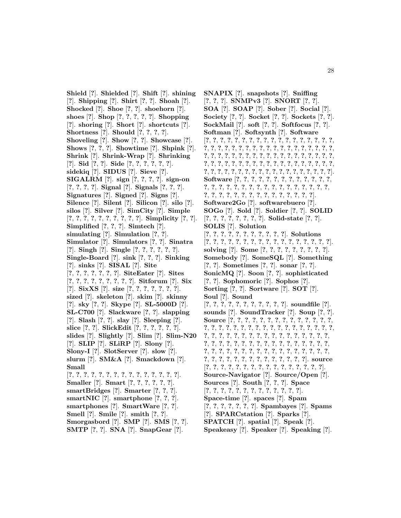**Shield** [**?**]. **Shielded** [**?**]. **Shift** [**?**]. **shining** [**?**]. **Shipping** [**?**]. **Shirt** [**?**, **?**]. **Shoah** [**?**]. **Shocked** [**?**]. **Shoe** [**?**, **?**]. **shoehorn** [**?**]. **shoes** [**?**]. **Shop** [**?**, **?**, **?**, **?**, **?**]. **Shopping** [**?**]. **shoring** [**?**]. **Short** [**?**]. **shortcuts** [**?**]. **Shortness** [**?**]. **Should** [**?**, **?**, **?**, **?**]. **Shoveling** [**?**]. **Show** [**?**, **?**]. **Showcase** [**?**]. **Shows** [**?**, **?**, **?**]. **Showtime** [**?**]. **Shpink** [**?**]. **Shrink** [**?**]. **Shrink-Wrap** [**?**]. **Shrinking** [**?**]. **Sid** [**?**, **?**]. **Side** [**?**, **?**, **?**, **?**, **?**, **?**]. **sidekiq** [**?**]. **SIDUS** [**?**]. **Sieve** [**?**]. **SIGALRM** [**?**]. **sign** [**?**, **?**, **?**, **?**]. **sign-on** [**?**, **?**, **?**, **?**]. **Signal** [**?**]. **Signals** [**?**, **?**, **?**]. **Signatures** [**?**]. **Signed** [**?**]. **Signs** [**?**]. **Silence** [**?**]. **Silent** [**?**]. **Silicon** [**?**]. **silo** [**?**]. **silos** [**?**]. **Silver** [**?**]. **SimCity** [**?**]. **Simple** [**?**, **?**, **?**, **?**, **?**, **?**, **?**, **?**, **?**, **?**]. **Simplicity** [**?**, **?**]. **Simplified** [**?**, **?**, **?**]. **Simtech** [**?**]. **simulating** [**?**]. **Simulation** [**?**, **?**]. **Simulator** [**?**]. **Simulators** [**?**, **?**]. **Sinatra** [**?**]. **Singh** [**?**]. **Single** [**?**, **?**, **?**, **?**, **?**, **?**]. **Single-Board** [**?**]. **sink** [**?**, **?**, **?**]. **Sinking** [**?**]. **sinks** [**?**]. **SISAL** [**?**]. **Site** [**?**, **?**, **?**, **?**, **?**, **?**, **?**]. **SiteEater** [**?**]. **Sites** [**?**, **?**, **?**, **?**, **?**, **?**, **?**, **?**, **?**]. **Sitforum** [**?**]. **Six** [**?**]. **SixXS** [**?**]. **size** [**?**, **?**, **?**, **?**, **?**, **?**, **?**]. **sized** [**?**]. **skeleton** [**?**]. **skim** [**?**]. **skinny** [**?**]. **sky** [**?**, **?**]. **Skype** [**?**]. **SL-5000D** [**?**]. **SL-C700** [**?**]. **Slackware** [**?**, **?**]. **slapping** [**?**]. **Slash** [**?**, **?**]. **slay** [**?**]. **Sleeping** [**?**]. **slice** [**?**, **?**]. **SlickEdit** [**?**, **?**, **?**, **?**, **?**, **?**]. **slides** [**?**]. **Slightly** [**?**]. **Slim** [**?**]. **Slim-N20** [**?**]. **SLIP** [**?**]. **SLiRP** [**?**]. **Slony** [**?**]. **Slony-I** [**?**]. **SlotServer** [**?**]. **slow** [**?**]. **slurm** [**?**]. **SM&A** [**?**]. **Smackdown** [**?**]. **Small** [**?**, **?**, **?**, **?**, **?**, **?**, **?**, **?**, **?**, **?**, **?**, **?**, **?**, **?**, **?**]. **Smaller** [**?**]. **Smart** [**?**, **?**, **?**, **?**, **?**, **?**]. **smartBridges** [**?**]. **Smarter** [**?**, **?**, **?**]. **smartNIC** [**?**]. **smartphone** [**?**, **?**, **?**]. **smartphones** [**?**]. **SmartWare** [**?**, **?**]. **Smell** [**?**]. **Smile** [**?**]. **smith** [**?**, **?**]. **Smorgasbord** [**?**]. **SMP** [**?**]. **SMS** [**?**, **?**]. **SMTP** [**?**, **?**]. **SNA** [**?**]. **SnapGear** [**?**].

**SNAPIX** [**?**]. **snapshots** [**?**]. **Sniffing** [**?**, **?**, **?**]. **SNMPv3** [**?**]. **SNORT** [**?**, **?**]. **SOA** [**?**]. **SOAP** [**?**]. **Sober** [**?**]. **Social** [**?**]. **Society** [**?**, **?**]. **Socket** [**?**, **?**]. **Sockets** [**?**, **?**]. **SockMail** [**?**]. **soft** [**?**, **?**]. **Softfocus** [**?**, **?**]. **Softman** [**?**]. **Softsynth** [**?**]. **Software** [**?**, **?**, **?**, **?**, **?**, **?**, **?**, **?**, **?**, **?**, **?**, **?**, **?**, **?**, **?**, **?**, **?**, **?**, **?**, **?**, **?**, **?**, **?**, **?**, **?**, **?**, **?**, **?**, **?**, **?**, **?**, **?**, **?**, **?**, **?**, **?**, **?**, **?**, **?**, **?**, **?**, **?**, **?**, **?**, **?**, **?**, **?**, **?**, **?**, **?**, **?**, **?**, **?**, **?**, **?**, **?**, **?**, **?**, **?**, **?**, **?**, **?**, **?**, **?**, **?**, **?**, **?**, **?**, **?**, **?**, **?**, **?**, **?**, **?**, **?**, **?**, **?**, **?**, **?**, **?**, **?**, **?**, **?**, **?**, **?**, **?**, **?**, **?**, **?**, **?**, **?**, **?**, **?**, **?**]. **Software** [**?**, **?**, **?**, **?**, **?**, **?**, **?**, **?**, **?**, **?**, **?**, **?**, **?**, **?**, **?**, **?**, **?**, **?**, **?**, **?**, **?**, **?**, **?**, **?**, **?**, **?**, **?**, **?**, **?**, **?**, **?**, **?**, **?**, **?**, **?**, **?**, **?**, **?**, **?**, **?**, **?**, **?**, **?**, **?**, **?**]. **Software2Go** [**?**]. **softwarebuero** [**?**]. **SOGo** [**?**]. **Sold** [**?**]. **Soldier** [**?**, **?**]. **SOLID** [**?**, **?**, **?**, **?**, **?**, **?**, **?**, **?**]. **Solid-state** [**?**, **?**]. **SOLIS** [**?**]. **Solution** [**?**, **?**, **?**, **?**, **?**, **?**, **?**, **?**, **?**, **?**, **?**]. **Solutions** [**?**, **?**, **?**, **?**, **?**, **?**, **?**, **?**, **?**, **?**, **?**, **?**, **?**, **?**, **?**, **?**, **?**]. **solving** [**?**]. **Some** [**?**, **?**, **?**, **?**, **?**, **?**, **?**, **?**, **?**]. **Somebody** [**?**]. **SomeSQL** [**?**]. **Something** [**?**, **?**]. **Sometimes** [**?**, **?**]. **sonar** [**?**, **?**]. **SonicMQ** [**?**]. **Soon** [**?**, **?**]. **sophisticated** [**?**, **?**]. **Sophomoric** [**?**]. **Sophos** [**?**]. **Sorting** [**?**, **?**]. **Sortware** [**?**]. **SOT** [**?**]. **Soul** [**?**]. **Sound** [**?**, **?**, **?**, **?**, **?**, **?**, **?**, **?**, **?**, **?**, **?**]. **soundfile** [**?**]. **sounds** [**?**]. **SoundTracker** [**?**]. **Soup** [**?**, **?**]. **Source** [**?**, **?**, **?**, **?**, **?**, **?**, **?**, **?**, **?**, **?**, **?**, **?**, **?**, **?**, **?**, **?**, **?**, **?**, **?**, **?**, **?**, **?**, **?**, **?**, **?**, **?**, **?**, **?**, **?**, **?**, **?**, **?**, **?**, **?**, **?**, **?**, **?**, **?**, **?**, **?**, **?**, **?**, **?**, **?**, **?**, **?**, **?**, **?**, **?**, **?**, **?**, **?**, **?**, **?**, **?**, **?**, **?**, **?**, **?**, **?**, **?**, **?**, **?**, **?**, **?**, **?**, **?**, **?**, **?**, **?**, **?**, **?**, **?**, **?**, **?**, **?**, **?**, **?**, **?**, **?**, **?**, **?**, **?**, **?**, **?**, **?**, **?**, **?**, **?**, **?**, **?**, **?**, **?**, **?**, **?**, **?**, **?**]. **source** [**?**, **?**, **?**, **?**, **?**, **?**, **?**, **?**, **?**, **?**, **?**, **?**, **?**, **?**, **?**, **?**]. **Source-Navigator** [**?**]. **Source/Open** [**?**]. **Sources** [**?**]. **South** [**?**, **?**, **?**]. **Space** [**?**, **?**, **?**, **?**, **?**, **?**, **?**, **?**, **?**, **?**, **?**, **?**, **?**]. **Space-time** [**?**]. **spaces** [**?**]. **Spam** [**?**, **?**, **?**, **?**, **?**, **?**, **?**]. **Spambayes** [**?**]. **Spams** [**?**]. **SPARCstation** [**?**]. **Sparks** [**?**]. **SPATCH** [**?**]. **spatial** [**?**]. **Speak** [**?**]. **Speakeasy** [**?**]. **Speaker** [**?**]. **Speaking** [**?**].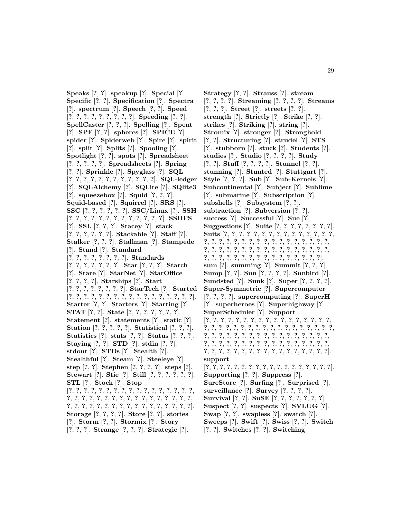**Speaks** [**?**, **?**]. **speakup** [**?**]. **Special** [**?**]. **Specific** [**?**, **?**]. **Specification** [**?**]. **Spectra** [**?**]. **spectrum** [**?**]. **Speech** [**?**, **?**]. **Speed** [**?**, **?**, **?**, **?**, **?**, **?**, **?**, **?**, **?**]. **Speeding** [**?**, **?**]. **SpellCaster** [**?**, **?**, **?**]. **Spelling** [**?**]. **Spent** [**?**]. **SPF** [**?**, **?**]. **spheres** [**?**]. **SPICE** [**?**]. **spider** [**?**]. **Spiderweb** [**?**]. **Spire** [**?**]. **spirit** [**?**]. **split** [**?**]. **Splits** [**?**]. **Spooling** [**?**]. **Spotlight** [**?**, **?**]. **spots** [**?**]. **Spreadsheet** [**?**, **?**, **?**, **?**, **?**]. **Spreadsheets** [**?**]. **Spring** [**?**, **?**]. **Sprinkle** [**?**]. **Spyglass** [**?**]. **SQL** [**?**, **?**, **?**, **?**, **?**, **?**, **?**, **?**, **?**, **?**, **?**, **?**]. **SQL-ledger** [**?**]. **SQLAlchemy** [**?**]. **SQLite** [**?**]. **SQlite3** [**?**]. **squeezebox** [**?**]. **Squid** [**?**, **?**, **?**]. **Squid-based** [**?**]. **Squirrel** [**?**]. **SRS** [**?**]. **SSC** [**?**, **?**, **?**, **?**, **?**, **?**]. **SSC/Linux** [**?**]. **SSH** [**?**, **?**, **?**, **?**, **?**, **?**, **?**, **?**, **?**, **?**, **?**, **?**, **?**]. **SSHFS** [**?**]. **SSL** [**?**, **?**, **?**]. **Stacey** [**?**]. **stack** [**?**, **?**, **?**, **?**, **?**, **?**]. **Stackable** [**?**]. **Staff** [**?**]. **Stalker** [**?**, **?**, **?**]. **Stallman** [**?**]. **Stampede** [**?**]. **Stand** [**?**]. **Standard** [**?**, **?**, **?**, **?**, **?**, **?**, **?**, **?**]. **Standards** [**?**, **?**, **?**, **?**, **?**, **?**, **?**]. **Star** [**?**, **?**, **?**]. **Starch** [**?**]. **Stare** [**?**]. **StarNet** [**?**]. **StarOffice** [**?**, **?**, **?**, **?**]. **Starships** [**?**]. **Start** [**?**, **?**, **?**, **?**, **?**, **?**, **?**, **?**]. **StarTech** [**?**]. **Started** [**?**, **?**, **?**, **?**, **?**, **?**, **?**, **?**, **?**, **?**, **?**, **?**, **?**, **?**, **?**, **?**, **?**]. **Starter** [**?**, **?**]. **Starters** [**?**]. **Starting** [**?**]. **STAT** [**?**, **?**]. **State** [**?**, **?**, **?**, **?**, **?**, **?**, **?**]. **Statement** [**?**]. **statements** [**?**]. **static** [**?**]. **Station** [**?**, **?**, **?**, **?**, **?**]. **Statistical** [**?**, **?**, **?**]. **Statistics** [**?**]. **stats** [**?**, **?**]. **Status** [**?**, **?**, **?**]. **Staying** [**?**, **?**]. **STD** [**?**]. **stdin** [**?**, **?**]. **stdout** [**?**]. **STDs** [**?**]. **Stealth** [**?**]. **Stealthful** [**?**]. **Steam** [**?**]. **Steeleye** [**?**]. **step** [**?**, **?**]. **Stephen** [**?**, **?**, **?**, **?**]. **steps** [**?**]. **Stewart** [**?**]. **Stie** [**?**]. **Still** [**?**, **?**, **?**, **?**, **?**, **?**]. **STL** [**?**]. **Stock** [**?**]. **Stop** [**?**, **?**, **?**, **?**, **?**, **?**, **?**, **?**, **?**, **?**, **?**, **?**, **?**, **?**, **?**, **?**, **?**, **?**, **?**, **?**, **?**, **?**, **?**, **?**, **?**, **?**, **?**, **?**, **?**, **?**, **?**, **?**, **?**, **?**, **?**, **?**, **?**, **?**, **?**, **?**, **?**, **?**, **?**, **?**, **?**, **?**, **?**, **?**, **?**, **?**, **?**]. **Storage** [**?**, **?**, **?**, **?**]. **Store** [**?**, **?**]. **stories** [**?**]. **Storm** [**?**, **?**]. **Stormix** [**?**]. **Story** [**?**, **?**, **?**]. **Strange** [**?**, **?**, **?**]. **Strategic** [**?**].

**Strategy** [**?**, **?**]. **Strauss** [**?**]. **stream** [**?**, **?**, **?**, **?**]. **Streaming** [**?**, **?**, **?**, **?**]. **Streams** [**?**, **?**, **?**]. **Street** [**?**]. **streets** [**?**, **?**]. **strength** [**?**]. **Strictly** [**?**]. **Strike** [**?**, **?**]. **strikes** [**?**]. **Striking** [**?**]. **string** [**?**]. **Stromix** [**?**]. **stronger** [**?**]. **Stronghold** [**?**, **?**]. **Structuring** [**?**]. **strudel** [**?**]. **STS** [**?**]. **stubborn** [**?**]. **stuck** [**?**]. **Students** [**?**]. **studies** [**?**]. **Studio** [**?**, **?**, **?**, **?**]. **Study** [**?**, **?**]. **Stuff** [**?**, **?**, **?**, **?**]. **Stunnel** [**?**, **?**]. **stunning** [**?**]. **Stunted** [**?**]. **Stuttgart** [**?**]. **Style** [**?**, **?**, **?**]. **Sub** [**?**]. **Sub-Kernels** [**?**]. **Subcontinental** [**?**]. **Subject** [**?**]. **Sublime** [**?**]. **submarine** [**?**]. **Subscription** [**?**]. **subshells** [**?**]. **Subsystem** [**?**, **?**]. **subtraction** [**?**]. **Subversion** [**?**, **?**]. **success** [**?**]. **Successful** [**?**]. **Sue** [**?**]. **Suggestions** [**?**]. **Suite** [**?**, **?**, **?**, **?**, **?**, **?**, **?**, **?**]. **Suits** [**?**, **?**, **?**, **?**, **?**, **?**, **?**, **?**, **?**, **?**, **?**, **?**, **?**, **?**, **?**, **?**, **?**, **?**, **?**, **?**, **?**, **?**, **?**, **?**, **?**, **?**, **?**, **?**, **?**, **?**, **?**, **?**, **?**, **?**, **?**, **?**, **?**, **?**, **?**, **?**, **?**, **?**, **?**, **?**, **?**, **?**, **?**, **?**, **?**, **?**, **?**, **?**, **?**, **?**, **?**, **?**, **?**, **?**, **?**, **?**, **?**, **?**, **?**, **?**, **?**]. **sum** [**?**]. **summing** [**?**]. **Summit** [**?**, **?**, **?**]. **Sump** [**?**, **?**]. **Sun** [**?**, **?**, **?**, **?**]. **Sunbird** [**?**]. **Sundsted** [**?**]. **Sunk** [**?**]. **Super** [**?**, **?**, **?**, **?**]. **Super-Symmetric** [**?**]. **Supercomputer** [**?**, **?**, **?**, **?**]. **supercomputing** [**?**]. **SuperH** [**?**]. **superheroes** [**?**]. **Superhighway** [**?**]. **SuperScheduler** [**?**]. **Support** [**?**, **?**, **?**, **?**, **?**, **?**, **?**, **?**, **?**, **?**, **?**, **?**, **?**, **?**, **?**, **?**, **?**, **?**, **?**, **?**, **?**, **?**, **?**, **?**, **?**, **?**, **?**, **?**, **?**, **?**, **?**, **?**, **?**, **?**, **?**, **?**, **?**, **?**, **?**, **?**, **?**, **?**, **?**, **?**, **?**, **?**, **?**, **?**, **?**, **?**, **?**, **?**, **?**, **?**, **?**, **?**, **?**, **?**, **?**, **?**, **?**, **?**, **?**, **?**, **?**, **?**, **?**, **?**, **?**, **?**, **?**, **?**, **?**, **?**, **?**, **?**, **?**, **?**, **?**, **?**, **?**, **?**, **?**, **?**, **?**, **?**]. **support** [**?**, **?**, **?**, **?**, **?**, **?**, **?**, **?**, **?**, **?**, **?**, **?**, **?**, **?**, **?**, **?**, **?**, **?**]. **Supporting** [**?**, **?**]. **Suppress** [**?**]. **SureStore** [**?**]. **Surfing** [**?**]. **Surprised** [**?**]. **surveillance** [**?**]. **Survey** [**?**, **?**, **?**, **?**]. **Survival** [**?**, **?**]. **SuSE** [**?**, **?**, **?**, **?**, **?**, **?**, **?**]. **Suspect** [**?**, **?**]. **suspects** [**?**]. **SVLUG** [**?**]. **Swap** [**?**, **?**]. **swapless** [**?**]. **swatch** [**?**]. **Sweeps** [**?**]. **Swift** [**?**]. **Swiss** [**?**, **?**]. **Switch** [**?**, **?**]. **Switches** [**?**, **?**]. **Switching**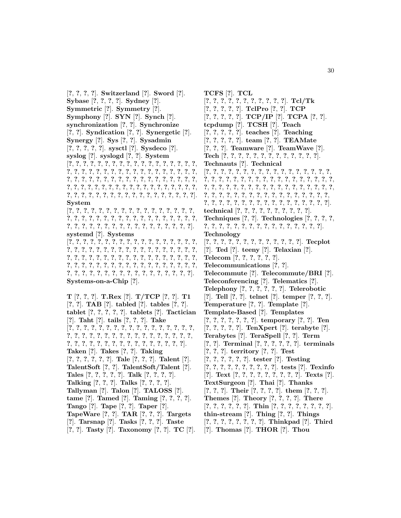[**?**, **?**, **?**, **?**]. **Switzerland** [**?**]. **Sword** [**?**]. **Sybase** [**?**, **?**, **?**, **?**]. **Sydney** [**?**]. **Symmetric** [**?**]. **Symmetry** [**?**]. **Symphony** [**?**]. **SYN** [**?**]. **Synch** [**?**]. **synchronization** [**?**, **?**]. **Synchronize** [**?**, **?**]. **Syndication** [**?**, **?**]. **Synergetic** [**?**]. **Synergy** [**?**]. **Sys** [**?**, **?**]. **Sysadmin** [**?**, **?**, **?**, **?**, **?**]. **sysctl** [**?**]. **Sysdeco** [**?**]. **syslog** [**?**]. **syslogd** [**?**, **?**]. **System** [**?**, **?**, **?**, **?**, **?**, **?**, **?**, **?**, **?**, **?**, **?**, **?**, **?**, **?**, **?**, **?**, **?**, **?**, **?**, **?**, **?**, **?**, **?**, **?**, **?**, **?**, **?**, **?**, **?**, **?**, **?**, **?**, **?**, **?**, **?**, **?**, **?**, **?**, **?**, **?**, **?**, **?**, **?**, **?**, **?**, **?**, **?**, **?**, **?**, **?**, **?**, **?**, **?**, **?**, **?**, **?**, **?**, **?**, **?**, **?**, **?**, **?**, **?**, **?**, **?**, **?**, **?**, **?**, **?**, **?**, **?**, **?**, **?**, **?**, **?**, **?**, **?**, **?**, **?**, **?**, **?**, **?**, **?**, **?**, **?**, **?**, **?**, **?**, **?**, **?**, **?**]. **System** [**?**, **?**, **?**, **?**, **?**, **?**, **?**, **?**, **?**, **?**, **?**, **?**, **?**, **?**, **?**, **?**, **?**, **?**, **?**, **?**, **?**, **?**, **?**, **?**, **?**, **?**, **?**, **?**, **?**, **?**, **?**, **?**, **?**, **?**, **?**, **?**, **?**, **?**, **?**, **?**, **?**, **?**, **?**, **?**, **?**, **?**, **?**, **?**, **?**, **?**, **?**, **?**]. **systemd** [**?**]. **Systems** [**?**, **?**, **?**, **?**, **?**, **?**, **?**, **?**, **?**, **?**, **?**, **?**, **?**, **?**, **?**, **?**, **?**, **?**, **?**, **?**, **?**, **?**, **?**, **?**, **?**, **?**, **?**, **?**, **?**, **?**, **?**, **?**, **?**, **?**, **?**, **?**, **?**, **?**, **?**, **?**, **?**, **?**, **?**, **?**, **?**, **?**, **?**, **?**, **?**, **?**, **?**, **?**, **?**, **?**, **?**, **?**, **?**, **?**, **?**, **?**, **?**, **?**, **?**, **?**, **?**, **?**, **?**, **?**, **?**, **?**, **?**, **?**, **?**, **?**, **?**, **?**, **?**, **?**, **?**, **?**, **?**, **?**, **?**, **?**, **?**, **?**, **?**, **?**, **?**]. **Systems-on-a-Chip** [**?**]. **T** [**?**, **?**, **?**]. **T.Rex** [**?**]. **T/TCP** [**?**, **?**]. **T1** [**?**, **?**]. **TAB** [**?**]. **tabled** [**?**]. **tables** [**?**, **?**]. **tablet** [**?**, **?**, **?**, **?**, **?**]. **tablets** [**?**]. **Tactician** [**?**]. **Taht** [**?**]. **tails** [**?**, **?**, **?**]. **Take** [**?**, **?**, **?**, **?**, **?**, **?**, **?**, **?**, **?**, **?**, **?**, **?**, **?**, **?**, **?**, **?**, **?**, **?**, **?**, **?**, **?**, **?**, **?**, **?**, **?**, **?**, **?**, **?**, **?**, **?**, **?**, **?**, **?**, **?**, **?**, **?**, **?**, **?**, **?**, **?**, **?**, **?**, **?**, **?**, **?**, **?**, **?**, **?**, **?**, **?**]. **Taken** [**?**]. **Takes** [**?**, **?**]. **Taking** [**?**, **?**, **?**, **?**, **?**, **?**]. **Tale** [**?**, **?**, **?**]. **Talent** [**?**]. **TalentSoft** [**?**, **?**]. **TalentSoft/Talent** [**?**]. **Tales** [**?**, **?**, **?**, **?**, **?**]. **Talk** [**?**, **?**, **?**, **?**]. **Talking** [**?**, **?**, **?**]. **Talks** [**?**, **?**, **?**, **?**]. **Tallyman** [**?**]. **Talon** [**?**]. **TALOSS** [**?**]. **tame** [**?**]. **Tamed** [**?**]. **Taming** [**?**, **?**, **?**, **?**]. **Tango** [**?**]. **Tape** [**?**, **?**]. **Taper** [**?**].

- **TapeWare** [**?**, **?**]. **TAR** [**?**, **?**, **?**]. **Targets**
- [**?**]. **Tarsnap** [**?**]. **Tasks** [**?**, **?**, **?**]. **Taste**
- [**?**, **?**]. **Tasty** [**?**]. **Taxonomy** [**?**, **?**]. **TC** [**?**].

**TCFS** [**?**]. **TCL** [**?**, **?**, **?**, **?**, **?**, **?**, **?**, **?**, **?**, **?**, **?**]. **Tcl/Tk** [**?**, **?**, **?**, **?**, **?**]. **TclPro** [**?**, **?**]. **TCP** [**?**, **?**, **?**, **?**, **?**]. **TCP/IP** [**?**]. **TCPA** [**?**, **?**]. **tcpdump** [**?**]. **TCSH** [**?**]. **Teach** [**?**, **?**, **?**, **?**, **?**]. **teaches** [**?**]. **Teaching** [**?**, **?**, **?**, **?**, **?**]. **team** [**?**, **?**]. **TEAMate** [**?**, **?**, **?**]. **Teamware** [**?**]. **TeamWave** [**?**]. **Tech** [**?**, **?**, **?**, **?**, **?**, **?**, **?**, **?**, **?**, **?**, **?**, **?**, **?**]. **Technauts** [**?**]. **Technical** [**?**, **?**, **?**, **?**, **?**, **?**, **?**, **?**, **?**, **?**, **?**, **?**, **?**, **?**, **?**, **?**, **?**, **?**, **?**, **?**, **?**, **?**, **?**, **?**, **?**, **?**, **?**, **?**, **?**, **?**, **?**, **?**, **?**, **?**, **?**, **?**, **?**, **?**, **?**, **?**, **?**, **?**, **?**, **?**, **?**, **?**, **?**, **?**, **?**, **?**, **?**, **?**, **?**, **?**, **?**, **?**, **?**, **?**, **?**, **?**, **?**, **?**, **?**, **?**, **?**, **?**, **?**, **?**, **?**, **?**, **?**, **?**, **?**, **?**, **?**, **?**, **?**, **?**, **?**, **?**, **?**, **?**, **?**, **?**, **?**, **?**, **?**]. **technical** [**?**, **?**, **?**, **?**, **?**, **?**, **?**, **?**, **?**, **?**]. **Techniques** [**?**, **?**]. **Technologies** [**?**, **?**, **?**, **?**, **?**, **?**, **?**, **?**, **?**, **?**, **?**, **?**, **?**, **?**, **?**, **?**, **?**, **?**, **?**, **?**]. **Technology** [**?**, **?**, **?**, **?**, **?**, **?**, **?**, **?**, **?**, **?**, **?**, **?**, **?**]. **Tecplot** [**?**]. **Ted** [**?**]. **teeny** [**?**]. **Telaxian** [**?**]. **Telecom** [**?**, **?**, **?**, **?**, **?**, **?**]. **Telecommunications** [**?**, **?**]. **Telecommute** [**?**]. **Telecommute/BRI** [**?**]. **Teleconferencing** [**?**]. **Telematics** [**?**]. **Telephony** [**?**, **?**, **?**, **?**, **?**, **?**]. **Telerobotic** [**?**]. **Tell** [**?**, **?**]. **telnet** [**?**]. **temper** [**?**, **?**, **?**]. **Temperature** [**?**, **?**]. **Template** [**?**]. **Template-Based** [**?**]. **Templates** [**?**, **?**, **?**, **?**, **?**, **?**, **?**]. **temporary** [**?**, **?**]. **Ten** [**?**, **?**, **?**, **?**, **?**]. **TenXpert** [**?**]. **terabyte** [**?**]. **Terabytes** [**?**]. **TeraSpell** [**?**, **?**]. **Term** [**?**, **?**]. **Terminal** [**?**, **?**, **?**, **?**, **?**, **?**]. **terminals** [**?**, **?**, **?**]. **territory** [**?**, **?**]. **Test** [**?**, **?**, **?**, **?**, **?**, **?**]. **tester** [**?**]. **Testing** [**?**, **?**, **?**, **?**, **?**, **?**, **?**, **?**, **?**, **?**]. **tests** [**?**]. **Texinfo** [**?**]. **Text** [**?**, **?**, **?**, **?**, **?**, **?**, **?**, **?**, **?**]. **Texts** [**?**]. **TextSurgeon** [**?**]. **Thai** [**?**]. **Thanks** [**?**, **?**, **?**]. **Their** [**?**, **?**, **?**, **?**]. **them** [**?**, **?**, **?**]. **Themes** [**?**]. **Theory** [**?**, **?**, **?**, **?**]. **There** [**?**, **?**, **?**, **?**, **?**, **?**]. **Thin** [**?**, **?**, **?**, **?**, **?**, **?**, **?**, **?**]. **thin-stream** [**?**]. **Thing** [**?**, **?**]. **Things** [**?**, **?**, **?**, **?**, **?**, **?**, **?**, **?**]. **Thinkpad** [**?**]. **Third** [**?**]. **Thomas** [**?**]. **THOR** [**?**]. **Thou**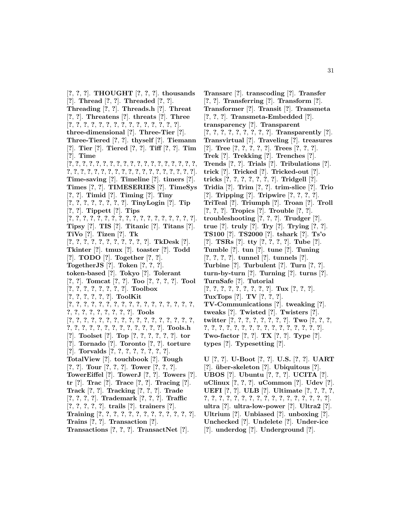[**?**, **?**, **?**]. **THOUGHT** [**?**, **?**, **?**]. **thousands** [**?**]. **Thread** [**?**, **?**]. **Threaded** [**?**, **?**]. **Threading** [**?**, **?**]. **Threads.h** [**?**]. **Threat** [**?**, **?**]. **Threatens** [**?**]. **threats** [**?**]. **Three** [**?**, **?**, **?**, **?**, **?**, **?**, **?**, **?**, **?**, **?**, **?**, **?**, **?**, **?**, **?**]. **three-dimensional** [**?**]. **Three-Tier** [**?**]. **Three-Tiered** [**?**, **?**]. **thyself** [**?**]. **Tiemann** [**?**]. **Tier** [**?**]. **Tiered** [**?**, **?**]. **Tiff** [**?**, **?**]. **Tim** [**?**]. **Time** [**?**, **?**, **?**, **?**, **?**, **?**, **?**, **?**, **?**, **?**, **?**, **?**, **?**, **?**, **?**, **?**, **?**, **?**, **?**, **?**, **?**, **?**, **?**, **?**, **?**, **?**, **?**, **?**, **?**, **?**, **?**, **?**, **?**, **?**, **?**, **?**, **?**, **?**]. **Time-saving** [**?**]. **Timeline** [**?**]. **timers** [**?**]. **Times** [**?**, **?**]. **TIMESERIES** [**?**]. **TimeSys** [**?**, **?**]. **Timid** [**?**]. **Timing** [**?**]. **Tiny** [**?**, **?**, **?**, **?**, **?**, **?**, **?**, **?**]. **TinyLogin** [**?**]. **Tip** [**?**, **?**]. **Tippett** [**?**]. **Tips** [**?**, **?**, **?**, **?**, **?**, **?**, **?**, **?**, **?**, **?**, **?**, **?**, **?**, **?**, **?**, **?**, **?**, **?**]. **Tipsy** [**?**]. **TIS** [**?**]. **Titanic** [**?**]. **Titans** [**?**]. **TiVo** [**?**]. **Tizen** [**?**]. **Tk** [**?**, **?**, **?**, **?**, **?**, **?**, **?**, **?**, **?**, **?**, **?**]. **TkDesk** [**?**]. **Tkinter** [**?**]. **tmux** [**?**]. **toaster** [**?**]. **Todd** [**?**]. **TODO** [**?**]. **Together** [**?**, **?**]. **TogetherJS** [**?**]. **Token** [**?**, **?**, **?**]. **token-based** [**?**]. **Tokyo** [**?**]. **Tolerant** [**?**, **?**]. **Tomcat** [**?**, **?**]. **Too** [**?**, **?**, **?**, **?**]. **Tool** [**?**, **?**, **?**, **?**, **?**, **?**, **?**, **?**]. **Toolbox** [**?**, **?**, **?**, **?**, **?**, **?**]. **ToolKit** [**?**, **?**, **?**, **?**, **?**, **?**, **?**, **?**, **?**, **?**, **?**, **?**, **?**, **?**, **?**, **?**, **?**, **?**, **?**, **?**, **?**, **?**, **?**, **?**, **?**, **?**]. **Tools** [**?**, **?**, **?**, **?**, **?**, **?**, **?**, **?**, **?**, **?**, **?**, **?**, **?**, **?**, **?**, **?**, **?**, **?**, **?**, **?**, **?**, **?**, **?**, **?**, **?**, **?**, **?**, **?**, **?**, **?**]. **Tools.h** [**?**]. **Toolset** [**?**]. **Top** [**?**, **?**, **?**, **?**, **?**, **?**]. **tor** [**?**]. **Tornado** [**?**]. **Toronto** [**?**, **?**]. **torture** [**?**]. **Torvalds** [**?**, **?**, **?**, **?**, **?**, **?**, **?**, **?**]. **TotalView** [**?**]. **touchbook** [**?**]. **Tough** [**?**, **?**]. **Tour** [**?**, **?**, **?**]. **Tower** [**?**, **?**, **?**]. **TowerEiffel** [**?**]. **TowerJ** [**?**, **?**]. **Towers** [**?**]. **tr** [**?**]. **Trac** [**?**]. **Trace** [**?**, **?**]. **Tracing** [**?**]. **Track** [**?**, **?**]. **Tracking** [**?**, **?**, **?**]. **Trade** [**?**, **?**, **?**, **?**]. **Trademark** [**?**, **?**, **?**]. **Traffic** [**?**, **?**, **?**, **?**, **?**]. **trails** [**?**]. **trainers** [**?**]. **Training** [**?**, **?**, **?**, **?**, **?**, **?**, **?**, **?**, **?**, **?**, **?**, **?**, **?**]. **Trains** [**?**, **?**]. **Transaction** [**?**]. **Transactions** [**?**, **?**, **?**]. **TransactNet** [**?**].

**Transarc** [**?**]. **transcoding** [**?**]. **Transfer** [**?**, **?**]. **Transferring** [**?**]. **Transform** [**?**]. **Transformer** [**?**]. **Transit** [**?**]. **Transmeta** [**?**, **?**, **?**]. **Transmeta-Embedded** [**?**]. **transparency** [**?**]. **Transparent** [**?**, **?**, **?**, **?**, **?**, **?**, **?**, **?**, **?**]. **Transparently** [**?**]. **Transvirtual** [**?**]. **Traveling** [**?**]. **treasures** [**?**]. **Tree** [**?**, **?**, **?**, **?**, **?**]. **Trees** [**?**, **?**, **?**]. **Trek** [**?**]. **Trekking** [**?**]. **Trenches** [**?**]. **Trends** [**?**, **?**]. **Trials** [**?**]. **Tribulations** [**?**]. **trick** [**?**]. **Tricked** [**?**]. **Tricked-out** [**?**]. **tricks** [**?**, **?**, **?**, **?**, **?**, **?**, **?**]. **Tridgell** [**?**]. **Tridia** [**?**]. **Trim** [**?**, **?**]. **trim-slice** [**?**]. **Trio** [**?**]. **Tripping** [**?**]. **Tripwire** [**?**, **?**, **?**, **?**]. **TriTeal** [**?**]. **Triumph** [**?**]. **Troan** [**?**]. **Troll** [**?**, **?**, **?**]. **Tropics** [**?**]. **Trouble** [**?**, **?**]. **troubleshooting** [**?**, **?**, **?**]. **Trudger** [**?**]. **true** [**?**]. **truly** [**?**]. **Try** [**?**]. **Trying** [**?**, **?**]. **TS100** [**?**]. **TS2000** [**?**]. **tshark** [**?**]. **Ts'o** [**?**]. **TSRs** [**?**]. **tty** [**?**, **?**, **?**, **?**]. **Tube** [**?**]. **Tumble** [**?**]. **tun** [**?**]. **tune** [**?**]. **Tuning** [**?**, **?**, **?**, **?**]. **tunnel** [**?**]. **tunnels** [**?**]. **Turbine** [**?**]. **Turbulent** [**?**]. **Turn** [**?**, **?**]. **turn-by-turn** [**?**]. **Turning** [**?**]. **turns** [**?**]. **TurnSafe** [**?**]. **Tutorial** [**?**, **?**, **?**, **?**, **?**, **?**, **?**, **?**, **?**]. **Tux** [**?**, **?**, **?**]. **TuxTops** [**?**]. **TV** [**?**, **?**, **?**]. **TV-Communications** [**?**]. **tweaking** [**?**]. **tweaks** [**?**]. **Twisted** [**?**]. **Twisters** [**?**]. **twitter** [**?**, **?**, **?**, **?**, **?**, **?**, **?**, **?**]. **Two** [**?**, **?**, **?**, **?**, **?**, **?**, **?**, **?**, **?**, **?**, **?**, **?**, **?**, **?**, **?**, **?**, **?**, **?**, **?**]. **Two-factor** [**?**, **?**]. **TX** [**?**, **?**]. **Type** [**?**]. **types** [**?**]. **Typesetting** [**?**]. **U** [**?**, **?**]. **U-Boot** [**?**, **?**]. **U.S.** [**?**, **?**]. **UART**

[**?**]. **uber-skeleton ¨** [**?**]. **Ubiquitous** [**?**]. **UBOS** [**?**]. **Ubuntu** [**?**, **?**, **?**]. **UCITA** [**?**]. **uClinux** [**?**, **?**, **?**]. **uCommon** [**?**]. **Udev** [**?**]. **UEFI** [**?**, **?**]. **ULB** [**?**]. **Ultimate** [**?**, **?**, **?**, **?**, **?**, **?**, **?**, **?**, **?**, **?**, **?**, **?**, **?**, **?**, **?**, **?**, **?**, **?**, **?**, **?**, **?**]. **ultra** [**?**]. **ultra-low-power** [**?**]. **Ultra2** [**?**]. **Ultrium** [**?**]. **Unbiased** [**?**]. **unboxing** [**?**]. **Unchecked** [**?**]. **Undelete** [**?**]. **Under-ice** [**?**]. **underdog** [**?**]. **Underground** [**?**].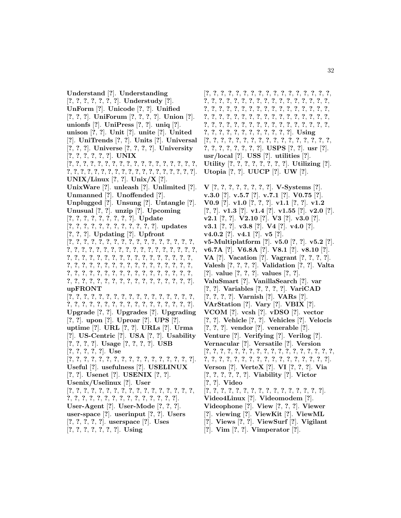**Understand** [**?**]. **Understanding** [**?**, **?**, **?**, **?**, **?**, **?**, **?**]. **Understudy** [**?**]. **UnForm** [**?**]. **Unicode** [**?**, **?**]. **Unified** [**?**, **?**, **?**]. **UniForum** [**?**, **?**, **?**, **?**]. **Union** [**?**]. **unionfs** [**?**]. **UniPress** [**?**, **?**]. **uniq** [**?**]. **unison** [**?**, **?**]. **Unit** [**?**]. **unite** [**?**]. **United** [**?**]. **UniTrends** [**?**, **?**]. **Units** [**?**]. **Universal** [**?**, **?**, **?**]. **Universe** [**?**, **?**, **?**, **?**]. **University** [**?**, **?**, **?**, **?**, **?**, **?**]. **UNIX** [**?**, **?**, **?**, **?**, **?**, **?**, **?**, **?**, **?**, **?**, **?**, **?**, **?**, **?**, **?**, **?**, **?**, **?**, **?**, **?**, **?**, **?**, **?**, **?**, **?**, **?**, **?**, **?**, **?**, **?**, **?**, **?**, **?**, **?**, **?**, **?**, **?**]. **UNIX/Linux** [**?**, **?**]. **Unix/X** [**?**]. **UnixWare** [**?**]. **unleash** [**?**]. **Unlimited** [**?**]. **Unmanned** [**?**]. **Unoffended** [**?**]. **Unplugged** [**?**]. **Unsung** [**?**]. **Untangle** [**?**]. **Unusual** [**?**, **?**]. **unzip** [**?**]. **Upcoming** [**?**, **?**, **?**, **?**, **?**, **?**, **?**, **?**, **?**]. **Update** [**?**, **?**, **?**, **?**, **?**, **?**, **?**, **?**, **?**, **?**, **?**, **?**]. **updates** [**?**, **?**, **?**]. **Updating** [**?**]. **Upfront** [**?**, **?**, **?**, **?**, **?**, **?**, **?**, **?**, **?**, **?**, **?**, **?**, **?**, **?**, **?**, **?**, **?**, **?**, **?**, **?**, **?**, **?**, **?**, **?**, **?**, **?**, **?**, **?**, **?**, **?**, **?**, **?**, **?**, **?**, **?**, **?**, **?**, **?**, **?**, **?**, **?**, **?**, **?**, **?**, **?**, **?**, **?**, **?**, **?**, **?**, **?**, **?**, **?**, **?**, **?**, **?**, **?**, **?**, **?**, **?**, **?**, **?**, **?**, **?**, **?**, **?**, **?**, **?**, **?**, **?**, **?**, **?**, **?**, **?**, **?**, **?**, **?**, **?**, **?**, **?**, **?**, **?**, **?**, **?**, **?**, **?**, **?**, **?**, **?**, **?**, **?**, **?**, **?**, **?**, **?**, **?**, **?**, **?**, **?**, **?**, **?**, **?**, **?**]. **upFRONT** [**?**, **?**, **?**, **?**, **?**, **?**, **?**, **?**, **?**, **?**, **?**, **?**, **?**, **?**, **?**, **?**, **?**, **?**, **?**, **?**, **?**, **?**, **?**, **?**, **?**, **?**, **?**, **?**, **?**, **?**, **?**, **?**, **?**, **?**]. **Upgrade** [**?**, **?**]. **Upgrades** [**?**]. **Upgrading** [**?**, **?**]. **upon** [**?**]. **Uproar** [**?**]. **UPS** [**?**]. **uptime** [**?**]. **URL** [**?**, **?**]. **URLs** [**?**]. **Urma** [**?**]. **US-Centric** [**?**]. **USA** [**?**, **?**]. **Usability** [**?**, **?**, **?**, **?**]. **Usage** [**?**, **?**, **?**, **?**]. **USB** [**?**, **?**, **?**, **?**, **?**]. **Use** [**?**, **?**, **?**, **?**, **?**, **?**, **?**, **?**, **?**, **?**, **?**, **?**, **?**, **?**, **?**, **?**, **?**]. **Useful** [**?**]. **usefulness** [**?**]. **USELINUX** [**?**, **?**]. **Usenet** [**?**]. **USENIX** [**?**, **?**]. **Usenix/Uselinux** [**?**]. **User** [**?**, **?**, **?**, **?**, **?**, **?**, **?**, **?**, **?**, **?**, **?**, **?**, **?**, **?**, **?**, **?**, **?**, **?**, **?**, **?**, **?**, **?**, **?**, **?**, **?**, **?**, **?**, **?**, **?**, **?**, **?**, **?**]. **User-Agent** [**?**]. **User-Mode** [**?**, **?**, **?**]. **user-space** [**?**]. **userinput** [**?**, **?**]. **Users** [**?**, **?**, **?**, **?**, **?**]. **userspace** [**?**]. **Uses** [**?**, **?**, **?**, **?**, **?**, **?**, **?**]. **Using**

[**?**, **?**, **?**, **?**, **?**, **?**, **?**, **?**, **?**, **?**, **?**, **?**, **?**, **?**, **?**, **?**, **?**, **?**, **?**, **?**, **?**, **?**, **?**, **?**, **?**, **?**, **?**, **?**, **?**, **?**, **?**, **?**, **?**, **?**, **?**, **?**, **?**, **?**, **?**, **?**, **?**, **?**, **?**, **?**, **?**, **?**, **?**, **?**, **?**, **?**, **?**, **?**, **?**, **?**, **?**, **?**, **?**, **?**, **?**, **?**, **?**, **?**, **?**, **?**, **?**, **?**, **?**, **?**, **?**, **?**, **?**, **?**, **?**, **?**, **?**, **?**, **?**, **?**, **?**, **?**, **?**, **?**, **?**, **?**, **?**, **?**, **?**, **?**, **?**, **?**, **?**, **?**, **?**, **?**, **?**, **?**, **?**]. **Using** [**?**, **?**, **?**, **?**, **?**, **?**, **?**, **?**, **?**, **?**, **?**, **?**, **?**, **?**, **?**, **?**, **?**, **?**, **?**, **?**, **?**, **?**, **?**, **?**, **?**]. **USPS** [**?**, **?**]. **usr** [**?**]. **usr/local** [**?**]. **USS** [**?**]. **utilities** [**?**]. **Utility** [**?**, **?**, **?**, **?**, **?**, **?**, **?**, **?**]. **Utilizing** [**?**]. **Utopia** [**?**, **?**]. **UUCP** [**?**]. **UW** [**?**]. **V** [**?**, **?**, **?**, **?**, **?**, **?**, **?**, **?**]. **V-Systems** [**?**]. **v.3.0** [**?**]. **v.5.7** [**?**]. **v.7.1** [**?**]. **V0.75** [**?**]. **V0.9** [**?**]. **v1.0** [**?**, **?**, **?**]. **v1.1** [**?**, **?**]. **v1.2** [**?**, **?**]. **v1.3** [**?**]. **v1.4** [**?**]. **v1.55** [**?**]. **v2.0** [**?**]. **v2.1** [**?**, **?**]. **V2.10** [**?**]. **V3** [**?**]. **v3.0** [**?**]. **v3.1** [**?**, **?**]. **v3.8** [**?**]. **V4** [**?**]. **v4.0** [**?**]. **v4.0.2** [**?**]. **v4.1** [**?**]. **v5** [**?**]. **v5-Multiplatform** [**?**]. **v5.0** [**?**, **?**]. **v5.2** [**?**]. **v6.7A** [**?**]. **V6.8A** [**?**]. **V8.1** [**?**]. **v8.10** [**?**]. **VA** [**?**]. **Vacation** [**?**]. **Vagrant** [**?**, **?**, **?**, **?**]. **Valesh** [**?**, **?**, **?**, **?**]. **Validation** [**?**, **?**]. **Valta** [**?**]. **value** [**?**, **?**, **?**]. **values** [**?**, **?**]. **ValuSmart** [**?**]. **VanillaSearch** [**?**]. **var** [**?**, **?**]. **Variables** [**?**, **?**, **?**, **?**]. **VariCAD** [**?**, **?**, **?**, **?**]. **Varnish** [**?**]. **VARs** [**?**]. **VArStation** [**?**]. **Vary** [**?**]. **VBIX** [**?**]. **VCOM** [**?**]. **vcsh** [**?**]. **vDSO** [**?**]. **vector**

- [**?**, **?**]. **Vehicle** [**?**, **?**]. **Vehicles** [**?**]. **Velocis** [**?**, **?**, **?**]. **vendor** [**?**]. **venerable** [**?**].
- **Venture** [**?**]. **Verifying** [**?**]. **Verilog** [**?**].
- **Vernacular** [**?**]. **Versatile** [**?**]. **Version**
- [**?**, **?**, **?**, **?**, **?**, **?**, **?**, **?**, **?**, **?**, **?**, **?**, **?**, **?**, **?**, **?**, **?**, **?**,
- **?**, **?**, **?**, **?**, **?**, **?**, **?**, **?**, **?**, **?**, **?**, **?**, **?**, **?**, **?**, **?**, **?**].
- **Verson** [**?**]. **VerteX** [**?**]. **VI** [**?**, **?**, **?**]. **Via**
- [**?**, **?**, **?**, **?**, **?**, **?**]. **Viability** [**?**]. **Victor**
- [**?**, **?**]. **Video**
- [**?**, **?**, **?**, **?**, **?**, **?**, **?**, **?**, **?**, **?**, **?**, **?**, **?**, **?**, **?**, **?**].
- **Video4Linux** [**?**]. **Videomodem** [**?**].
- **Videophone** [**?**]. **View** [**?**, **?**, **?**]. **Viewer**
- [**?**]. **viewing** [**?**]. **ViewKit** [**?**]. **ViewML**
- [**?**]. **Views** [**?**, **?**]. **ViewSurf** [**?**]. **Vigilant**
- [**?**]. **Vim** [**?**, **?**]. **Vimperator** [**?**].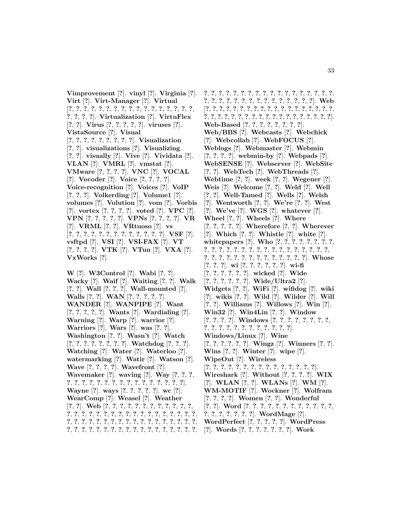**Vimprovement** [**?**]. **vinyl** [**?**]. **Virginia** [**?**]. **Virt** [**?**]. **Virt-Manager** [**?**]. **Virtual** [**?**, **?**, **?**, **?**, **?**, **?**, **?**, **?**, **?**, **?**, **?**, **?**, **?**, **?**, **?**, **?**, **?**, **?**, **?**, **?**, **?**]. **Virtualization** [**?**]. **VirtuFlex** [**?**, **?**]. **Virus** [**?**, **?**, **?**, **?**, **?**]. **viruses** [**?**]. **VistaSource** [**?**]. **Visual** [**?**, **?**, **?**, **?**, **?**, **?**, **?**, **?**, **?**]. **Visualization** [**?**, **?**]. **visualizations** [**?**]. **Visualizing** [**?**, **?**]. **visually** [**?**]. **Vive** [**?**]. **Vividata** [**?**]. **VLAN** [**?**]. **VMRL** [**?**]. **vmstat** [**?**]. **VMware** [**?**, **?**, **?**, **?**]. **VNC** [**?**]. **VOCAL** [**?**]. **Vocoder** [**?**]. **Voice** [**?**, **?**, **?**, **?**]. **Voice-recognition** [**?**]. **Voices** [**?**]. **VoIP** [**?**, **?**, **?**]. **Volkerding** [**?**]. **Volume1** [**?**]. **volumes** [**?**]. **Volution** [**?**]. **vom** [**?**]. **Vorbis** [**?**]. **vortex** [**?**, **?**, **?**, **?**]. **voted** [**?**]. **VPC** [**?**]. **VPN** [**?**, **?**, **?**, **?**, **?**]. **VPNs** [**?**, **?**, **?**, **?**]. **VR** [**?**]. **VRML** [**?**, **?**]. **VRtuoso** [**?**]. **vs** [**?**, **?**, **?**, **?**, **?**, **?**, **?**, **?**, **?**, **?**, **?**, **?**, **?**]. **VSF** [**?**]. **vsftpd** [**?**]. **VSI** [**?**]. **VSI-FAX** [**?**]. **VT** [**?**, **?**, **?**, **?**]. **VTK** [**?**]. **VTun** [**?**]. **VXA** [**?**]. **VxWorks** [**?**].

**W** [**?**]. **W3Control** [**?**]. **Wabi** [**?**, **?**]. **Wacky** [**?**]. **Waif** [**?**]. **Waiting** [**?**, **?**]. **Walk** [**?**, **?**]. **Wall** [**?**, **?**, **?**]. **Wall-mounted** [**?**]. **Walls** [**?**, **?**]. **WAN** [**?**, **?**, **?**, **?**, **?**]. **WANDER** [**?**]. **WANPIPE** [**?**]. **Want** [**?**, **?**, **?**, **?**, **?**]. **Wants** [**?**]. **Wardialing** [**?**]. **Warning** [**?**]. **Warp** [**?**]. **warrior** [**?**]. **Warriors** [**?**]. **Wars** [**?**]. **was** [**?**, **?**]. **Washington** [**?**, **?**]. **Wasn't** [**?**]. **Watch** [**?**, **?**, **?**, **?**, **?**, **?**, **?**, **?**]. **Watchdog** [**?**, **?**, **?**]. **Watching** [**?**]. **Water** [**?**]. **Waterloo** [**?**]. **watermarking** [**?**]. **Watir** [**?**]. **Watson** [**?**]. **Wave** [**?**, **?**, **?**, **?**]. **Wavefront** [**?**]. **Wavemaker** [**?**]. **waving** [**?**]. **Way** [**?**, **?**, **?**, **?**, **?**, **?**, **?**, **?**, **?**, **?**, **?**, **?**, **?**, **?**, **?**, **?**, **?**, **?**, **?**]. **Wayne** [**?**]. **ways** [**?**, **?**, **?**, **?**, **?**]. **wc** [**?**]. **WearComp** [**?**]. **Weasel** [**?**]. **Weather** [**?**, **?**]. **Web** [**?**, **?**, **?**, **?**, **?**, **?**, **?**, **?**, **?**, **?**, **?**, **?**, **?**, **?**, **?**, **?**, **?**, **?**, **?**, **?**, **?**, **?**, **?**, **?**, **?**, **?**, **?**, **?**, **?**, **?**, **?**, **?**, **?**, **?**, **?**, **?**, **?**, **?**, **?**, **?**, **?**, **?**, **?**, **?**, **?**, **?**, **?**, **?**, **?**, **?**, **?**, **?**, **?**, **?**, **?**, **?**, **?**, **?**, **?**, **?**, **?**, **?**, **?**, **?**, **?**, **?**, **?**, **?**, **?**, **?**, **?**, **?**, **?**, **?**, **?**, **?**, **?**, **?**, **?**, **?**, **?**, **?**, **?**, **?**, **?**, **?**, **?**, **?**, **?**, **?**, **?**, **?**, **?**, **?**, **?**, **?**, **?**, **?**, **?**]. **Web** [**?**, **?**, **?**, **?**, **?**, **?**, **?**, **?**, **?**, **?**, **?**, **?**, **?**, **?**, **?**, **?**, **?**, **?**, **?**, **?**, **?**, **?**, **?**, **?**, **?**, **?**, **?**, **?**, **?**, **?**, **?**, **?**, **?**, **?**, **?**, **?**, **?**, **?**]. **Web-Based** [**?**, **?**, **?**, **?**, **?**, **?**, **?**, **?**]. **Web/BBS** [**?**]. **Webcasts** [**?**]. **Webchick** [**?**]. **Webcollab** [**?**]. **WebFOCUS** [**?**]. **Weblogs** [**?**]. **Webmaster** [**?**]. **Webmin** [**?**, **?**, **?**, **?**]. **webmin-by** [**?**]. **Webpads** [**?**]. **WebSENSE** [**?**]. **Webserver** [**?**]. **WebSite** [**?**, **?**]. **WebTech** [**?**]. **WebThreads** [**?**]. **Webtime** [**?**, **?**]. **week** [**?**, **?**]. **Wegener** [**?**]. **Weis** [**?**]. **Welcome** [**?**, **?**]. **Weld** [**?**]. **Well** [**?**, **?**]. **Well-Tamed** [**?**]. **Wells** [**?**]. **Welsh** [**?**]. **Wentworth** [**?**, **?**]. **We're** [**?**, **?**]. **West** [**?**]. **We've** [**?**]. **WGS** [**?**]. **whatever** [**?**]. **Wheel** [**?**, **?**]. **Wheels** [**?**]. **Where** [**?**, **?**, **?**, **?**, **?**]. **Wherefore** [**?**, **?**]. **Wherever** [**?**]. **Which** [**?**, **?**]. **Whistle** [**?**]. **white** [**?**]. **whitepapers** [**?**]. **Who** [**?**, **?**, **?**, **?**, **?**, **?**, **?**, **?**, **?**, **?**, **?**, **?**, **?**, **?**, **?**, **?**, **?**, **?**, **?**, **?**, **?**, **?**, **?**, **?**, **?**, **?**, **?**, **?**, **?**, **?**, **?**, **?**, **?**, **?**, **?**, **?**, **?**, **?**, **?**]. **Whose** [**?**, **?**, **?**]. **wi** [**?**, **?**, **?**, **?**, **?**, **?**]. **wi-fi** [**?**, **?**, **?**, **?**, **?**, **?**]. **wicked** [**?**]. **Wide** [**?**, **?**, **?**, **?**, **?**, **?**]. **Wide/Ultra2** [**?**]. **Widgets** [**?**, **?**]. **WiFi** [**?**]. **wifidog** [**?**]. **wiki** [**?**]. **wikis** [**?**, **?**]. **Wild** [**?**]. **Wilder** [**?**]. **Will** [**?**, **?**]. **Williams** [**?**]. **Willows** [**?**]. **Win** [**?**]. **Win32** [**?**]. **Win4Lin** [**?**, **?**]. **Window** [**?**, **?**, **?**, **?**]. **Windows** [**?**, **?**, **?**, **?**, **?**, **?**, **?**, **?**, **?**, **?**, **?**, **?**, **?**, **?**, **?**, **?**, **?**, **?**, **?**, **?**]. **Windows/Linux** [**?**]. **Wine** [**?**, **?**, **?**, **?**, **?**, **?**]. **Wingz** [**?**]. **Winners** [**?**, **?**]. **Wins** [**?**, **?**]. **Winter** [**?**]. **wipe** [**?**]. **WipeOut** [**?**]. **Wireless** [**?**, **?**, **?**, **?**, **?**, **?**, **?**, **?**, **?**, **?**, **?**, **?**, **?**, **?**, **?**]. **Wireshark** [**?**]. **Without** [**?**, **?**, **?**, **?**]. **WIX** [**?**]. **WLAN** [**?**, **?**]. **WLANs** [**?**]. **WM** [**?**]. **WM-MOTIF** [**?**]. **Wockner** [**?**]. **Wolfram** [**?**, **?**, **?**, **?**]. **Women** [**?**, **?**]. **Wonderful** [**?**, **?**]. **Word** [**?**, **?**, **?**, **?**, **?**, **?**, **?**, **?**, **?**, **?**, **?**, **?**, **?**, **?**, **?**, **?**, **?**, **?**, **?**]. **WordMage** [**?**]. **WordPerfect** [**?**, **?**, **?**, **?**, **?**]. **WordPress** [**?**]. **Words** [**?**, **?**, **?**, **?**, **?**, **?**, **?**]. **Work**